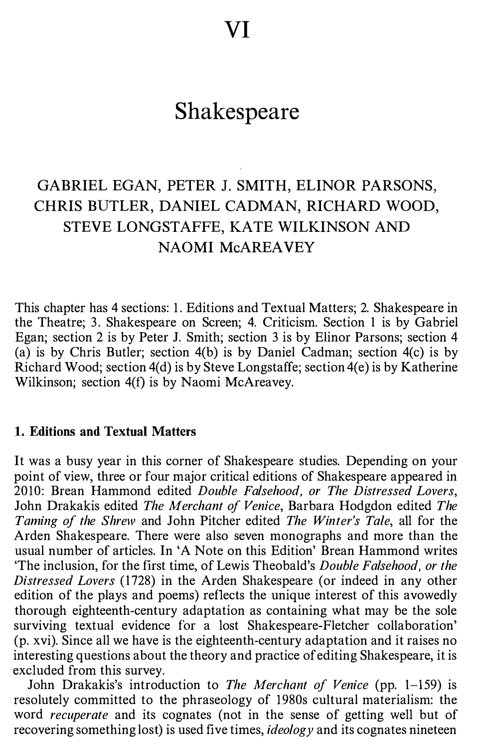# Shakespeare

## GABRIEL EGAN, PETER J. SMITH, ELINOR PARSONS, CHRIS BUTLER, DANIEL CADMAN, RICHARD WOOD, STEVE LONGSTAFFE, KATE WILKINSON AND NAOMI McAREA VEY

This chapter has 4 sections: 1. Editions and Textual Matters; 2. Shakespeare in the Theatre; 3. Shakespeare on Screen; 4. Criticism. Section 1 is by Gabriel Egan; section 2 is by Peter J. Smith; section 3 is by Elinor Parsons; section 4 (a) is by Chris Butler; section  $4(b)$  is by Daniel Cadman; section  $4(c)$  is by Richard Wood; section 4(d) is by Steve Longstaffe; section 4(e) is by Katherine Wilkinson; section 4(f) is by Naomi McAreavey.

## 1. Editions and Textual Matters

It was a busy year in this corner of Shakespeare studies. Depending on your point of view, three or four major critical editions of Shakespeare appeared in 2010: Brean Hammond edited Double Falsehood, or The Distressed Lovers, John Drakakis edited The Merchant of Venice, Barbara Hodgdon edited The Taming of the Shrew and John Pitcher edited The Winter's Tale, all for the Arden Shakespeare. There were also seven monographs and more than the usual number of articles. In 'A Note on this Edition' Brean Hammond writes 'The inclusion, for the first time, of Lewis Theobald's Double Falsehood, or the Distressed Lovers (1728) in the Arden Shakespeare (or indeed in any other edition of the plays and poems) reflects the unique interest of this avowedly thorough eighteenth-century adaptation as containing what may be the sole surviving textual evidence for a lost Shakespeare-Fletcher collaboration' (p. xvi). Since all we have is the eighteenth-century adaptation and it raises no interesting questions about the theory and practice of editing Shakespeare, it is excluded from this survey.

John Drakakis's introduction to The Merchant of Venice (pp. 1-159) is resolutely committed to the phraseology of 1980s cultural materialism: the word recuperate and its cognates (not in the sense of getting well but of recovering something lost) is used five times,  $ideology$  and its cognates nineteen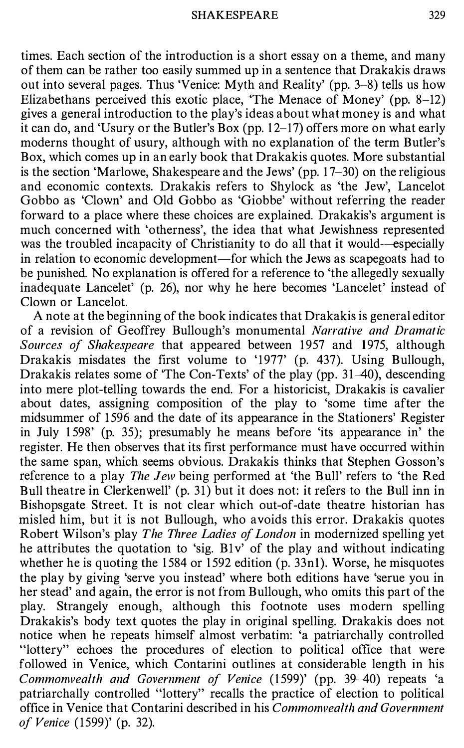times. Each section of the introduction is a short essay on a theme, and many of them can be rather too easily summed up in a sentence that Drakakis draws out into several pages. Thus 'Venice: Myth and Reality' (pp. 3-8) tells us how Elizabethans perceived this exotic place, 'The Menace of Money' (pp. 8-12) gives a general introduction to the play's ideas about what money is and what it can do, and 'Usury or the Butler's Box (pp. 1 2-17) offers more on what early moderns thought of usury, although with no explanation of the term Butler's Box, which comes up in an early book that Drakakis quotes. More substantial is the section 'Marlowe, Shakespeare and the Jews' (pp. 1 7-30) on the religious and economic contexts. Drakakis refers to Shylock as 'the Jew', Lancelot Gobbo as 'Clown' and Old Gobbo as 'Giobbe' without referring the reader forward to a place where these choices are explained. Drakakis's argument is much concerned with 'otherness', the idea that what Jewishness represented was the troubled incapacity of Christianity to do all that it would-especially in relation to economic development—for which the Jews as scapegoats had to be punished. No explanation is offered for a reference to 'the allegedly sexually inadequate Lancelet' (p. 26), nor why he here becomes 'Lancelet' instead of Clown or Lancelot.

A note at the beginning of the book indicates that Drakakis is general editor of a revision of Geoffrey Bullough's monumental Narrative and Dramatic Sources of Shakespeare that appeared between 1957 and 1975, although Drakakis misdates the first volume to '1977' (p. 437). Using Bullough, Drakakis relates some of 'The Con-Texts' of the play (pp. 31–40), descending into mere plot-telling towards the end. For a historicist, Drakakis is cavalier about dates, assigning composition of the play to 'some time after the midsummer of 1 596 and the date of its appearance in the Stationers' Register in July 1 598' (p. 35); presumably he means before 'its appearance in' the register. He then observes that its first performance must have occurred within the same span, which seems obvious. Drakakis thinks that Stephen Gosson's reference to a play The Jew being performed at 'the Bull' refers to 'the Red Bull theatre in Clerkenwell' (p. 31) but it does not: it refers to the Bull inn in Bishopsgate Street. It is not clear which out-of-date theatre historian has misled him, but it is not Bullough, who avoids this error. Drakakis quotes Robert Wilson's play The Three Ladies of London in modernized spelling yet he attributes the quotation to 'sig. B1v' of the play and without indicating whether he is quoting the 1584 or  $\overline{1592}$  edition (p. 33nl). Worse, he misquotes the play by giving 'serve you instead' where both editions have 'serue you in her stead' and again, the error is not from Bullough, who omits this part of the play. Strangely enough, although this footnote uses modern spelling Drakakis's body text quotes the play in original spelling. Drakakis does not notice when he repeats himself almost verbatim: 'a patriarchally controlled "lottery" echoes the procedures of election to political office that were followed in Venice, which Contarini outlines at considerable length in his Commonwealth and Government of Venice (1599)' (pp. 39-40) repeats 'a patriarchally controlled "lottery" recalls the practice of election to political office in Venice that Contarini described in his Commonwealth and Government of Venice ( 1599)' (p. 32).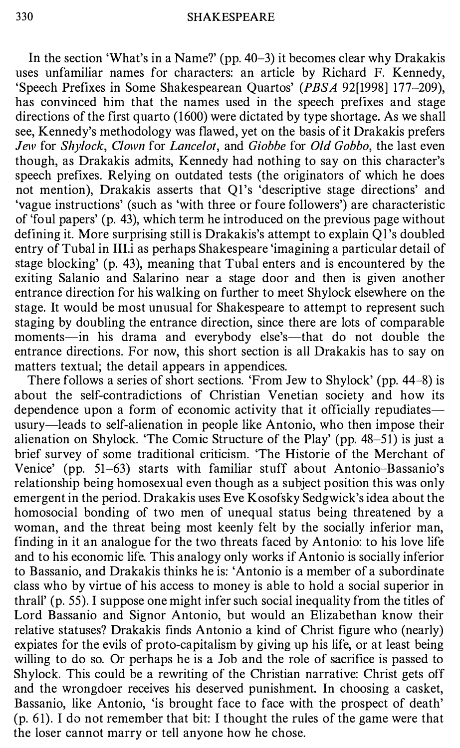In the section 'What's in a Name?' (pp. 40-3) it becomes clear why Drakakis uses unfamiliar names for characters: an article by Richard F. Kennedy, 'Speech Prefixes in Some Shakespearean Quartos' (PBSA 92[1998] 177-209), has convinced him that the names used in the speech prefixes and stage directions of the first quarto (1600) were dictated by type shortage. As we shall see, Kennedy's methodology was flawed, yet on the basis of it Drakakis prefers Jew for Shylock, Clown for Lancelot, and Giobbe for Old Gobbo, the last even though, as Drakakis admits, Kennedy had nothing to say on this character's speech prefixes. Relying on outdated tests (the originators of which he does not mention), Drakakis asserts that Ql's 'descriptive stage directions' and 'vague instructions' (such as 'with three or foure followers') are characteristic of 'foul papers' (p. 43), which term he introduced on the previous page without defining it. More surprising still is Drakakis's attempt to explain Ql's doubled entry of Tubal in 111.i as perhaps Shakespeare 'imagining a particular detail of stage blocking' (p. 43), meaning that Tubal enters and is encountered by the exiting Salanio and Salarino near a stage door and then is given another entrance direction for his walking on further to meet Shylock elsewhere on the stage. It would be most unusual for Shakespeare to attempt to represent such staging by doubling the entrance direction, since there are lots of comparable moments-in his drama and everybody else's-that do not double the entrance directions. For now, this short section is all Drakakis has to say on matters textual; the detail appears in appendices.

There follows a series of short sections. 'From Jew to Shylock' (pp. 44-8) is about the self-contradictions of Christian Venetian society and how its dependence upon a form of economic activity that it officially repudiates usury-leads to self-alienation in people like Antonio, who then impose their alienation on Shylock. 'The Comic Structure of the Play' (pp. 48-51) is just a brief survey of some traditional criticism. 'The Historie of the Merchant of Venice' (pp. 51-63) starts with familiar stuff about Antonio-Bassanio's relationship being homosexual even though as a subject position this was only emergent in the period. Drakakis uses Eve Kosofsky Sedgwick's idea about the homosocial bonding of two men of unequal status being threatened by a woman, and the threat being most keenly felt by the socially inferior man, finding in it an analogue for the two threats faced by Antonio: to his love life and to his economic life. This analogy only works if Antonio is socially inferior to Bassanio, and Drakakis thinks he is: 'Antonio is a member of a subordinate class who by virtue of his access to money is able to hold a social superior in thrall'  $(p. 55)$ . I suppose one might infer such social inequality from the titles of Lord Bassanio and Signor Antonio, but would an Elizabethan know their relative statuses? Drakakis finds Antonio a kind of Christ figure who (nearly) expiates for the evils of proto-capitalism by giving up his life, or at least being willing to do so. Or perhaps he is a Job and the role of sacrifice is passed to Shylock. This could be a rewriting of the Christian narrative: Christ gets off and the wrongdoer receives his deserved punishment. In choosing a casket, Bassanio, like Antonio, 'is brought face to face with the prospect of death'  $(p. 61)$ . I do not remember that bit: I thought the rules of the game were that the loser cannot marry or tell anyone how he chose.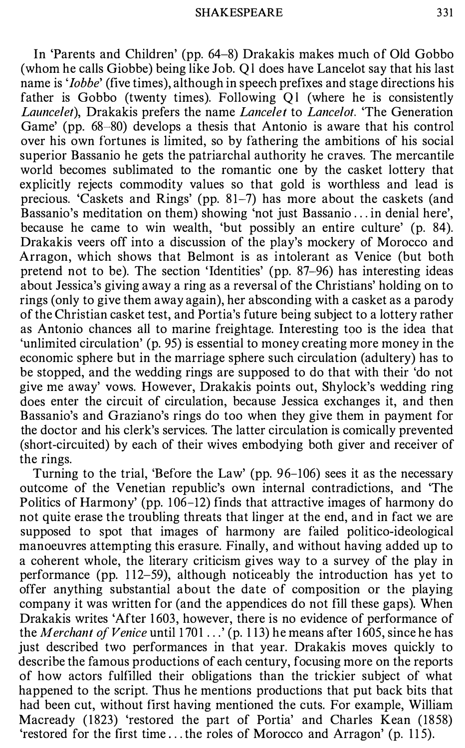In 'Parents and Children' (pp. 64-8) Drakakis makes much of Old Gobbo (whom he calls Giobbe) being like Job. Ql does have Lancelot say that his last name is '*Iobbe*' (five times), although in speech prefixes and stage directions his father is Gobbo (twenty times). Following Ql (where he is consistently Launcelet), Drakakis prefers the name Lancelet to Lancelot. 'The Generation Game' (pp. 68-80) develops a thesis that Antonio is aware that his control over his own fortunes is limited, so by fathering the ambitions of his social superior Bassanio he gets the patriarchal authority he craves. The mercantile world becomes sublimated to the romantic one by the casket lottery that explicitly rejects commodity values so that gold is worthless and lead is precious. 'Caskets and Rings' (pp. 81-7) has more about the caskets (and Bassanio's meditation on them) showing 'not just Bassanio ... in denial here', because he came to win wealth, 'but possibly an entire culture' (p. 84). Drakakis veers off into a discussion of the play's mockery of Morocco and Arragon, which shows that Belmont is as intolerant as Venice (but both pretend not to be). The section 'Identities' (pp. 87-96) has interesting ideas about Jessica's giving away a ring as a reversal of the Christians' holding on to rings (only to give them away again), her absconding with a casket as a parody of the Christian casket test, and Portia's future being subject to a lottery rather as Antonio chances all to marine freightage. Interesting too is the idea that 'unlimited circulation' (p. 95) is essential to money creating more money in the economic sphere but in the marriage sphere such circulation (adultery) has to be stopped, and the wedding rings are supposed to do that with their 'do not give me away' vows. However, Drakakis points out, Shylock's wedding ring does enter the circuit of circulation, because Jessica exchanges it, and then Bassanio's and Graziano's rings do too when they give them in payment for the doctor and his clerk's services. The latter circulation is comically prevented (short-circuited) by each of their wives embodying both giver and receiver of the rings.

Turning to the trial, 'Before the Law' (pp. 96-106) sees it as the necessary outcome of the Venetian republic's own internal contradictions, and 'The Politics of Harmony' (pp. 106–12) finds that attractive images of harmony do not quite erase the troubling threats that linger at the end, and in fact we are supposed to spot that images of harmony are failed politico-ideological manoeuvres attempting this erasure. Finally, and without having added up to a coherent whole, the literary criticism gives way to a survey of the play in performance (pp. 1 12-59), although noticeably the introduction has yet to offer anything substantial about the date of composition or the playing company it was written for (and the appendices do not fill these gaps). When Drakakis writes 'After 1603, however, there is no evidence of performance of the Merchant of Venice until 1701  $\dots$  (p. 113) he means after 1605, since he has just described two performances in that year. Drakakis moves quickly to describe the famous productions of each century, focusing more on the reports of how actors fulfilled their obligations than the trickier subject of what happened to the script. Thus he mentions productions that put back bits that had been cut, without first having mentioned the cuts. For example, William Macready ( 1823) 'restored the part of Portia' and Charles Kean (1858) 'restored for the first time ... the roles of Morocco and Arragon' (p. 115).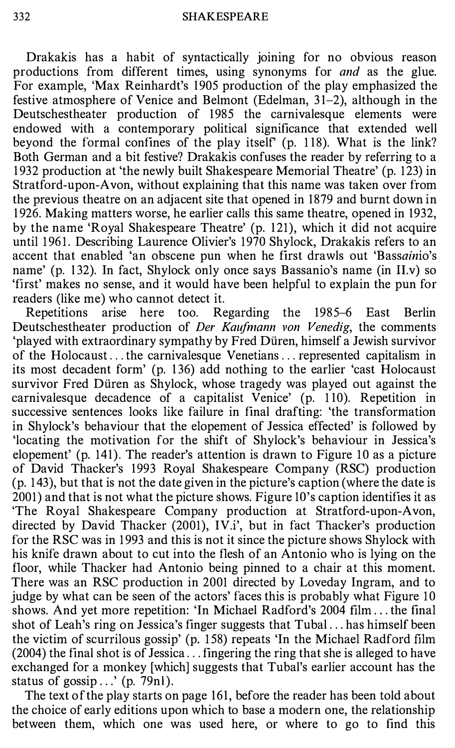Drakakis has a habit of syntactically joining for no obvious reason productions from different times, using synonyms for and as the glue. For example, 'Max Reinhardt's 1905 production of the play emphasized the festive atmosphere of Venice and Belmont (Edelman,  $31-2$ ), although in the Deutschestheater production of 1985 the carnivalesque elements were endowed with a contemporary political significance that extended well beyond the formal confines of the play itself (p. 1 18). What is the link? Both German and a bit festive? Drakakis confuses the reader by referring to a 1 932 production at 'the newly built Shakespeare Memorial Theatre' (p. 123) in Stratford-upon-Avon, without explaining that this name was taken over from the previous theatre on an adjacent site that opened in 1879 and burnt down in 1 926. Making matters worse, he earlier calls this same theatre, opened in 1932, by the name 'Royal Shakespeare Theatre' (p. 121), which it did not acquire until 1961. Describing Laurence Olivier's 1970 Shylock, Drakakis refers to an accent that enabled 'an obscene pun when he first drawls out 'Bassainio's name' (p. 132). In fact, Shylock only once says Bassanio's name (in II.v) so 'first' makes no sense, and it would have been helpful to explain the pun for readers (like me) who cannot detect it.

Repetitions arise here too. Regarding the 1985-6 East Berlin Deutschestheater production of Der Kaufmann von Venedig, the comments 'played with extraordinary sympathy by Fred Duren, himself a Jewish survivor of the Holocaust ... the carnivalesque Venetians ... represented capitalism in its most decadent form' (p. 136) add nothing to the earlier 'cast Holocaust survivor Fred Düren as Shylock, whose tragedy was played out against the carnivalesque decadence of a capitalist Venice' (p. 1 10). Repetition in successive sentences looks like failure in final drafting: 'the transformation in Shylock's behaviour that the elopement of Jessica effected' is followed by 'locating the motivation for the shift of Shylock's behaviour in Jessica's elopement' (p. 141). The reader's attention is drawn to Figure 10 as a picture of David Thacker's 1993 Royal Shakespeare Company (RSC) production (p. 1 43), but that is not the date given in the picture's caption (where the date is 2001) and that is not what the picture shows. Figure lO's caption identifies it as 'The Royal Shakespeare Company production at Stratford-upon-Avon, directed by David Thacker (2001), IV.i', but in fact Thacker's production for the RSC was in 1 993 and this is not it since the picture shows Shylock with his knife drawn about to cut into the flesh of an Antonio who is lying on the floor, while Thacker had Antonio being pinned to a chair at this moment. There was an RSC production in 2001 directed by Loveday Ingram, and to judge by what can be seen of the actors' faces this is probably what Figure 10 shows. And yet more repetition: 'In Michael Radford's 2004 film ... the final shot of Leah's ring on Jessica's finger suggests that Tubal ... has himself been the victim of scurrilous gossip' (p. 1 58) repeats 'In the Michael Radford film  $(2004)$  the final shot is of Jessica... fingering the ring that she is alleged to have exchanged for a monkey [which] suggests that Tubal's earlier account has the status of gossip  $\ldots$  (p. 79nl).

The text of the play starts on page 161, before the reader has been told about the choice of early editions upon which to base a modern one, the relationship between them, which one was used here, or where to go to find this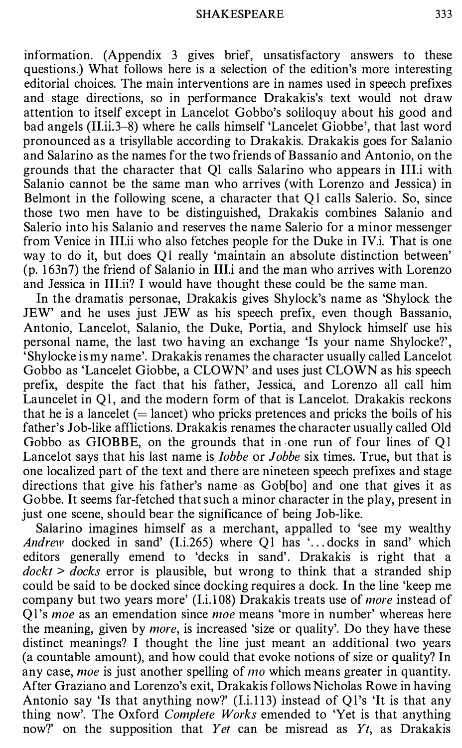information. (Appendix 3 gives brief, unsatisfactory answers to these questions.) What follows here is a selection of the edition's more interesting editorial choices. The main interventions are in names used in speech prefixes and stage directions, so in performance Drakakis's text would not draw attention to itself except in Lancelot Gobbo's soliloquy about his good and bad angels (II.ii.3-8) where he calls himself 'Lancelet Giobbe', that last word pronounced as a trisyllable according to Drakakis. Drakakis goes for Salanio and Salarino as the names for the two friends of Bassanio and Antonio, on the grounds that the character that Ql calls Salarino who appears in III.i with Salanio cannot be the same man who arrives (with Lorenzo and Jessica) in Belmont in the following scene, a character that Ql calls Salerio. So, since those two men have to be distinguished, Drakakis combines Salanio and Salerio into his Salanio and reserves the name Salerio for a minor messenger from Venice in III.ii who also fetches people for the Duke in IV.i. That is one way to do it, but does Ql really 'maintain an absolute distinction between' (p. 1 63n7) the friend of Salanio in III.i and the man who arrives with Lorenzo and Jessica in III.ii? I would have thought these could be the same man.

In the dramatis personae, Drakakis gives Shylock's name as 'Shylock the JEW' and he uses just JEW as his speech prefix, even though Bassanio, Antonio, Lancelot, Salanio, the Duke, Portia, and Shylock himself use his personal name, the last two having an exchange 'Is your name Shylocke?', 'Shylocke is my name'. Drakakis renames the character usually called Lancelot Gobbo as 'Lancelet Giobbe, a CLOWN' and uses just CLOWN as his speech prefix, despite the fact that his father, Jessica, and Lorenzo all call him Launcelet in Ql, and the modern form of that is Lancelot. Drakakis reckons that he is a lancelet  $($  = lancet) who pricks pretences and pricks the boils of his father's Job-like afflictions. Drakakis renames the character usually called Old Gobbo as GIOBBE, on the grounds that in one run of four lines of Ql Lancelot says that his last name is Iobbe or Jobbe six times. True, but that is one localized part of the text and there are nineteen speech prefixes and stage directions that give his father's name as Gob[bo] and one that gives it as Gobbe. It seems far-fetched that such a minor character in the play, present in just one scene, should bear the significance of being Job-like.

Salarino imagines himself as a merchant, appalled to 'see my wealthy Andrew docked in sand' (I.i.265) where Q1 has '... docks in sand' which editors generally emend to 'decks in sand'. Drakakis is right that a  $dockt > docks$  error is plausible, but wrong to think that a stranded ship could be said to be docked since docking requires a dock. In the line 'keep me company but two years more' (I.i.108) Drakakis treats use of more instead of Ql's moe as an emendation since moe means 'more in number' whereas here the meaning, given by more, is increased 'size or quality'. Do they have these distinct meanings? I thought the line just meant an additional two years (a countable amount), and how could that evoke notions of size or quality? In any case, *moe* is just another spelling of *mo* which means greater in quantity. After Graziano and Lorenzo's exit, Drakakis follows Nicholas Rowe in having Antonio say 'Is that anything now?' (I.i.113) instead of Q1's 'It is that any thing now'. The Oxford *Complete Works* emended to 'Yet is that anything now?' on the supposition that Yet can be misread as  $Y_t$ , as Drakakis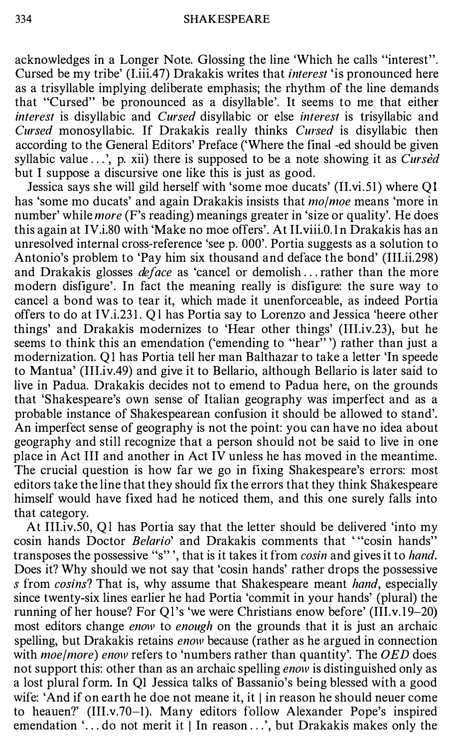acknowledges in a Longer Note. Glossing the line 'Which he calls "interest''. Cursed be my tribe' (I.iii.47) Drakakis writes that interest 'is pronounced here as a trisyllable implying deliberate emphasis; the rhythm of the line demands that "Cursed" be pronounced as a disyllable'. It seems to me that either interest is disyllabic and Cursed disyllabic or else interest is trisyllabic and Cursed monosyllabic. If Drakakis really thinks Cursed is disyllabic then according to the General Editors' Preface ('Where the final -ed should be given syllabic value  $\ldots$ , p. xii) there is supposed to be a note showing it as *Cursed* but I suppose a discursive one like this is just as good.

Jessica says she will gild herself with 'some moe ducats' (II.vi.51) where Ql has 'some mo ducats' and again Drakakis insists that *molmoe* means 'more in number' while *more* (F's reading) meanings greater in 'size or quality'. He does this again at IV.i.80 with 'Make no moe offers'. At II.viii.O. ln Drakakis has an unresolved internal cross-reference 'see p. 000'. Portia suggests as a solution to Antonio's problem to 'Pay him six thousand and deface the bond' (III.ii.298) and Drakakis glosses *deface* as 'cancel or demolish ... rather than the more modern disfigure', In fact the meaning really is disfigure: the sure way to cancel a bond was to tear it, which made it unenforceable, as indeed Portia offers to do at IV.i.23 1. Ql has Portia say to Lorenzo and Jessica 'heere other things' and Drakakis modernizes to 'Hear other things' (III.iv.23), but he seems to think this an emendation ('emending to "hear"') rather than just a modernization. Q 1 has Portia tell her man Balthazar to take a letter 'In speede to Mantua' (III.iv.49) and give it to Bellario, although Bellario is later said to live in Padua. Drakakis decides not to emend to Padua here, on the grounds that 'Shakespeare's own sense of Italian geography was imperfect and as a probable instance of Shakespearean confusion it should be allowed to stand'. An imperfect sense of geography is not the point: you can have no idea about geography and still recognize that a person should not be said to live in one place in Act III and another in Act IV unless he has moved in the meantime. The crucial question is how far we go in fixing Shakespeare's errors: most editors take the line that they should fix the errors that they think Shakespeare himself would have fixed had he noticed them, and this one surely falls into that category.

At III.iv.SO, Ql has Portia say that the letter should be delivered 'into my cosin hands Doctor Belario' and Drakakis comments that "cosin hands" transposes the possessive "s"', that is it takes it from *cosin* and gives it to *hand*. Does it? Why should we not say that 'cosin hands' rather drops the possessive s from cosins? That is, why assume that Shakespeare meant hand, especially since twenty-six lines earlier he had Portia 'commit in your hands' (plural) the running of her house? For Q1's 'we were Christians enow before' (III.v.19-20) most editors change *enow* to *enough* on the grounds that it is just an archaic spelling, but Drakakis retains *enow* because (rather as he argued in connection with *moe/more)* enow refers to 'numbers rather than quantity'. The OED does not support this: other than as an archaic spelling enow is distinguished only as a lost plural form. In QI Jessica talks of Bassanio's being blessed with a good wife: 'And if on earth he doe not meane it, it | in reason he should neuer come to heauen?' (III.v.70-1). Many editors follow Alexander Pope's inspired emendation '... do not merit it | In reason ...', but Drakakis makes only the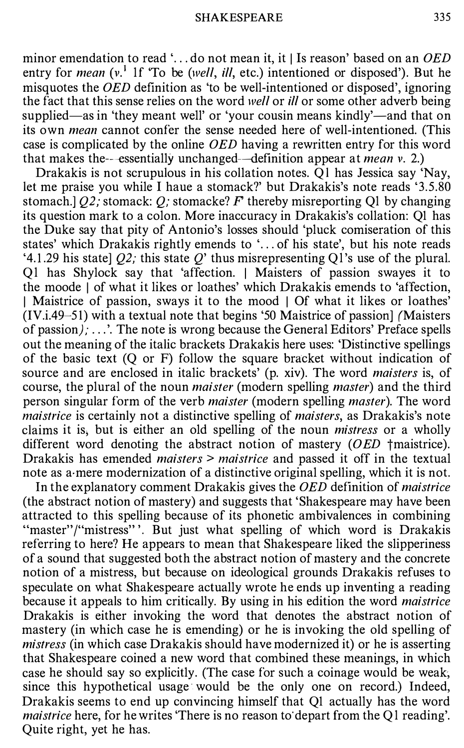minor emendation to read '... do not mean it, it  $\vert$  Is reason' based on an OED entry for *mean* ( $v^1$  1f 'To be (*well, ill, etc.*) intentioned or disposed'). But he misquotes the  $OED$  definition as 'to be well-intentioned or disposed', ignoring the fact that this sense relies on the word well or ill or some other adverb being supplied—as in 'they meant well' or 'your cousin means kindly'—and that on its own mean cannot confer the sense needed here of well-intentioned. (This case is complicated by the online OED having a rewritten entry for this word that makes the--essentially unchanged-definition appear at mean v. 2.)

Drakakis is not scrupulous in his collation notes. Of has Jessica say 'Nay, let me praise you while I haue a stomack?' but Drakakis's note reads '3.5.80 stomach.]  $Q2$ ; stomack: Q; stomacke? F thereby misreporting Q1 by changing its question mark to a colon. More inaccuracy in Drakakis's collation: Ql has the Duke say that pity of Antonio's losses should 'pluck comiseration of this states' which Drakakis rightly emends to '... of his state', but his note reads '4.1.29 his state]  $Q2$ ; this state  $Q'$  thus misrepresenting Q1's use of the plural. Ql has Shylock say that 'affection. I Maisters of passion swayes it to the moode I of what it likes or loathes' which Drakakis emends to 'affection, I Maistrice of passion, sways it to the mood | Of what it likes or loathes' (IV.i.49-5 1) with a textual note that begins '50 Maistrice of passion] (Maisters of passion); ...'. The note is wrong because the General Editors' Preface spells out the meaning of the italic brackets Drakakis here uses: 'Distinctive spellings of the basic text (Q or F) follow the square bracket without indication of source and are enclosed in italic brackets' (p. xiv). The word maisters is, of course, the plural of the noun *maister* (modern spelling *master*) and the third person singular form of the verb maister (modern spelling master). The word maistrice is certainly not a distinctive spelling of *maisters*, as Drakakis's note claims it is; but is either an old spelling of the noun mistress or a wholly different word denoting the abstract notion of mastery  $(OED \t{t}$  tmaistrice). Drakakis has emended *maisters* > maistrice and passed it off in the textual note as a mere modernization of a distinctive original spelling, which it is not.

In the explanatory comment Drakakis gives the OED definition of maistrice (the abstract notion of mastery) and suggests that 'Shakespeare may have been attracted to this spelling because of its phonetic ambivalences in combining "master"/"mistress"". But just what spelling of which word is Drakakis referring to here? He appears to mean that Shakespeare liked the slipperiness of a sound that suggested both the abstract notion of mastery and the concrete notion of a mistress, but because on ideological grounds Drakakis refuses to speculate on what Shakespeare actually wrote he ends up inventing a reading because it appeals to him critically. By using in his edition the word *maistrice* Drakakis is either invoking the word that denotes the abstract notion of mastery (in which case he is emending) or he is invoking the old spelling of mistress (in which case Drakakis should have modernized it) or he is asserting that Shakespeare coined a new word that combined these meanings, in which case he should say so explicitly. (The case for such a coinage would be weak, since this hypothetical usage would be the only one on record.) Indeed, Drakakis seems to end up convincing himself that Ql actually has the word maistrice here, for he writes 'There is no reason to depart from the Ql reading'. Quite right, yet he has.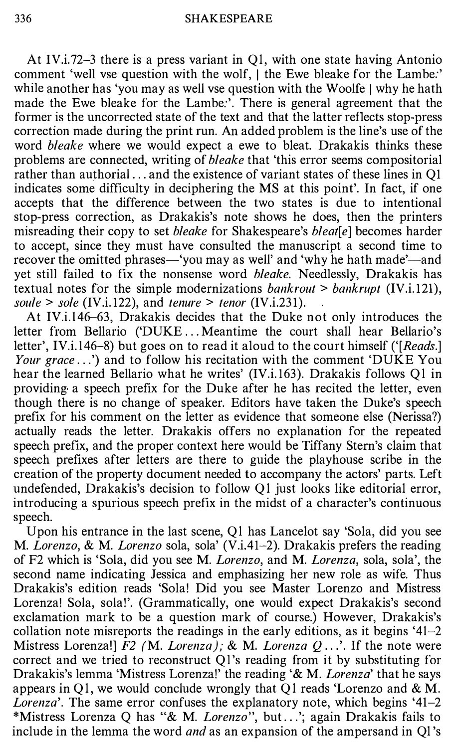At IV.i.72-3 there is a press variant in Ql, with one state having Antonio comment 'well vse question with the wolf, I the Ewe bleake for the Lambe:' while another has 'you may as well vse question with the Woolfe | why he hath made the Ewe bleake for the Lambe:'. There is general agreement that the former is the uncorrected state of the text and that the latter reflects stop-press correction made during the print run. An added problem is the line's use of the word *bleake* where we would expect a ewe to bleat. Drakakis thinks these problems are connected, writing of bleake that 'this error seems compositorial rather than authorial ... and the existence of variant states of these lines in Q1 indicates some difficulty in deciphering the MS at this point'. In fact, if one accepts that the difference between the two states is due to intentional stop-press correction, as Drakakis's note shows he does, then the printers misreading their copy to set *bleake* for Shakespeare's *bleat*[ $e$ ] becomes harder to accept, since they must have consulted the manuscript a second time to recover the omitted phrases—'you may as well' and 'why he hath made'—and yet still failed to fix the nonsense word bleake. Needlessly, Drakakis has textual notes for the simple modernizations *bankrout* > *bankrupt* (IV.i.121), soule  $>$  sole (IV.i.122), and tenure  $>$  tenor (IV.i.231).

At IV.i.146–63, Drakakis decides that the Duke not only introduces the letter from Bellario ('DUKE ... Meantime the court shall hear Bellario's letter', IV.i.146–8) but goes on to read it aloud to the court himself ('[Reads.] Your grace ...') and to follow his recitation with the comment 'DUKE You hear the learned Bellario what he writes' (IV.i. 163). Drakakis follows Ql in providing a speech prefix for the Duke after he has recited the letter, even though there is no change of speaker. Editors have taken the Duke's speech prefix for his comment on the letter as evidence that someone else (Nerissa?) actually reads the letter. Drakakis offers no explanation for the repeated speech prefix, and the proper context here would be Tiffany Stern's claim that speech prefixes after letters are there to guide the playhouse scribe in the creation of the property document needed to accompany the actors' parts. Left undefended, Drakakis's decision to follow Ql just looks like editorial error, introducing a spurious speech prefix in the midst of a character's continuous speech.

Upon his entrance in the last scene, Ql has Lancelot say 'Sola, did you see M. Lorenzo, & M. Lorenzo sola, sola' (V.i.41-2). Drakakis prefers the reading of F2 which is 'Sola, did you see M. Lorenzo, and M. Lorenza, sola, sola', the second name indicating Jessica and emphasizing her new role as wife. Thus Drakakis's edition reads 'Sola! Did you see Master Lorenzo and Mistress Lorenza! Sola, sola!'. (Grammatically, one would expect Drakakis's second exclamation mark to be a question mark of course.) However, Drakakis's collation note misreports the readings in the early editions, as it begins '41-2 Mistress Lorenza!]  $F2$  (M. Lorenza); & M. Lorenza  $Q \ldots$ . If the note were correct and we tried to reconstruct Ql's reading from it by substituting for Drakakis's lemma 'Mistress Lorenza!' the reading '& M. Lorenza' that he says appears in Q1, we would conclude wrongly that Q1 reads 'Lorenzo and  $\& M$ . Lorenza'. The same error confuses the explanatory note, which begins '41-2 \*Mistress Lorenza Q has "& M. Lorenzo", but . . .'; again Drakakis fails to include in the lemma the word *and* as an expansion of the ampersand in Ql's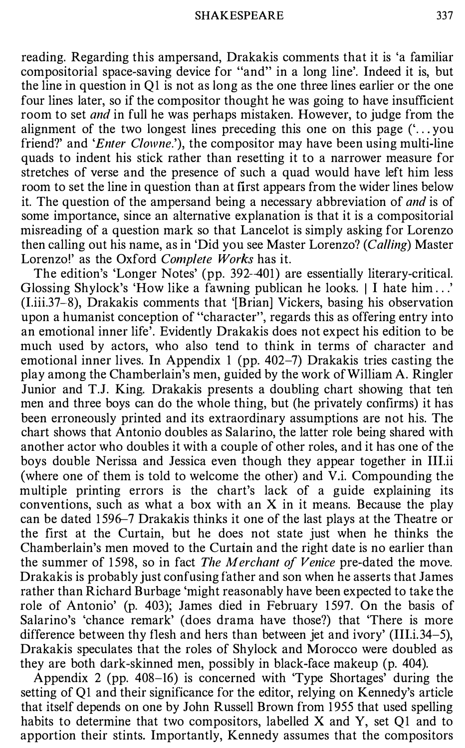reading. Regarding this ampersand, Drakakis comments that it is 'a familiar compositorial space-saving device for "and" in a long line'. Indeed it is, but the line in question in Ql is not as long as the one three lines earlier or the one four lines later, so if the compositor thought he was going to have insufficient room to set *and* in full he was perhaps mistaken. However, to judge from the alignment of the two longest lines preceding this one on this page  $(\cdot \cdot \cdot)$  you friend?' and 'Enter Clowne.'), the compositor may have been using multi-line quads to indent his stick rather than resetting it to a narrower measure for stretches of verse and the presence of such a quad would have left him less room to set the line in question than at first appears from the wider lines below it. The question of the ampersand being a necessary abbreviation of and is of some importance, since an alternative explanation is that it is a compositorial misreading of a question mark so that Lancelot is simply asking for Lorenzo then calling out his name, as in 'Did you see Master Lorenzo? (Calling) Master Lorenzo!' as the Oxford Complete Works has it.

The edition's 'Longer Notes' (pp. 392-401) are essentially literary-critical. Glossing Shylock's 'How like a fawning publican he looks. | I hate him ...' (I.iii.37-8), Drakakis comments that '[Brian] Vickers, basing his observation upon a humanist conception of "character", regards this as offering entry into an emotional inner life'. Evidently Drakakis does not expect his edition to be much used by actors, who also tend to think in terms of character and emotional inner lives. In Appendix 1 (pp. 402-7) Drakakis tries casting the play among the Chamberlain's men, guided by the work of William A. Ringler Junior and T.J. King. Drakakis presents a doubling chart showing that ten men and three boys can do the whole thing, but (he privately confirms) it has been erroneously printed and its extraordinary assumptions are not his. The chart shows that Antonio doubles as Salarino, the latter role being shared with another actor who doubles it with a couple of other roles, and it has one of the boys double Nerissa and Jessica even though they appear together in III.ii (where one of them is told to welcome the other) and V.i. Compounding the multiple printing errors is the chart's lack of a guide explaining its conventions, such as what a box with an X in it means. Because the play can be dated 1596–7 Drakakis thinks it one of the last plays at the Theatre or the first at the Curtain, but he does not state just when he thinks the Chamberlain's men moved to the Curtain and the right date is no earlier than the summer of 1598, so in fact The Merchant of Venice pre-dated the move. Drakakis is probably just confusing father and son when he asserts that James rather than Richard Burbage 'might reasonably have been expected to take the role of Antonio' (p. 403); James died in February 1 597. On the basis of Salarino's 'chance remark' (does drama have those?) that 'There is more difference between thy flesh and hers than between jet and ivory' (III.i. 34-5), Drakakis speculates that the roles of Shylock and Morocco were doubled as they are both dark-skinned men, possibly in black-face makeup (p. 404).

Appendix 2 (pp. 408-16) is concerned with 'Type Shortages' during the setting of Ql and their significance for the editor, relying on Kennedy's article that itself depends on one by John Russell Brown from 1955 that used spelling habits to determine that two compositors, labelled  $X$  and  $Y$ , set  $Q1$  and to apportion their stints. Importantly, Kennedy assumes that the compositors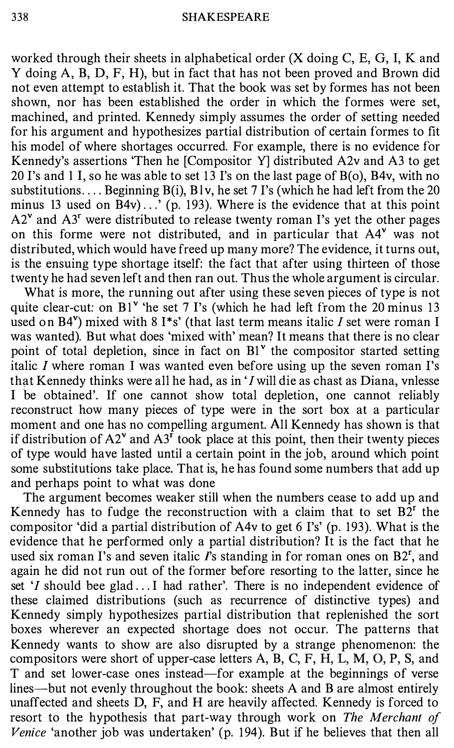worked through their sheets in alphabetical order  $(X \text{ doing } C, E, G, I, K \text{ and }$ Y doing A, B, D, F, H), but in fact that has not been proved and Brown did not even attempt to establish it. That the book was set by formes has not been shown, nor has been established the order in which the formes were set, machined, and printed. Kennedy simply assumes the order of setting needed for his argument and hypothesizes partial distribution of certain formes to fit his model of where shortages occurred. For example, there is no evidence for Kennedy's assertions 'Then he [Compositor Y] distributed A2v and A3 to get 20 I's and 1 I, so he was able to set 13 I's on the last page of  $B(0)$ ,  $B4v$ , with no substitutions.... Beginning  $B(i)$ ,  $B(v)$ , he set 7 I's (which he had left from the 20 minus 13 used on  $\overline{B4v}$ ...' (p. 193). Where is the evidence that at this point  $A2^{\nu}$  and  $A3^{\nu}$  were distributed to release twenty roman I's yet the other pages on this forme were not distributed, and in particular that A4v was not distributed, which would have freed up many more? The evidence, it turns out, is the ensuing type shortage itself: the fact that after using thirteen of those twenty he had seven left and then ran out. Thus the whole argument is circular.

What is more, the running out after using these seven pieces of type is not quite clear-cut: on  $BI^{\nu}$  'he set 7 I's (which he had left from the 20 minus 13 used on B4 $v$ ) mixed with 8 I<sup>\*</sup>s' (that last term means italic I set were roman I was wanted). But what does 'mixed with' mean? It means that there is no clear point of total depletion, since in fact on Bl<sup>v</sup> the compositor started setting italic  $I$  where roman I was wanted even before using up the seven roman I's that Kennedy thinks were all he had, as in 'I will die as chast as Diana, vnlesse I be obtained'. If one cannot show total depletion, one cannot reliably reconstruct how many pieces of type were in the sort box at a particular moment and one has no compelling argument. All Kennedy has shown is that if distribution of  $A2^{\nu}$  and  $A3^{\nu}$  took place at this point, then their twenty pieces of type would have lasted until a certain point in the job, around which point some substitutions take place. That is, he has found some numbers that add up and perhaps point to what was done

The argument becomes weaker still when the numbers cease to add up and Kennedy has to fudge the reconstruction with a claim that to set  $B2<sup>r</sup>$  the compositor 'did a partial distribution of A4v to get 6 l's' (p. 193). What is the evidence that he performed only a partial distribution? It is the fact that he used six roman I's and seven italic  $\Gamma$ 's standing in for roman ones on  $B2^r$ , and again he did not run out of the former before resorting to the latter, since he set 'I should bee glad ... I had rather'. There is no independent evidence of these claimed distributions (such as recurrence of distinctive types) and Kennedy simply hypothesizes partial distribution that replenished the sort boxes wherever an expected shortage does not occur. The patterns that Kennedy wants to show are also disrupted by a strange phenomenon: the compositors were short of upper-case letters A, B, C, F, H, L, M, 0, P, S, and T and set lower-case ones instead-for example at the beginnings of verse lines—but not evenly throughout the book: sheets A and B are almost entirely unaffected and sheets D, F, and H are heavily affected. Kennedy is forced to resort to the hypothesis that part-way through work on The Merchant of Venice 'another job was undertaken' (p. 194). But if he believes that then all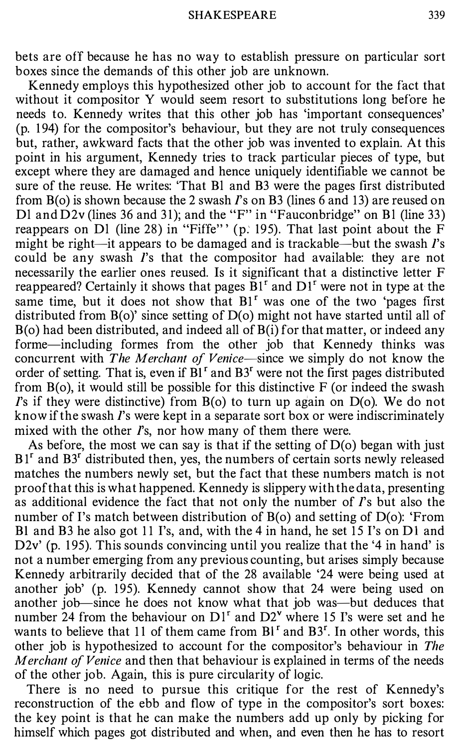bets are off because he has no way to establish pressure on particular sort boxes since the demands of this other job are unknown.

Kennedy employs this hypothesized other job to account for the fact that without it compositor Y would seem resort to substitutions long before he needs to. Kennedy writes that this other job has 'important consequences' (p. 1 94) for the compositor's behaviour, but they are not truly consequences but, rather, awkward facts that the other job was invented to explain. At this point in his argument, Kennedy tries to track particular pieces of type, but except where they are damaged and hence uniquely identifiable we cannot be sure of the reuse. He writes: 'That Bl and B3 were the pages first distributed from  $B(0)$  is shown because the 2 swash  $\Gamma$ s on B3 (lines 6 and 13) are reused on Dl and  $D2v$  (lines 36 and 31); and the "F" in "Fauconbridge" on B1 (line 33) reappears on Dl (line 28) in "Fiffe" ' (p. 195). That last point about the F might be right-it appears to be damaged and is trackable-but the swash  $\Gamma$ 's could be any swash I's that the compositor had available: they are not necessarily the earlier ones reused. Is it significant that a distinctive letter F reappeared? Certainly it shows that pages  $\overline{B}1^r$  and  $DI^r$  were not in type at the same time, but it does not show that  $BI<sup>r</sup>$  was one of the two 'pages first distributed from B(o)' since setting of D(o) might not have started until all of  $B(0)$  had been distributed, and indeed all of  $B(i)$  for that matter, or indeed any forme-including formes from the other job that Kennedy thinks was concurrent with The Merchant of Venice-since we simply do not know the order of setting. That is, even if  $BI<sup>r</sup>$  and  $B3<sup>r</sup>$  were not the first pages distributed from  $B$ (o), it would still be possible for this distinctive  $F$  (or indeed the swash I's if they were distinctive) from  $B(0)$  to turn up again on  $D(0)$ . We do not know if the swash I's were kept in a separate sort box or were indiscriminately mixed with the other  $\Gamma$ s, nor how many of them there were.

As before, the most we can say is that if the setting of  $D$ ( $o$ ) began with just  $B1<sup>r</sup>$  and  $B3<sup>r</sup>$  distributed then, yes, the numbers of certain sorts newly released matches the numbers newly set, but the fact that these numbers match is not proof that this is what happened. Kennedy is slippery with the data, presenting as additional evidence the fact that not only the number of  $\Gamma$ 's but also the number of I's match between distribution of B(o) and setting of D(o): 'From Bl and B3 he also got 11 I's, and, with the 4 in hand, he set 15 I's on DI and D2v' (p. 195). This sounds convincing until you realize that the '4 in hand' is not a number emerging from any previous counting, but arises simply because Kennedy arbitrarily decided that of the 28 available '24 were being used at another job' (p. 195). Kennedy cannot show that 24 were being used on another job--since he does not know what that job was-but deduces that number 24 from the behaviour on  $DI<sup>r</sup>$  and  $D2<sup>v</sup>$  where 15 I's were set and he wants to believe that 11 of them came from  $BI<sup>r</sup>$  and  $B3<sup>r</sup>$ . In other words, this other job is hypothesized to account for the compositor's behaviour in The Merchant of Venice and then that behaviour is explained in terms of the needs of the other job. Again, this is pure circularity of logic.

There is no need to pursue this critique for the rest of Kennedy's reconstruction of the ebb and flow of type in the compositor's sort boxes: the key point is that he can make the numbers add up only by picking for himself which pages got distributed and when, and even then he has to resort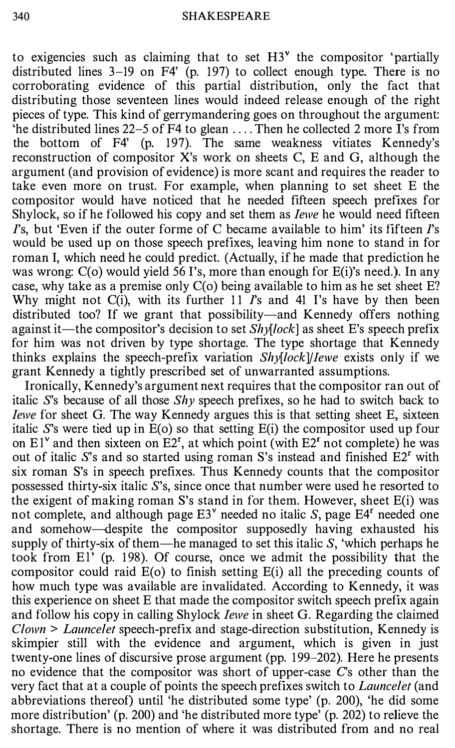to exigencies such as claiming that to set  $H3^{\nu}$  the compositor 'partially distributed lines 3-19 on F4' (p. 197) to collect enough type. There is no corroborating evidence of this partial distribution, only the fact that distributing those seventeen lines would indeed release enough of the right pieces of type. This kind of gerrymandering goes on throughout the argument: 'he distributed lines 22-5 of F4 to glean .... Then he collected 2 more I's from the bottom of F4' (p. 197). The same weakness vitiates Kennedy's reconstruction of compositor X's work on sheets C, E and G, although the argument (and provision of evidence) is more scant and requires the reader to take even more on trust. For example, when planning to set sheet E the compositor would have noticed that he needed fifteen speech prefixes for Shylock, so if he followed his copy and set them as *lewe* he would need fifteen  $\Gamma$ s, but 'Even if the outer forme of C became available to him' its fifteen  $\Gamma$ s would be used up on those speech prefixes, leaving him none to stand in for roman I, which need he could predict. (Actually, if he made that prediction he was wrong: C(o) would yield 56 I's, more than enough for E(i)'s need.). In any case, why take as a premise only C(o) being available to him as he set sheet E? Why might not  $C(i)$ , with its further 11 *I*'s and 41 I's have by then been distributed too? If we grant that possibility—and Kennedy offers nothing against it—the compositor's decision to set  $Shy[lock]$  as sheet E's speech prefix for him was not driven by type shortage. The type shortage that Kennedy thinks explains the speech-prefix variation  $Shy[lock]/Iewe$  exists only if we grant Kennedy a tightly prescribed set of unwarranted assumptions.

Ironically, Kennedy's argument next requires that the compositor ran out of italic S's because of all those  $Shy$  speech prefixes, so he had to switch back to *Iewe* for sheet G. The way Kennedy argues this is that setting sheet E, sixteen italic  $S$ 's were tied up in  $E(0)$  so that setting  $E(i)$  the compositor used up four on  $E1^{\nu}$  and then sixteen on  $E2^{\nu}$ , at which point (with  $E2^{\nu}$  not complete) he was out of italic S's and so started using roman S's instead and finished  $E2<sup>r</sup>$  with six roman S's in speech prefixes. Thus Kennedy counts that the compositor possessed thirty-six italic  $S$ 's, since once that number were used he resorted to the exigent of making roman S's stand in for them. However, sheet E(i) was not complete, and although page  $E3^{\nu}$  needed no italic S, page  $E4^{\nu}$  needed one and somehow—despite the compositor supposedly having exhausted his supply of thirty-six of them—he managed to set this italic  $S$ , 'which perhaps he took from El' (p. 198). Of course, once we admit the possibility that the compositor could raid  $E(0)$  to finish setting  $E(i)$  all the preceding counts of how much type was available are invalidated. According to Kennedy, it was this experience on sheet E that made the compositor switch speech prefix again and follow his copy in calling Shylock *lewe* in sheet G. Regarding the claimed  $C$ *lown* > *Launcelet* speech-prefix and stage-direction substitution, Kennedy is skimpier still with the evidence and argument, which is given in just twenty-one lines of discursive prose argument (pp. 199-202). Here he presents no evidence that the compositor was short of upper-case C's other than the very fact that at a couple of points the speech prefixes switch to *Launcelet* (and abbreviations thereof) until 'he distributed some type' (p. 200), 'he did some more distribution' (p. 200) and 'he distributed more type' (p. 202) to relieve the shortage. There is no mention of where it was distributed from and no real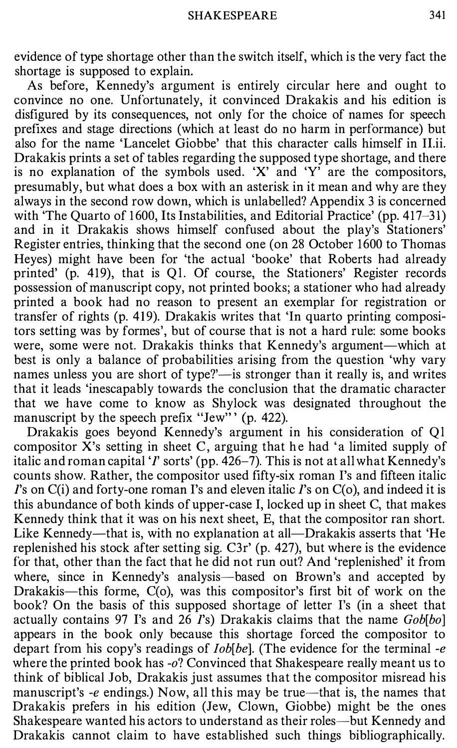evidence of type shortage other than the switch itself, which is the very fact the shortage is supposed to explain.

As before, Kennedy's argument is entirely circular here and ought to convince no one. Unfortunately, it convinced Drakakis and his edition is disfigured by its consequences, not only for the choice of names for speech prefixes and stage directions (which at least do no harm in performance) but also for the name 'Lancelet Giobbe' that this character calls himself in II.ii. Drakakis prints a set of tables regarding the supposed type shortage, and there is no explanation of the symbols used. 'X' and 'Y' are the compositors, presumably, but what does a box with an asterisk in it mean and why are they always in the second row down, which is unlabelled? Appendix 3 is concerned with 'The Quarto of 1600, Its Instabilities, and Editorial Practice' (pp. 417–31) and in it Drakakis shows himself confused about the play's Stationers' Register entries, thinking that the second one (on 28 October 1600 to Thomas Heyes) might have been for 'the actual 'booke' that Roberts had already printed' (p. 419), that is Ql. Of course, the Stationers' Register records possession of manuscript copy, not printed books; a stationer who had already printed a book had no reason to present an exemplar for registration or transfer of rights (p. 419). Drakakis writes that 'In quarto printing compositors setting was by formes', but of course that is not a hard rule: some books were, some were not. Drakakis thinks that Kennedy's argument—which at best is only a balance of probabilities arising from the question 'why vary names unless you are short of type?'—is stronger than it really is, and writes that it leads 'inescapably towards the conclusion that the dramatic character that we have come to know as Shylock was designated throughout the manuscript by the speech prefix "Jew" ' (p. 422).

Drakakis goes beyond Kennedy's argument in his consideration of Ql compositor X's setting in sheet C, arguing that he had 'a limited supply of italic and roman capital 'I' sorts' (pp. 426-7). This is not at all what Kennedy's counts show. Rather, the compositor used fifty-six roman I's and fifteen italic  $\Gamma$ 's on C(i) and forty-one roman  $\Gamma$ 's and eleven italic  $\Gamma$ 's on C(o), and indeed it is this abundance of both kinds of upper-case I, locked up in sheet C, that makes Kennedy think that it was on his next sheet, E, that the compositor ran short. Like Kennedy—that is, with no explanation at all—Drakakis asserts that 'He replenished his stock after setting sig. C3r' (p. 427), but where is the evidence for that, other than the fact that he did not run out? And 'replenished' it from where, since in Kennedy's analysis—based on Brown's and accepted by Drakakis-this forme, C(o), was this compositor's first bit of work on the book? On the basis of this supposed shortage of letter I's (in a sheet that actually contains 97 I's and 26 I's) Drakakis claims that the name  $Gob[bo]$ appears in the book only because this shortage forced the compositor to depart from his copy's readings of  $Iob[be]$ . (The evidence for the terminal -e where the printed book has  $-0$ ? Convinced that Shakespeare really meant us to think of biblical Job, Drakakis just assumes that the compositor misread his manuscript's -e endings.) Now, all this may be true—that is, the names that Drakakis prefers in his edition (Jew, Clown, Giobbe) might be the ones Shakespeare wanted his actors to understand as their roles—but Kennedy and Drakakis cannot claim to have established such things bibliographically.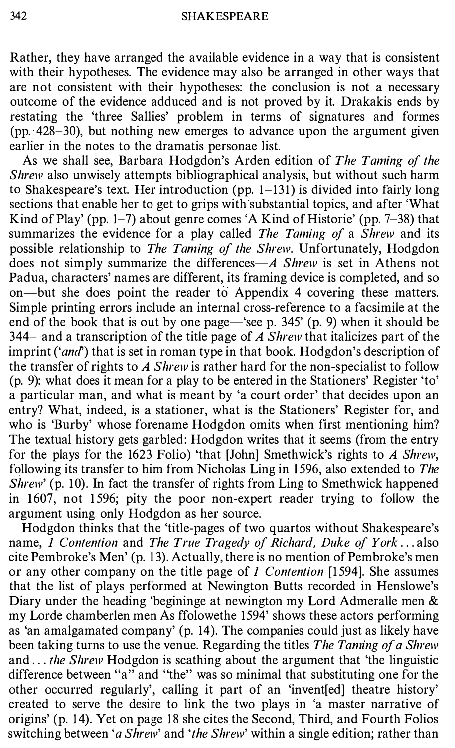Rather, they have arranged the available evidence in a way that is consistent with their hypotheses. The evidence may also be arranged in other ways that are not consistent with their hypotheses: the conclusion is not a necessary outcome of the evidence adduced and is not proved by it. Drakakis ends by restating the 'three Sallies' problem in terms of signatures and formes (pp. 428-30), but nothing new emerges to advance upon the argument given earlier in the notes to the dramatis personae list.

As we shall see, Barbara Hodgdon's Arden edition of The Taming of the Shrew also unwisely attempts bibliographical analysis, but without such harm to Shakespeare's text. Her introduction (pp. 1-131) is divided into fairly long sections that enable her to get to grips with substantial topics, and after 'What Kind of Play' (pp. 1–7) about genre comes 'A Kind of Historie' (pp.  $7-38$ ) that summarizes the evidence for a play called The Taming of a Shrew and its possible relationship to The Taming of the Shrew. Unfortunately, Hodgdon does not simply summarize the differences— $\overline{A}$  Shrew is set in Athens not Padua, characters' names are different, its framing device is completed, and so on-but she does point the reader to Appendix 4 covering these matters. Simple printing errors include an internal cross-reference to a facsimile at the end of the book that is out by one page—'see p.  $345'$  (p. 9) when it should be 344—and a transcription of the title page of A Shrew that italicizes part of the imprint ('and') that is set in roman type in that book. Hodgdon's description of the transfer of rights to A Shrew is rather hard for the non-specialist to follow (p. 9): what does it mean for a play to be entered in the Stationers' Register 'to' a particular man, and what is meant by 'a court order' that decides upon an entry? What, indeed, is a stationer, what is the Stationers' Register for, and who is 'Burby' whose forename Hodgdon omits when first mentioning him? The textual history gets garbled: Hodgdon writes that it seems (from the entry for the plays for the 1623 Folio) 'that [John] Smethwick's rights to A Shrew, following its transfer to him from Nicholas Ling in 1596, also extended to The Shrew' (p. 10). In fact the transfer of rights from Ling to Smethwick happened in 1607, not 1596; pity the poor non-expert reader trying to follow the argument using only Hodgdon as her source.

Hodgdon thinks that the 'title-pages of two quartos without Shakespeare's name, 1 Contention and The True Tragedy of Richard, Duke of York ... also cite Pembroke's Men' (p. 13). Actually, there is no mention of Pembroke's men or any other company on the title page of 1 Contention [1594]. She assumes that the list of plays performed at Newington Butts recorded in Henslowe's Diary under the heading 'begininge at newington my Lord Admeralle men & my Lorde chamberlen men As ffolowethe 1594' shows these actors performing as 'an amalgamated company' (p. 14). The companies could just as likely have been taking turns to use the venue. Regarding the titles The Taming of a Shrew and ... the Shrew Hodgdon is scathing about the argument that 'the linguistic difference between "a" and "the" was so minimal that substituting one for the other occurred regularly', calling it part of an 'invent[ed] theatre history' created to serve the desire to link the two plays in 'a master narrative of origins' (p. 14). Yet on page 18 she cites the Second, Third, and Fourth Folios switching between 'a Shrew' and 'the Shrew' within a single edition; rather than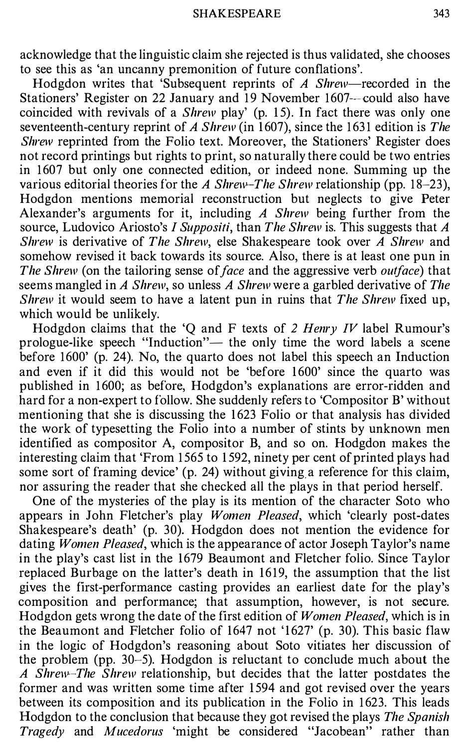acknowledge that the linguistic claim she rejected is thus validated, she chooses to see this as 'an uncanny premonition of future conflations'.

Hodgdon writes that 'Subsequent reprints of  $\Lambda$  Shrew-recorded in the Stationers' Register on 22 January and 19 November 1607---could also have coincided with revivals of a Shrew play' (p. 15). In fact there was only one seventeenth-century reprint of A Shrew (in 1607), since the 1631 edition is The Shrew reprinted from the Folio text. Moreover, the Stationers' Register does not record printings but rights to print, so naturally there could be two entries in 1 607 but only one connected edition, or indeed none. Summing up the various editorial theories for the A Shrew-The Shrew relationship (pp. 18–23), Hodgdon mentions memorial reconstruction but neglects to give Peter Alexander's arguments for it, including A Shrew being further from the source, Ludovico Ariosto's I Suppositi, than The Shrew is. This suggests that A Shrew is derivative of The Shrew, else Shakespeare took over A Shrew and somehow revised it back towards its source. Also, there is at least one pun in The Shrew (on the tailoring sense of face and the aggressive verb *outface*) that seems mangled in A Shrew, so unless A Shrew were a garbled derivative of The Shrew it would seem to have a latent pun in ruins that The Shrew fixed up, which would be unlikely.

Hodgdon claims that the 'Q and F texts of 2 Henry IV label Rumour's prologue-like speech "Induction"— the only time the word labels a scene before 1600' (p. 24). No, the quarto does not label this speech an Induction and even if it did this would not be 'before 1600' since the quarto was published in 1 600; as before, Hodgdon's explanations are error-ridden and hard for a non-expert to follow. She suddenly refers to 'Compositor B' without mentioning that she is discussing the 1 623 Folio or that analysis has divided the work of typesetting the Folio into a number of stints by unknown men identified as compositor A, compositor B, and so on. Hodgdon makes the interesting claim that 'From 1565 to 1592, ninety per cent of printed plays had some sort of framing device' (p. 24) without giving a reference for this claim, nor assuring the reader that she checked all the plays in that period herself.

One of the mysteries of the play is its mention of the character Soto who appears in John Fletcher's play Women Pleased, which 'clearly post-dates Shakespeare's death' (p. 30). Hodgdon does not mention the evidence for dating *Women Pleased*, which is the appearance of actor Joseph Taylor's name in the play's cast list in the 1679 Beaumont and Fletcher folio. Since Taylor replaced Burbage on the latter's death in 1619, the assumption that the list gives the first-performance casting provides an earliest date for the play's composition and performance; that assumption, however, is not secure. Hodgdon gets wrong the date of the first edition of Women Pleased, which is in the Beaumont and Fletcher folio of 1647 not '1627' (p. 30). This basic flaw in the logic of Hodgdon's reasoning about Soto vitiates her discussion of the problem (pp. 30-5). Hodgdon is reluctant to conclude much about the A Shrew-The Shrew relationship, but decides that the latter postdates the former and was written some time after 1 594 and got revised over the years between its composition and its publication in the Folio in 1623. This leads Hodgdon to the conclusion that because they got revised the plays The Spanish Tragedy and Mucedorus 'might be considered "Jacobean" rather than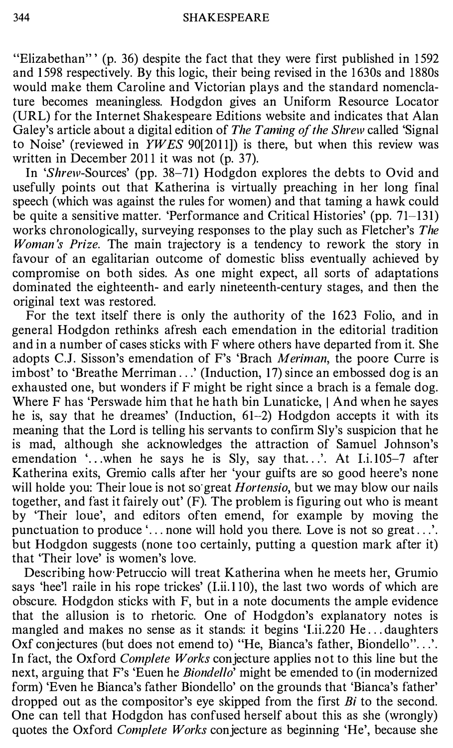"Elizabethan"' (p. 36) despite the fact that they were first published in 1 592 and 1 598 respectively. By this logic, their being revised in the 1 630s and 1880s would make them Caroline and Victorian plays and the standard nomenclature becomes meaningless. Hodgdon gives an Uniform Resource Locator (URL) for the Internet Shakespeare Editions website and indicates that Alan Galey's article about a digital edition of The Taming of the Shrew called 'Signal' to Noise' (reviewed in  $YWES$  90[2011]) is there, but when this review was written in December 2011 it was not (p. 37).

In 'Shrew-Sources' (pp. 38-71) Hodgdon explores the debts to Ovid and usefully points out that Katherina is virtually preaching in her long final speech (which was against the rules for women) and that taming a hawk could be quite a sensitive matter. 'Performance and Critical Histories' (pp. 71-131) works chronologically, surveying responses to the play such as Fletcher's The Woman's Prize. The main trajectory is a tendency to rework the story in favour of an egalitarian outcome of domestic bliss eventually achieved by compromise on both sides. As one might expect, all sorts of adaptations dominated the eighteenth- and early nineteenth-century stages, and then the original text was restored.

For the text itself there is only the authority of the 1623 Folio, and in general Hodgdon rethinks afresh each emendation in the editorial tradition and in a number of cases sticks with F where others have departed from it. She adopts C.J. Sisson's emendation of F's 'Brach Meriman, the poore Curre is imbost' to 'Breathe Merriman .. .' (Induction, 17) since an embossed dog is an exhausted one, but wonders if F might be right since a brach is a female dog. Where F has 'Perswade him that he hath bin Lunaticke, I And when he sayes he is, say that he dreames' (Induction, 61-2) Hodgdon accepts it with its meaning that the Lord is telling his servants to confirm Sly's suspicion that he is mad, although she acknowledges the attraction of Samuel Johnson's emendation '...when he says he is Sly, say that...'. At I.i.105-7 after Katherina exits, Gremio calls after her 'your guifts are so good heere's none will holde you: Their loue is not so great *Hortensio*, but we may blow our nails together, and fast it fairely out' (F). The problem is figuring out who is meant by 'Their loue', and editors often emend, for example by moving the punctuation to produce '... none will hold you there. Love is not so great...'. but Hodgdon suggests (none too certainly, putting a question mark after it) that 'Their love' is women's love.

Describing how Petruccio will treat Katherina when he meets her, Grumio says 'hee'l raile in his rope trickes' (l.ii. 1 10), the last two words of which are obscure. Hodgdon sticks with F, but in a note documents the ample evidence that the allusion is to rhetoric. One of Hodgdon's explanatory notes is mangled and makes no sense as it stands: it begins 'Lii.220 He...daughters Oxf conjectures (but does not emend to) "He, Bianca's father, Biondello"...'. In fact, the Oxford *Complete Works* conjecture applies not to this line but the next, arguing that F's 'Euen he *Biondello*' might be emended to (in modernized form) 'Even he Bianca's father Biondello' on the grounds that 'Bianca's father' dropped out as the compositor's eye skipped from the first  $Bi$  to the second. One can tell that Hodgdon has confused herself about this as she (wrongly) quotes the Oxford *Complete Works* conjecture as beginning 'He', because she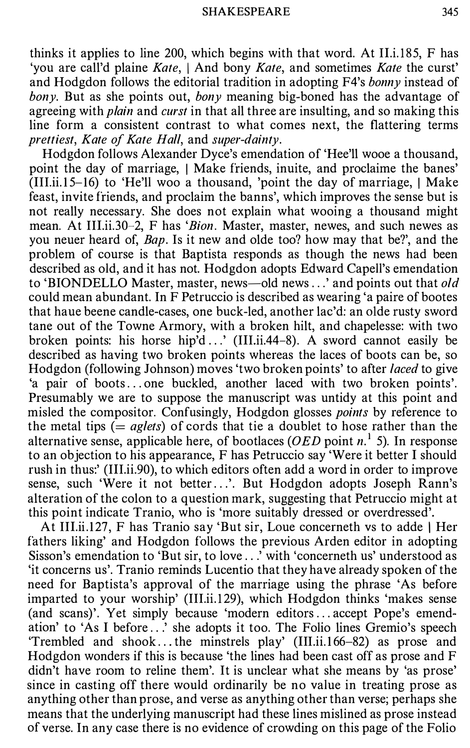thinks it applies to line 200, which begins with that word. At  $II$ , 185, F has 'you are call'd plaine Kate, I And bony Kate, and sometimes Kate the curst' and Hodgdon follows the editorial tradition in adopting  $F4$ 's *bonny* instead of bony. But as she points out, bony meaning big-boned has the advantage of agreeing with *plain* and *curst* in that all three are insulting, and so making this line form a consistent contrast to what comes next, the flattering terms prettiest, Kate of Kate Hall, and super-dainty.

Hodgdon follows Alexander Dyce's emendation of 'Hee'll wooe a thousand, point the day of marriage, I Make friends, inuite, and proclaime the banes'  $(III.ii.15-16)$  to 'He'll woo a thousand, 'point the day of marriage, | Make feast, invite friends, and proclaim the banns', which improves the sense but is not really necessary. She does not explain what wooing a thousand might mean. At III.ii.30-2, F has 'Bion. Master, master, newes, and such newes as you neuer heard of, Bap. Is it new and olde too? how may that be?', and the problem of course is that Baptista responds as though the news had been described as old, and it has not. Hodgdon adopts Edward Capell's emendation to 'BIONDELLO Master, master, news—old news ...' and points out that old could mean abundant. In F Petruccio is described as wearing 'a paire of bootes that haue beene candle-cases, one buck-led, another lac'd: an aide rusty sword tane out of the Towne Armory, with a broken hilt, and chapelesse: with two broken points: his horse hip'd ...' (III.ii.44-8). A sword cannot easily be described as having two broken points whereas the laces of boots can be, so Hodgdon (following Johnson) moves 'two broken points' to after laced to give 'a pair of boots ... one buckled, another laced with two broken points'. Presumably we are to suppose the manuscript was untidy at this point and misled the compositor. Confusingly, Hodgdon glosses points by reference to the metal tips (=  $aglets$ ) of cords that tie a doublet to hose rather than the alternative sense, applicable here, of bootlaces (OED point  $n<sup>1</sup>$  5). In response to an objection to his appearance, F has Petruccio say 'Were it better I should rush in thus:' (III.ii.90), to which editors often add a word in order to improve sense, such 'Were it not better...'. But Hodgdon adopts Joseph Rann's alteration of the colon to a question mark, suggesting that Petruccio might at this point indicate Tranio, who is 'more suitably dressed or overdressed'.

At III.ii.127, F has Tranio say 'But sir, Loue concerneth vs to adde | Her fathers liking' and Hodgdon follows the previous Arden editor in adopting Sisson's emendation to 'But sir, to love .. .' with 'concerneth us' understood as 'it concerns us'. Tranio reminds Lucentio that they have already spoken of the need for Baptista's approval of the marriage using the phrase 'As before imparted to your worship' (III.ii.129), which Hodgdon thinks 'makes sense (and scans)'. Yet simply because 'modern editors ... accept Pope's emendation' to 'As I before .. .' she adopts it too. The Folio lines Gremio's speech 'Trembled and shook ... the minstrels play' (III.ii.1 66-82) as prose and Hodgdon wonders if this is because 'the lines had been cast off as prose and F didn't have room to reline them'. It is unclear what she means by 'as prose' since in casting off there would ordinarily be no value in treating prose as anything other than prose, and verse as anything other than verse; perhaps she means that the underlying manuscript had these lines mislined as prose instead of verse. In any case there is no evidence of crowding on this page of the Folio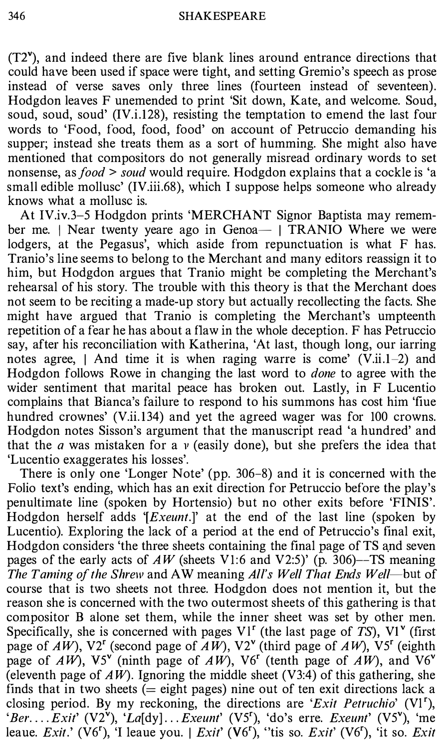$(T2)$ , and indeed there are five blank lines around entrance directions that could have been used if space were tight, and setting Gremio's speech as prose instead of verse saves only three lines (fourteen instead of seventeen). Hodgdon leaves F unemended to print 'Sit down, Kate, and welcome. Soud, soud, soud, soud' (IV.i.128), resisting the temptation to emend the last four words to 'Food, food, food, food' on account of Petruccio demanding his supper; instead she treats them as a sort of humming. She might also have mentioned that compositors do not generally misread ordinary words to set nonsense, as *food > soud* would require. Hodgdon explains that a cockle is 'a small edible mollusc' (IV.iii.68), which I suppose helps someone who already knows what a mollusc is.

At IV.iv.3-5 Hodgdon prints 'MERCHANT Signor Baptista may remember me. | Near twenty yeare ago in Genoa - | TRANIO Where we were lodgers, at the Pegasus', which aside from repunctuation is what F has. Tranio's line seems to belong to the Merchant and many editors reassign it to him, but Hodgdon argues that Tranio might be completing the Merchant's rehearsal of his story. The trouble with this theory is that the Merchant does not seem to be reciting a made-up story but actually recollecting the facts. She might have argued that Tranio is completing the Merchant's umpteenth repetition of a fear he has about a flaw in the whole deception. F has Petruccio say, after his reconciliation with Katherina, 'At last, though long, our iarring notes agree,  $\vert$  And time it is when raging warre is come' (V.ii.1–2) and Hodgdon follows Rowe in changing the last word to *done* to agree with the wider sentiment that marital peace has broken out. Lastly, in F Lucentio complains that Bianca's failure to respond to his summons has cost him 'fiue hundred crownes' (V.ii.134) and yet the agreed wager was for 100 crowns. Hodgdon notes Sisson's argument that the manuscript read 'a hundred' and that the  $a$  was mistaken for a  $\nu$  (easily done), but she prefers the idea that 'Lucentio exaggerates his losses'.

There is only one 'Longer Note' (pp. 306-8) and it is concerned with the Folio text's ending, which has an exit direction for Petruccio before the play's penultimate line (spoken by Hortensia) but no other exits before 'FINIS'. Hodgdon herself adds '[ $Exeunt$ .]' at the end of the last line (spoken by Lucentio). Exploring the lack of a period at the end of Petruccio's final exit, Hodgdon considers 'the three sheets containing the final page of TS and seven pages of the early acts of  $AW$  (sheets V1:6 and V2:5)' (p. 306)--TS meaning The Taming of the Shrew and AW meaning All's Well That Ends Well—but of course that is two sheets not three. Hodgdon does not mention it, but the reason she is concerned with the two outermost sheets of this gathering is that compositor B alone set them, while the inner sheet was set by other men. Specifically, she is concerned with pages  $VI<sup>r</sup>$  (the last page of TS),  $VI<sup>v</sup>$  (first page of  $AW$ ), V2<sup>r</sup> (second page of  $AW$ ), V2<sup>v</sup> (third page of  $AW$ ), V5<sup>r</sup> (eighth page of  $AW$ ), V5<sup>v</sup> (ninth page of  $AW$ ), V6<sup>r</sup> (tenth page of  $AW$ ), and V6<sup>v</sup> (eleventh page of  $AW$ ). Ignoring the middle sheet (V3:4) of this gathering, she finds that in two sheets  $(=$  eight pages) nine out of ten exit directions lack a closing period. By my reckoning, the directions are 'Exit Petruchio'  $(V1^r)$ , 'Ber.... $Exit'$  (V2<sup>v</sup>), 'La[dy]...*Exeunt'* (V5<sup>r</sup>), 'do's erre. *Exeunt'* (V5<sup>v</sup>), 'me leaue. Exit.' (V6'), 'I leaue you. | Exit' (V6'), "tis so. Exit' (V6'), 'it so. Exit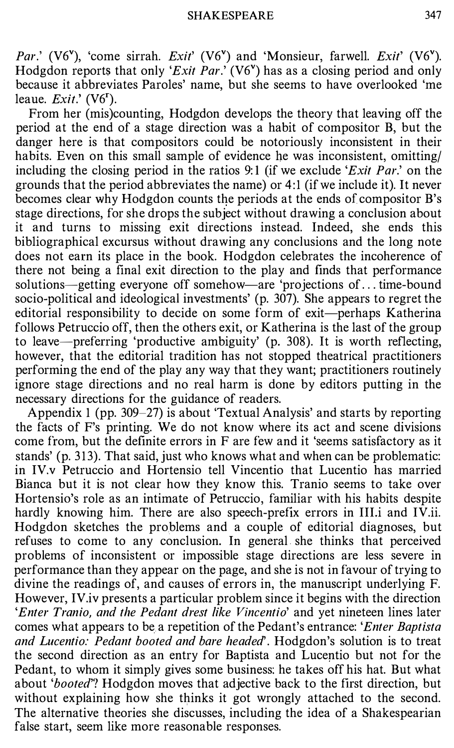Par.' (V6<sup>v</sup>), 'come sirrah. Exit' (V6<sup>v</sup>) and 'Monsieur, farwell. Exit' (V6<sup>v</sup>). Hodgdon reports that only 'Exit Par.' (V6") has as a closing period and only because it abbreviates Paroles' name, but she seems to have overlooked 'me leaue.  $Exit$ :  $(V6^r)$ .

From her (mis)counting, Hodgdon develops the theory that leaving off the period at the end of a stage direction was a habit of compositor B, but the danger here is that compositors could be notoriously inconsistent in their habits. Even on this small sample of evidence he was inconsistent, omitting/ including the closing period in the ratios 9:1 (if we exclude 'Exit Par.' on the grounds that the period abbreviates the name) or 4:1 (if we include it). It never becomes clear why Hodgdon counts the periods at the ends of compositor B's stage directions, for she drops the subject without drawing a conclusion about it and turns to missing exit directions instead. Indeed, she ends this bibliographical excursus without drawing any conclusions and the long note does not earn its place in the book. Hodgdon celebrates the incoherence of there not being a final exit direction to the play and finds that performance solutions-getting everyone off somehow-are 'projections of ... time-bound socio-political and ideological investments' (p. 307). She appears to regret the editorial responsibility to decide on some form of exit-perhaps Katherina follows Petruccio off, then the others exit, or Katherina is the last of the group to leave-preferring 'productive ambiguity' (p. 308). It is worth reflecting, however, that the editorial tradition has not stopped theatrical practitioners performing the end of the play any way that they want; practitioners routinely ignore stage directions and no real harm is done by editors putting in the necessary directions for the guidance of readers.

Appendix 1 (pp. 309-27) is about 'Textual Analysis' and starts by reporting the facts of F's printing. We do not know where its act and scene divisions come from, but the definite errors in F are few and it 'seems satisfactory as it stands' (p. 313). That said, just who knows what and when can be problematic: in IV.v Petruccio and Hortensia tell Vincentio that Lucentio has married Bianca but it is not clear how they know this. Tranio seems to take over Hortensio's role as an intimate of Petruccio, familiar with his habits despite hardly knowing him. There are also speech-prefix errors in III.i and IV.ii. Hodgdon sketches the problems and a couple of editorial diagnoses, but refuses to come to any conclusion. In general she thinks that perceived problems of inconsistent or impossible stage directions are less severe in performance than they appear on the page, and she is not in favour of trying to divine the readings of, and causes of errors in, the manuscript underlying F. However, IV.iv presents a particular problem since it begins with the direction 'Enter Tranio, and the Pedant drest like Vincentio' and yet nineteen lines later comes what appears to be a repetition of the Pedant's entrance: 'Enter Baptista and Lucentio: Pedant booted and bare headed<sup>"</sup>. Hodgdon's solution is to treat the second direction as an entry for Baptista and Lucentio but not for the Pedant, to whom it simply gives some business: he takes off his hat. But what about 'booted'? Hodgdon moves that adjective back to the first direction, but without explaining how she thinks it got wrongly attached to the second. The alternative theories she discusses, including the idea of a Shakespearian false start, seem like more reasonable responses.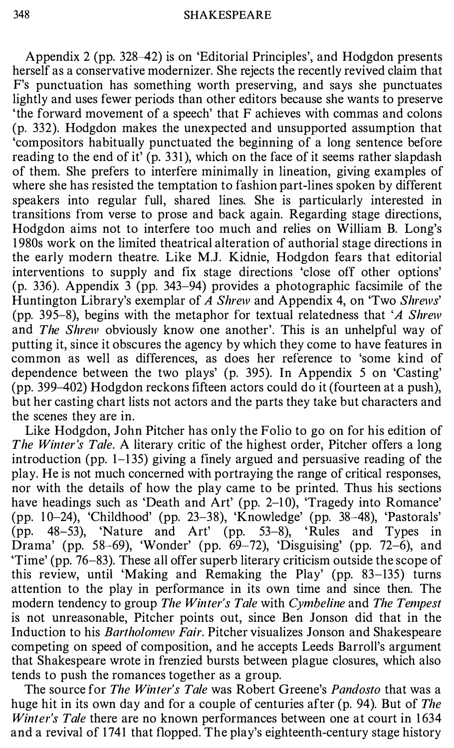Appendix 2 (pp. 328-42) is on 'Editorial Principles', and Hodgdon presents herself as a conservative modernizer. She rejects the recently revived claim that F's punctuation has something worth preserving, and says she punctuates lightly and uses fewer periods than other editors because she wants to preserve 'the forward movement of a speech' that F achieves with commas and colons (p. 332). Hodgdon makes the unexpected and unsupported assumption that 'compositors habitually punctuated the beginning of a long sentence before reading to the end of it' (p. 331), which on the face of it seems rather slapdash of them. She prefers to interfere minimally in lineation, giving examples of where she has resisted the temptation to fashion part-lines spoken by different speakers into regular full, shared lines. She is particularly interested in transitions from verse to prose and back again. Regarding stage directions, Hodgdon aims not to interfere too much and relies on William B. Long's 1 980s work on the limited theatrical alteration of authorial stage directions in the early modern theatre. Like M.J. Kidnie, Hodgdon fears that editorial interventions to supply and fix stage directions 'close off other options' (p. 336). Appendix 3 (pp. 343-94) provides a photographic facsimile of the Huntington Library's exemplar of A Shrew and Appendix 4, on 'Two Shrews' (pp. 395-8), begins with the metaphor for textual relatedness that 'A Shrew and The Shrew obviously know one another'. This is an unhelpful way of putting it, since it obscures the agency by which they come to have features in common as well as differences, as does her reference to 'some kind of dependence between the two plays' (p. 395). In Appendix 5 on 'Casting' (pp. 399-402) Hodgdon reckons fifteen actors could do it (fourteen at a push), but her casting chart lists not actors and the parts they take but characters and the scenes they are in.

Like Hodgdon, John Pitcher has only the Folio to go on for his edition of The Winter's Tale. A literary critic of the highest order, Pitcher offers a long introduction (pp.  $1-135$ ) giving a finely argued and persuasive reading of the play. He is not much concerned with portraying the range of critical responses, nor with the details of how the play came to be printed. Thus his sections have headings such as 'Death and Art' (pp. 2-10), 'Tragedy into Romance' (pp. 1 0-24), 'Childhood' (pp. 23-38), 'Knowledge' (pp. 38-48), 'Pastorals' (pp. 48-53), 'Nature and Art' (pp. 53-8), 'Rules and Types in Drama' (pp. 58-69), 'Wonder' (pp. 69-72), 'Disguising' (pp. 72-6), and 'Time' (pp. 76-83). These all offer superb literary criticism outside the scope of this review, until 'Making and Remaking the Play' (pp. 83-135) turns attention to the play in performance in its own time and since then. The modern tendency to group The Winter's Tale with Cymbeline and The Tempest is not unreasonable, Pitcher points out, since Ben Jonson did that in the Induction to his Bartholomew Fair. Pitcher visualizes Jonson and Shakespeare competing on speed of composition, and he accepts Leeds Barroll's argument that Shakespeare wrote in frenzied bursts between plague closures, which also tends to push the romances together as a group.

The source for The Winter's Tale was Robert Greene's Pandosto that was a huge hit in its own day and for a couple of centuries after (p. 94). But of The Winter's Tale there are no known performances between one at court in 1634 and a revival of 1741 that flopped. The play's eighteenth-century stage history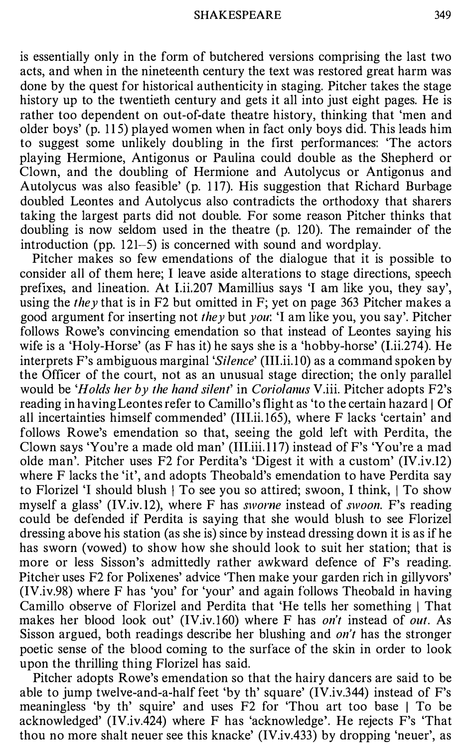is essentially only in the form of butchered versions comprising the last two acts, and when in the nineteenth century the text was restored great harm was done by the quest for historical authenticity in staging. Pitcher takes the stage history up to the twentieth century and gets it all into just eight pages. He is rather too dependent on out-of-date theatre history, thinking that 'men and older boys' (p. 115) played women when in fact only boys did. This leads him to suggest some unlikely doubling in the first performances: 'The actors playing Hermione, Antigonus or Paulina could double as the Shepherd or Clown, and the doubling of Hermione and Autolycus or Antigonus and Autolycus was also feasible' (p. 1 17). His suggestion that Richard Burbage doubled Leontes and Autolycus also contradicts the orthodoxy that sharers taking the largest parts did not double. For some reason Pitcher thinks that doubling is now seldom used in the theatre (p. 120). The remainder of the introduction (pp. 121-5) is concerned with sound and wordplay.

Pitcher makes so few emendations of the dialogue that it is possible to consider all of them here; I leave aside alterations to stage directions, speech prefixes, and lineation. At I.ii.207 Mamillius says 'I am like you, they say', using the they that is in F2 but omitted in F; yet on page 363 Pitcher makes a good argument for inserting not they but you: 'I am like you, you say'. Pitcher follows Rowe's convincing emendation so that instead of Leontes saying his wife is a 'Holy-Horse' (as F has it) he says she is a 'hobby-horse' (l.ii.274). He interprets F's ambiguous marginal 'Silence' (III.ii.10) as a command spoken by the Officer of the court, not as an unusual stage direction; the only parallel would be 'Holds her by the hand silent' in Coriolanus V.iii. Pitcher adopts F2's reading in having Leontes refer to Camillo's flight as 'to the certain hazard | Of all incertainties himself commended' (III.ii. 165), where F lacks 'certain' and follows Rowe's emendation so that, seeing the gold left with Perdita, the Clown says 'You're a made old man'  $(III.iii.117)$  instead of F's 'You're a mad olde man'. Pitcher uses F2 for Perdita's 'Digest it with a custom' (IV.iv.12) where F lacks the 'it', and adopts Theobald's emendation to have Perdita say to Florizel 'I should blush  $\vert$  To see you so attired; swoon, I think,  $\vert$  To show myself a glass' (IV.iv. 12), where F has sworne instead of swoon. F's reading could be defended if Perdita is saying that she would blush to see Florizel dressing above his station (as she is) since by instead dressing down it is as ifhe has sworn (vowed) to show how she should look to suit her station; that is more or less Sisson's admittedly rather awkward defence of F's reading. Pitcher uses F2 for Polixenes' advice 'Then make your garden rich in gillyvors' (IV.iv.98) where F has 'you' for 'your' and again follows Theobald in having Camillo observe of Florizel and Perdita that 'He tells her something | That makes her blood look out' (IV.iv.160) where F has *on't* instead of *out*. As Sisson argued, both readings describe her blushing and on't has the stronger poetic sense of the blood coming to the surface of the skin in order to look upon the thrilling thing Florizel has said.

Pitcher adopts Rowe's emendation so that the hairy dancers are said to be able to jump twelve-and-a-half feet 'by th' square' (IV.iv.344) instead of F's meaningless 'by th' squire' and uses F2 for 'Thou art too base I To be acknowledged' (IV.iv.424) where F has 'acknowledge'. He rejects F's 'That thou no more shalt neuer see this knacke' (IV.iv.433) by dropping 'neuer', as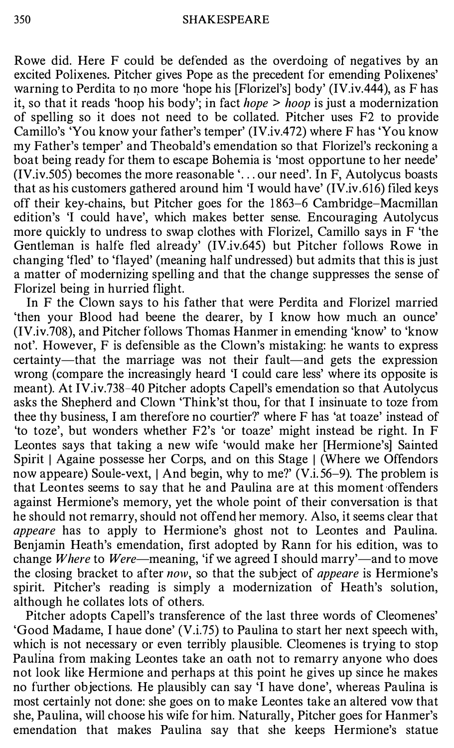Rowe did. Here F could be defended as the overdoing of negatives by an excited Polixenes. Pitcher gives Pope as the precedent for emending Polixenes' warning to Perdita to no more 'hope his [Florizel's] body' (IV.iv.444), as F has it, so that it reads 'hoop his body'; in fact  $hope > hoop$  is just a modernization of spelling so it does not need to be collated. Pitcher uses F2 to provide Camillo's 'You know your father's temper' (IV.iv.472) where F has 'You know my Father's temper' and Theobald's emendation so that Florizel's reckoning a boat being ready for them to escape Bohemia is 'most opportune to her neede' (IV.iv.505) becomes the more reasonable '. .. our need'. In F, Autolycus boasts that as his customers gathered around him 'I would have' (IV.iv.616) filed keys off their key-chains, but Pitcher goes for the 1 863-6 Cambridge-Macmillan edition's 'I could have', which makes better sense. Encouraging Autolycus more quickly to undress to swap clothes with Florizel, Camillo says in F 'the Gentleman is halfe fled already' (IV.iv.645) but Pitcher follows Rowe in changing 'fled' to 'flayed' (meaning half undressed) but admits that this is just a matter of modernizing spelling and that the change suppresses the sense of Florizel being in hurried flight.

In F the Clown says to his father that were Perdita and Florizel married 'then your Blood had beene the dearer, by I know how much. an ounce' (IV.iv.708), and Pitcher follows Thomas Hanmer in emending 'know' to 'know not'. However, F is defensible as the Clown's mistaking: he wants to express certainty—that the marriage was not their fault—and gets the expression wrong (compare the increasingly heard 'I could care less' where its opposite is meant). At IV.iv.738-40 Pitcher adopts Capell's emendation so that Autolycus asks the Shepherd and Clown 'Think'st thou, for that I insinuate to toze from thee thy business, I am therefore no courtier?' where F has 'at toaze' instead of 'to toze', but wonders whether F2's 'or toaze' might instead be right. In F Leontes says that taking a new wife 'would make her [Hermione's] Sainted Spirit | Againe possesse her Corps, and on this Stage | (Where we Offendors now appeare) Soule-vext, | And begin, why to me?' (V.i.56–9). The problem is that Leontes seems to say that he and Paulina are at this moment offenders against Hermione's memory, yet the whole point of their conversation is that he should not remarry, should not offend her memory. Also, it seems clear that appeare has to apply to Hermione's ghost not to Leontes and Paulina. Benjamin Heath's emendation, first adopted by Rann for his edition, was to change *Where* to *Were*—meaning, 'if we agreed I should marry'—and to move the closing bracket to after now, so that the subject of *appeare* is Hermione's spirit. Pitcher's reading is simply a modernization of Heath's solution, although he collates lots of others.

Pitcher adopts Capell's transference of the last three words of Cleomenes' 'Good Madame, I haue done' (V.i.75) to Paulina to start her next speech with, which is not necessary or even terribly plausible. Cleomenes is trying to stop Paulina from making Leontes take an oath not to remarry anyone who does not look like Hermione and perhaps at this point he gives up since he makes no further objections. He plausibly can say 'I have done', whereas Paulina is most certainly not done: she goes on to make Leontes take an altered vow that she, Paulina, will choose his wife for him. Naturally, Pitcher goes for Hanmer's emendation that makes Paulina say that she keeps Hermione's statue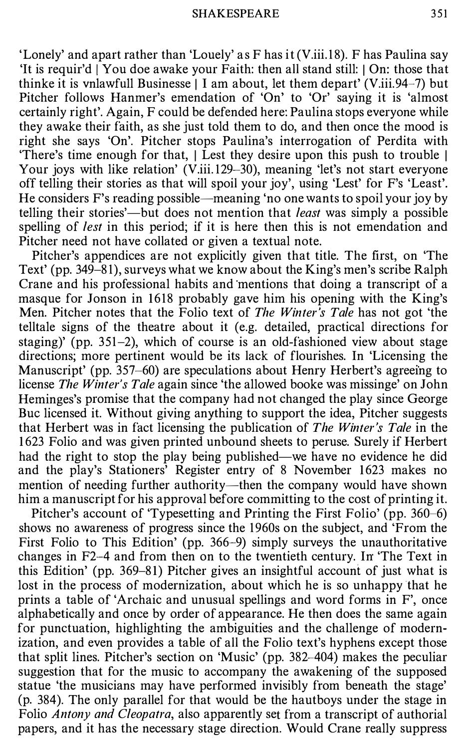'Lonely' and apart rather than 'Louely' as  $F$  has  $i(V.iii.18)$ . F has Paulina say 'It is requir'd [ You doe awake your Faith: then all stand still: [ On: those that thinke it is vnlawfull Businesse  $\vert$  I am about, let them depart' (V.iii.94-7) but Pitcher follows Hanmer's emendation of 'On' to 'Or' saying it is 'almost certainly right'. Again, F could be defended here: Paulina stops everyone while they awake their faith, as she just told them to do, and then once the mood is right she says 'On'. Pitcher stops Paulina's interrogation of Perdita with 'There's time enough for that, I Lest they desire upon this push to trouble I Your joys with like relation' (V.iii.129-30), meaning 'let's not start everyone off telling their stories as that will spoil your joy', using 'Lest' for F's 'Least'. He considers F's reading possible—meaning 'no one wants to spoil your joy by telling their stories'—but does not mention that *least* was simply a possible spelling of *lest* in this period; if it is here then this is not emendation and Pitcher need not have collated or given a textual note.

Pitcher's appendices are not explicitly given that title. The first, on 'The Text' (pp. 349-8 1), surveys what we know about the King's men's scribe Ralph Crane and his professional habits and mentions that doing a transcript of a masque for Jonson in 1618 probably gave him his opening with the King's Men. Pitcher notes that the Folio text of The Winter's Tale has not got 'the telltale signs of the theatre about it (e.g. detailed, practical directions for staging)' (pp. 351-2), which of course is an old-fashioned view about stage directions; more pertinent would be its lack of flourishes. In 'Licensing the Manuscript' (pp. 357-60) are speculations about Henry Herbert's agreeing to license The Winter's Tale again since 'the allowed booke was missinge' on John Heminges's promise that the company had not changed the play since George Bue licensed it. Without giving anything to support the idea, Pitcher suggests that Herbert was in fact licensing the publication of The Winter's Tale in the 1 623 Folio and was given printed unbound sheets to peruse. Surely if Herbert had the right to stop the play being published—we have no evidence he did and the play's Stationers<sup>3</sup> Register entry of 8 November 1623 makes no mention of needing further authority—then the company would have shown him a manuscript for his approval before committing to the cost of printing it.

Pitcher's account of 'Typesetting and Printing the First Folio' (pp. 360–6) shows no awareness of progress since the 1960s on the subject, and 'From the First Folio to This Edition' (pp. 366-9) simply surveys the unauthoritative changes in F2--4 and from then on to the twentieth century. In 'The Text in this Edition' (pp. 369-8 1) Pitcher gives an insightful account of just what is lost in the process of modernization, about which he is so unhappy that he prints a table of 'Archaic and unusual spellings and word forms in F', once alphabetically and once by order of appearance. He then does the same again for punctuation, highlighting the ambiguities and the challenge of modernization, and even provides a table of all the Folio text's hyphens except those that split lines. Pitcher's section on 'Music' (pp. 382-404) makes the peculiar suggestion that for the music to accompany the awakening of the supposed statue 'the musicians may have performed invisibly from beneath the stage' (p. 384). The only parallel for that would be the hautboys under the stage in Folio Antony and Cleopatra, also apparently set from a transcript of authorial papers, and it has the necessary stage direction. Would Crane really suppress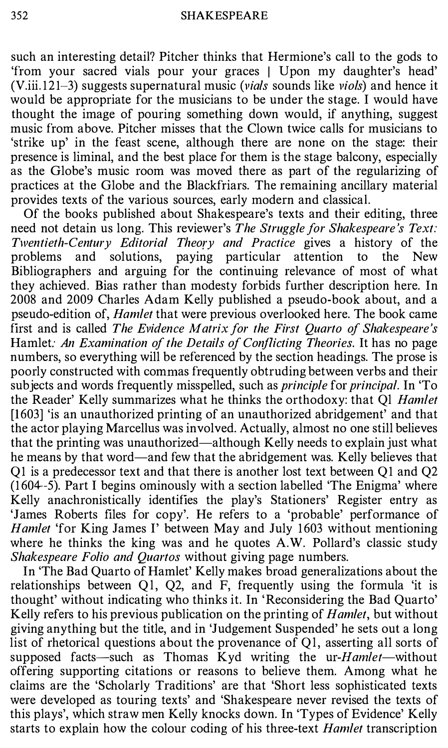such an interesting detail? Pitcher thinks that Hermione's call to the gods to 'from your sacred vials pour your graces I Upon my daughter's head' (V.iii.121–3) suggests supernatural music (*vials* sounds like *viols*) and hence it would be appropriate for the musicians to be under the stage. I would have thought the image of pouring something down would, if anything, suggest music from above. Pitcher misses that the Clown twice calls for musicians to 'strike up' in the feast scene, although there are none on the stage: their presence is liminal, and the best place for them is the stage balcony, especially as the Globe's music room was moved there as part of the regularizing of practices at the Globe and the Blackfriars. The remaining ancillary material provides texts of the various sources, early modern and classical.

Of the books published about Shakespeare's texts and their editing, three need not detain us long. This reviewer's The Struggle for Shakespeare's Text: Twentieth-Century Editorial Theory and Practice gives a history of the problems and solutions, paying particular attention to the New Bibliographers and arguing for the continuing relevance of most of what they achieved. Bias rather than modesty forbids further description here. In 2008 and 2009 Charles Adam Kelly published a pseudo-book about, and a pseudo-edition of, *Hamlet* that were previous overlooked here. The book came first and is called The Evidence Matrix for the First Quarto of Shakespeare's Hamlet: An Examination of the Details of Conflicting Theories. It has no page numbers, so everything will be referenced by the section headings. The prose is poorly constructed with commas frequently obtruding between verbs and their subjects and words frequently misspelled, such as *principle* for *principal*. In 'To the Reader' Kelly summarizes what he thinks the orthodoxy: that Ql Hamlet [1603] 'is an unauthorized printing of an unauthorized abridgement' and that the actor playing Marcellus was involved. Actually, almost no one still believes that the printing was unauthorized-although Kelly needs to explain just what he means by that word—and few that the abridgement was. Kelly believes that Q1 is a predecessor text and that there is another lost text between Q1 and Q2 (1 604--5). Part I begins ominously with a section labelled 'The Enigma' where Kelly anachronistically identifies the play's Stationers' Register entry as 'James Roberts files for copy'. He refers to a 'probable' performance of Hamlet 'for King James I' between May and July 1603 without mentioning where he thinks the king was and he quotes A.W. Pollard's classic study Shakespeare Folio and Quartos without giving page numbers.

In 'The Bad Quarto of Hamlet' Kelly makes broad generalizations about the relationships between Ql, Q2, and F, frequently using the formula 'it is thought' without indicating who thinks it. In 'Reconsidering the Bad Quarto' Kelly refers to his previous publication on the printing of *Hamlet*, but without giving anything but the title, and in 'Judgement Suspended' he sets out a long list of rhetorical questions about the provenance of Ql, asserting all sorts of supposed facts-such as Thomas Kyd writing the ur- $Hamlet$ -without offering supporting citations or reasons to believe them. Among what he claims are the 'Scholarly Traditions' are that 'Short less sophisticated texts were developed as touring texts' and 'Shakespeare never revised the texts of this plays', which straw men Kelly knocks down. In 'Types of Evidence' Kelly starts to explain how the colour coding of his three-text *Hamlet* transcription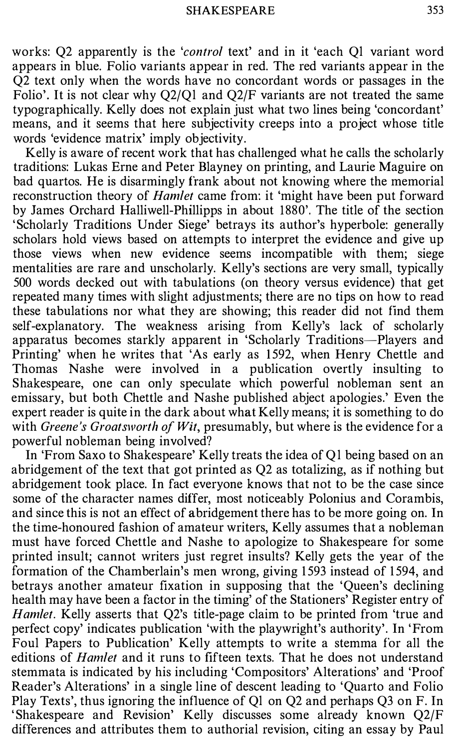works: Q2 apparently is the '*control* text' and in it 'each Q1 variant word appears in blue. Folio variants appear in red. The red variants appear in the Q2 text only when the words have no concordant words or passages in the Folio'. It is not clear why Q2/Ql and Q2/F variants are not treated the same typographically. Kelly does not explain just what two lines being 'concordant' means, and it seems that here subjectivity creeps into a project whose title words 'evidence matrix' imply objectivity.

Kelly is aware of recent work that has challenged what he calls the scholarly traditions: Lukas Erne and Peter Blayney on printing, and Laurie Maguire on bad quartos. He is disarmingly frank about not knowing where the memorial reconstruction theory of *Hamlet* came from: it 'might have been put forward by James Orchard Halliwell-Phillipps in about 1880'. The title of the section 'Scholarly Traditions Under Siege' betrays its author's hyperbole: generally scholars hold views based on attempts to interpret the evidence and give up those views when new evidence seems incompatible with them; siege mentalities are rare and unscholarly. Kelly's sections are very small, typically 500 words decked out with tabulations (on theory versus evidence) that get repeated many times with slight adjustments; there are no tips on how to read these tabulations nor what they are showing; this reader did not find them self-explanatory. The weakness arising from Kelly's lack of scholarly apparatus becomes starkly apparent in 'Scholarly Traditions-Players and Printing' when he writes that 'As early as 1592, when Henry Chettle and Thomas Nashe were involved in a publication overtly insulting to Shakespeare, one can only speculate which powerful nobleman sent an emissary, but both Chettle and Nashe published abject apologies.' Even the expert reader is quite in the dark about what Kelly means; it is something to do with Greene's Groatsworth of Wit, presumably, but where is the evidence for a powerful nobleman being involved?

In 'From Saxo to Shakespeare' Kelly treats the idea of Ql being based on an abridgement of the text that got printed as Q2 as totalizing, as if nothing but abridgement took place. In fact everyone knows that not to be the case since some of the character names differ, most noticeably Polonius and Corambis, and since this is not an effect of abridgement there has to be more going on. In the time-honoured fashion of amateur writers, Kelly assumes that a nobleman must have forced Chettle and Nashe to apologize to Shakespeare for some printed insult; cannot writers just regret insults? Kelly gets the year of the formation of the Chamberlain's men wrong, giving 1593 instead of 1594, and betrays another amateur fixation in supposing that the 'Queen's declining health may have been a factor in the timing' of the Stationers' Register entry of Hamlet. Kelly asserts that Q2's title-page claim to be printed from 'true and perfect copy' indicates publication 'with the playwright's authority'. In 'From Foul Papers to Publication' Kelly attempts to write a stemma for all the editions of *Hamlet* and it runs to fifteen texts. That he does not understand stemmata is indicated by his including 'Compositors' Alterations' and 'Proof Reader's Alterations' in a single line of descent leading to 'Quarto and Folio Play Texts', thus ignoring the influence of Ql on Q2 and perhaps Q3 on F. In ' Shakespeare and Revision' Kelly discusses some already known Q2/F differences and attributes them to authorial revision, citing an essay by Paul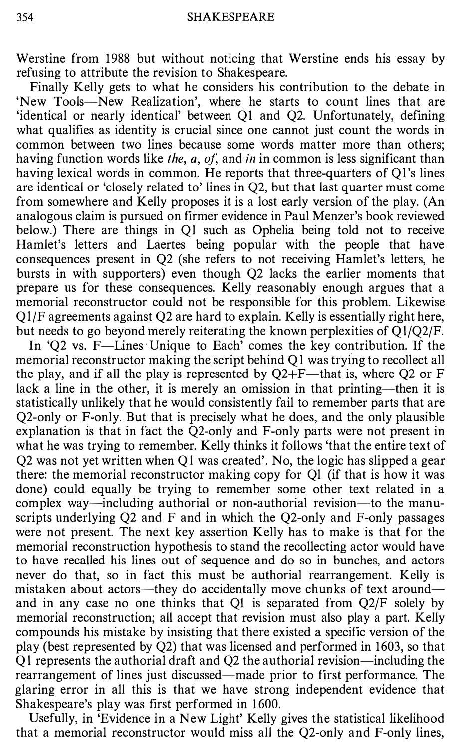Werstine from 1988 but without noticing that Werstine ends his essay by refusing to attribute the revision to Shakespeare.

Finally Kelly gets to what he considers his contribution to the debate in 'New Tools-New Realization', where he starts to count lines that are 'identical or nearly identical' between QI and Q2. Unfortunately, defining what qualifies as identity is crucial since one cannot just count the words in common between two lines because some words matter more than others; having function words like the, a, of, and in in common is less significant than having lexical words in common. He reports that three-quarters of O1's lines are identical or 'closely related to' lines in Q2, but that last quarter must come from somewhere and Kelly proposes it is a lost early version of the play. (An analogous claim is pursued on firmer evidence in Paul Menzer's book reviewed below.) There are things in QI such as Ophelia being told not to receive Hamlet's letters and Laertes being popular with the people that have consequences present in Q2 (she refers to not receiving Hamlet's letters, he bursts in with supporters) even though Q2 lacks the earlier moments that prepare us for these consequences. Kelly reasonably enough argues that a memorial reconstructor could not be responsible for this problem. Likewise Ql/F agreements against Q2 are hard to explain. Kelly is essentially right here, but needs to go beyond merely reiterating the known perplexities of  $Q1/Q2/F$ .

In 'Q2 vs. F—Lines Unique to Each' comes the key contribution. If the memorial reconstructor making the script behind Ql was trying to recollect all the play, and if all the play is represented by  $Q2 + F$ —that is, where Q2 or F lack a line in the other, it is merely an omission in that printing—then it is statistically unlikely that he would consistently fail to remember parts that are Q2-only or F-only. But that is precisely what he does, and the only plausible explanation is that in fact the Q2-only and F-only parts were not present in what he was trying to remember. Kelly thinks it follows 'that the entire text of Q2 was not yet written when Ql was created'. No, the logic has slipped a gear there: the memorial reconstructor making copy for Ql (if that is how it was done) could equally be trying to remember some other text related in a complex way-including authorial or non-authorial revision-to the manuscripts underlying  $Q2$  and  $F$  and in which the  $Q2$ -only and  $F$ -only passages were not present. The next key assertion Kelly has to make is that for the memorial reconstruction hypothesis to stand the recollecting actor would have to have recalled his lines out of sequence and do so in bunches, and actors never do that, so in fact this must be authorial rearrangement. Kelly is mistaken about actors—they do accidentally move chunks of text around and in any case no one thinks that Q1 is separated from  $Q2/F$  solely by memorial reconstruction; all accept that revision must also play a part. Kelly compounds his mistake by insisting that there existed a specific version of the play (best represented by Q2) that was licensed and performed in 1603, so that Ql represents the authorial draft and Q2 the authorial revision-including the rearrangement of lines just discussed—made prior to first performance. The glaring error in all this is that we have strong independent evidence that Shakespeare's play was first performed in 1600.

Usefully, in 'Evidence in a New Light' Kelly gives the statistical likelihood that a memorial reconstructor would miss all the Q2-only and F-only lines,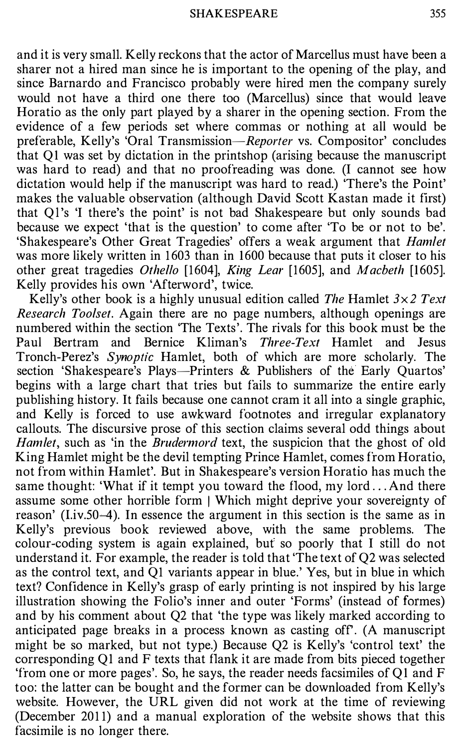and it is very small. Kelly reckons that the actor of Marcellus must have been a sharer not a hired man since he is important to the opening of the play, and since Barnardo and Francisco probably were hired men the company surely would not have a third one there too (Marcellus) since that would leave Horatio as the only part played by a sharer in the opening section. From the evidence of a few periods set where commas or nothing at all would be preferable, Kelly's 'Oral Transmission-Reporter vs. Compositor' concludes that Ql was set by dictation in the printshop (arising because the manuscript was hard to read) and that no proofreading was done. (I cannot see how dictation would help if the manuscript was hard to read.) 'There's the Point' makes the valuable observation (although David Scott Kastan made it first) that Ql's 'I there's the point' is not bad Shakespeare but only sounds bad because we expect 'that is the question' to come after 'To be or not to be'. 'Shakespeare's Other Great Tragedies' offers a weak argument that Hamlet was more likely written in 1603 than in 1600 because that puts it closer to his other great tragedies Othello [1604], King Lear [1605], and Macbeth [1605]. Kelly provides his own 'Afterword', twice.

Kelly's other book is a highly unusual edition called The Hamlet  $3 \times 2$  Text Research Toolset. Again there are no page numbers, although openings are numbered within the section 'The Texts'. The rivals for this book must be the Paul Bertram and Bernice Kliman's Three-Text Hamlet and Jesus Tronch-Perez's Synoptic Hamlet, both of which are more scholarly. The section 'Shakespeare's Plays-Printers & Publishers of the Early Quartos' begins with a large chart that tries but fails to summarize the entire early publishing history. It fails because one cannot cram it all into a single graphic, and Kelly is forced to use awkward footnotes and irregular explanatory callouts. The discursive prose of this section claims several odd things about Hamlet, such as 'in the *Brudermord* text, the suspicion that the ghost of old King Hamlet might be the devil tempting Prince Hamlet, comes from Horatio, not from within Hamlet'. But in Shakespeare's version Horatio has much the same thought: 'What if it tempt you toward the flood, my lord ... And there assume some other horrible form I Which might deprive your sovereignty of reason' (Liv.50–4). In essence the argument in this section is the same as in Kelly's previous book reviewed above, with the same problems. The colour-coding system is again explained, but so poorly that I still do not understand it. For example, the reader is told that 'The text of Q2 was selected as the control text, and Q1 variants appear in blue.' Yes, but in blue in which text? Confidence in Kelly's grasp of early printing is not inspired by his large illustration showing the Folio's inner and outer 'Forms' (instead of formes) and by his comment about Q2 that 'the type was likely marked according to anticipated page breaks in a process known as casting off. (A manuscript might be so marked, but not type.) Because Q2 is Kelly's 'control text' the corresponding QI and F texts that flank it are made from bits pieced together 'from one or more pages'. So, he says, the reader needs facsimiles of Ql and F too: the latter can be bought and the former can be downloaded from Kelly's website. However, the URL given did not work at the time of reviewing (December 2011) and a manual exploration of the website shows that this facsimile is no longer there.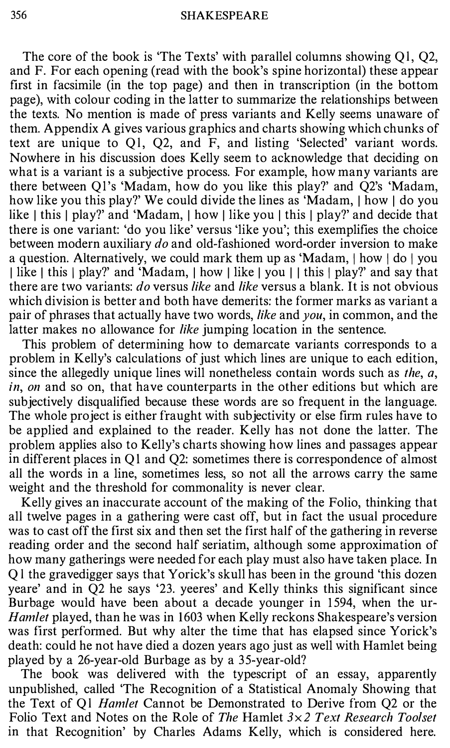The core of the book is 'The Texts' with parallel columns showing Ql, Q2, and F. For each opening (read with the book's spine horizontal) these appear first in facsimile (in the top page) and then in transcription (in the bottom page), with colour coding in the latter to summarize the relationships between the texts. No mention is made of press variants and Kelly seems unaware of them. Appendix A gives various graphics and charts showing which chunks of text are unique to Ql, Q2, and F, and listing 'Selected' variant words. Nowhere in his discussion does Kelly seem to acknowledge that deciding on what is a variant is a subjective process. For example, how many variants are there between Ql's 'Madam, how do you like this play?' and Q2's 'Madam, how like you this play?' We could divide the lines as 'Madam, I how I do you like | this | play?' and 'Madam, | how | like you | this | play?' and decide that there is one variant: 'do you like' versus 'like you'; this exemplifies the choice between modern auxiliary do and old-fashioned word-order inversion to make a question. Alternatively, we could mark them up as 'Madam,  $\vert$  how  $\vert$  do  $\vert$  you I like I this | play?' and 'Madam, I how | like | you | | this | play?' and say that there are two variants: *do* versus *like* and *like* versus a blank. It is not obvious which division is better and both have demerits: the former marks as variant a pair of phrases that actually have two words, *like* and *you*, in common, and the latter makes no allowance for like jumping location in the sentence.

This problem of determining how to demarcate variants corresponds to a problem in Kelly's calculations of just which lines are unique to each edition, since the allegedly unique lines will nonetheless contain words such as the,  $a$ , in, on and so on, that have counterparts in the other editions but which are subjectively disqualified because these words are so frequent in the language. The whole project is either fraught with subjectivity or else firm rules have to be applied and explained to the reader. Kelly has not done the latter. The problem applies also to Kelly's charts showing how lines and passages appear in different places in Ql and Q2: sometimes there is correspondence of almost all the words in a line, sometimes less, so not all the arrows carry the same weight and the threshold for commonality is never clear.

Kelly gives an inaccurate account of the making of the Folio, thinking that all twelve pages in a gathering were cast off, but in fact the usual procedure was to cast off the first six and then set the first half of the gathering in reverse reading order and the second half seriatim, although some approximation of how many gatherings were needed for each play must also have taken place. In Ql the gravedigger says that Yorick's skull has been in the ground 'this dozen yeare' and in Q2 he says '23. yeeres' and Kelly thinks this significant since Burbage would have been about a decade younger in 1594, when the ur-Hamlet played, than he was in 1603 when Kelly reckons Shakespeare's version was first performed. But why alter the time that has elapsed since Yorick's death: could he not have died a dozen years ago just as well with Hamlet being played by a 26-year-old Burbage as by a 35-year-old?

The book was delivered with the typescript of an essay, apparently unpublished, called 'The Recognition of a Statistical Anomaly Showing that the Text of Ql Hamlet Cannot be Demonstrated to Derive from Q2 or the Folio Text and Notes on the Role of The Hamlet  $3\times2$  Text Research Toolset in that Recognition' by Charles Adams Kelly, which is considered here.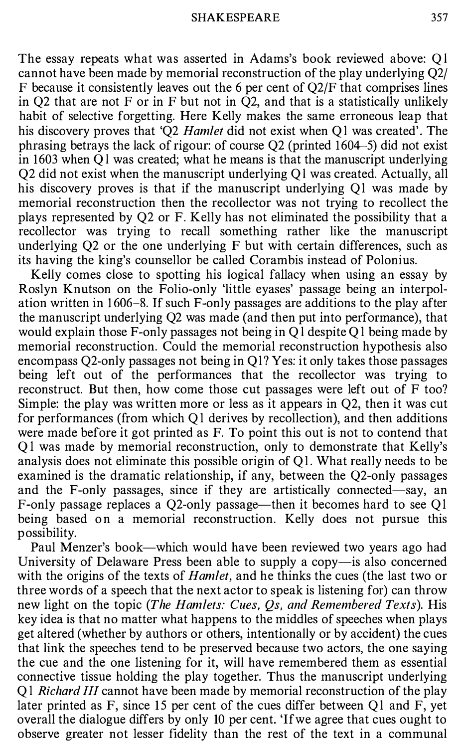The essay repeats what was asserted in Adams's book reviewed above: Ql cannot have been made by memorial reconstruction of the play underlying Q2/ F because it consistently leaves out the 6 per cent of Q2/F that comprises lines in Q2 that are not F or in F but not in  $\overline{Q}2$ , and that is a statistically unlikely habit of selective forgetting. Here Kelly makes the same erroneous leap that his discovery proves that 'O2 *Hamlet* did not exist when O1 was created'. The phrasing betrays the lack of rigour: of course Q2 (printed 1604-5) did not exist in 1603 when Ql was created; what he means is that the manuscript underlying Q2 did not exist when the manuscript underlying Ql was created. Actually, all his discovery proves is that if the manuscript underlying Ql was made by memorial reconstruction then the recollector was not trying to recollect the plays represented by Q2 or F. Kelly has not eliminated the possibility that a recollector was trying to recall something rather like the manuscript underlying Q2 or the one underlying F but with certain differences, such as its having the king's counsellor be called Corambis instead of Polonius.

Kelly comes close to spotting his logical fallacy when using an essay by Roslyn Knutson on the Folio-only 'little eyases' passage being an interpolation written in 1606-8. If such F-only passages are additions to the play after the manuscript underlying Q2 was made (and then put into performance), that would explain those F-only passages not being in Ql despite Ql being made by memorial reconstruction. Could the memorial reconstruction hypothesis also encompass Q2-only passages not being in Ql? Yes: it only takes those passages being left out of the performances that the recollector was trying to reconstruct. But then, how come those cut passages were left out of F too? Simple: the play was written more or less as it appears in Q2, then it was cut for performances (from which Ql derives by recollection), and then additions were made before it got printed as F. To point this out is not to contend that Ql was made by memorial reconstruction, only to demonstrate that Kelly's analysis does not eliminate this possible origin of Ql. What really needs to be examined is the dramatic relationship, if any, between the Q2-only passages and the F-only passages, since if they are artistically connected-say, an F-only passage replaces a Q2-only passage—then it becomes hard to see Q1 being based on a memorial reconstruction. Kelly does not pursue this possibility.

Paul Menzer's book-which would have been reviewed two years ago had University of Delaware Press been able to supply a copy-is also concerned with the origins of the texts of *Hamlet*, and he thinks the cues (the last two or three words of a speech that the next actor to speak is listening for) can throw new light on the topic (The Hamlets: Cues, Os, and Remembered Texts). His key idea is that no matter what happens to the middles of speeches when plays get altered (whether by authors or others, intentionally or by accident) the cues that link the speeches tend to be preserved because two actors, the one saying the cue and the one listening for it, will have remembered them as essential connective tissue holding the play together. Thus the manuscript underlying Ql Richard III cannot have been made by memorial reconstruction of the play later printed as F, since 15 per cent of the cues differ between Ql and F, yet overall the dialogue differs by only 10 per cent. 'Ifwe agree that cues ought to observe greater not lesser fidelity than the rest of the text in a communal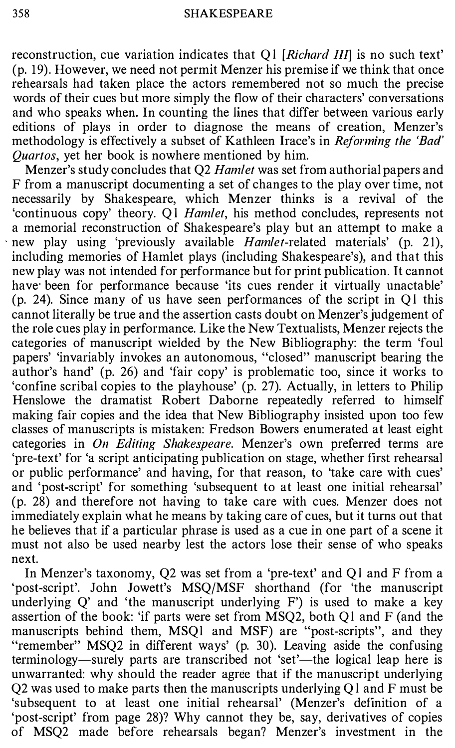reconstruction, cue variation indicates that  $QI$  [*Richard III*] is no such text' (p. 19). However, we need not permit Menzer his premise if we think that once rehearsals had taken place the actors remembered not so much the precise words of their cues but more simply the flow of their characters' conversations and who speaks when. In counting the lines that differ between various early editions of plays in order to diagnose the means of creation, Menzer's methodology is effectively a subset of Kathleen Irace's in *Reforming the 'Bad'* Quartos, yet her book is nowhere mentioned by him.

Menzer's study concludes that Q2 Hamlet was set from authorial papers and F from a manuscript documenting a set of changes to the play over time, not necessarily by Shakespeare, which Menzer thinks is a revival of the 'continuous copy' theory. Ql Hamlet, his method concludes, represents not a memorial reconstruction of Shakespeare's play but an attempt to make a new play using 'previously available *Hamlet*-related materials' (p. 21), including memories of Hamlet plays (including Shakespeare's), and that this new play was not intended for performance but for print publication. It cannot have been for performance because 'its cues render it virtually unactable' (p. 24). Since many of us have seen performances of the script in Ql this cannot literally be true and the assertion casts doubt on Menzer's judgement of the role cues play in performance. Like the New Textualists, Menzer rejects the categories of manuscript wielded by the New Bibliography: the term 'foul papers' 'invariably invokes an autonomous, "closed" manuscript bearing the author's hand' (p. 26) and 'fair copy' is problematic too, since it works to 'confine scribal copies to the playhouse' (p. 27). Actually, in letters to Philip Henslowe the dramatist Robert Daborne repeatedly referred to himself making fair copies and the idea that New Bibliography insisted upon too few classes of manuscripts is mistaken: Fredson Bowers enumerated at least eight categories in On Editing Shakespeare. Menzer's own preferred terms are 'pre-text' for 'a script anticipating publication on stage, whether first rehearsal or public performance' and having, for that reason, to 'take care with cues' and 'post-script' for something 'subsequent to at least one initial rehearsal' (p. 28) and therefore not having to take care with cues. Menzer does not immediately explain what he means by taking care of cues, but it turns out that he believes that if a particular phrase is used as a cue in one part of a scene it must not also be used nearby lest the actors lose their sense of who speaks next.

In Menzer's taxonomy, Q2 was set from a 'pre-text' and Ql and F from a 'post-script'. John Jowett's MSQ/MSF shorthand (for 'the manuscript underlying  $Q'$  and 'the manuscript underlying  $F'$ ) is used to make a key assertion of the book: 'if parts were set from MSQ2, both Ql and F (and the manuscripts behind them, MSQl and MSF) are "post-scripts", and they "remember" MSQ2 in different ways' (p. 30). Leaving aside the confusing terminology—surely parts are transcribed not 'set'—the logical leap here is unwarranted: why should the reader agree that if the manuscript underlying  $Q2$  was used to make parts then the manuscripts underlying  $Q1$  and F must be 'subsequent to at least one initial rehearsal' (Menzer's definition of a 'post-script' from page 28)? Why cannot they be, say, derivatives of copies of MSQ2 made before rehearsals began? Menzer's investment in the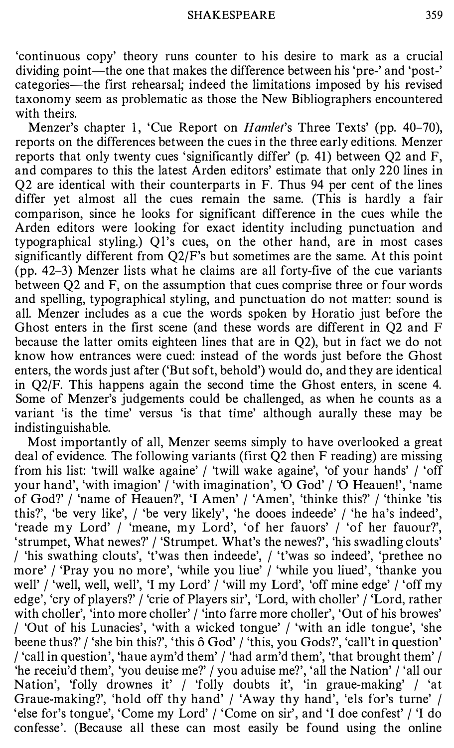'continuous copy' theory runs counter to his desire to mark as a crucial dividing point—the one that makes the difference between his 'pre-' and 'post-' categories-the first rehearsal; indeed the limitations imposed by his revised taxonomy seem as problematic as those the New Bibliographers encountered with theirs.

Menzer's chapter 1, 'Cue Report on *Hamlet's* Three Texts' (pp. 40-70), reports on the differences between the cues in the three early editions. Menzer reports that only twenty cues 'significantly differ' (p. 41) between Q2 and F, and compares to this the latest Arden editors' estimate that only 220 lines in Q2 are identical with their counterparts in F. Thus 94 per cent of the lines differ yet almost all the cues remain the same. (This is hardly a fair comparison, since he looks for significant difference in the cues while the Arden editors were looking for exact identity including punctuation and typographical styling.) Ql's cues, on the other hand, are in most cases significantly different from Q2/F's but sometimes are the same. At this point (pp. 42-3) Menzer lists what he claims are all forty-five of the cue variants between Q2 and F, on the assumption that cues comprise three or four words and spelling, typographical styling, and punctuation do not matter: sound is all. Menzer includes as a cue the words spoken by Horatio just before the Ghost enters in the first scene (and these words are different in Q2 and F because the latter omits eighteen lines that are in Q2), but in fact we do not know how entrances were cued: instead of the words just before the Ghost enters, the words just after ('But soft, behold') would do, and they are identical in Q2/F. This happens again the second time the Ghost enters, in scene 4. Some of Menzer's judgements could be challenged, as when he counts as a variant 'is the time' versus 'is that time' although aurally these may be indistinguishable.

Most importantly of all, Menzer seems simply to have overlooked a great deal of evidence. The following variants (first Q2 then F reading) are missing from his list: 'twill walke againe' / 'twill wake againe', 'of your hands' / 'off your hand', 'with imagion' / 'with imagination', 'O God' / 'O Heauen!', 'name of God?' / 'name of Heauen?', 'I Amen' / 'Amen', 'thinke this?' / 'thinke 'tis this?', 'be very like', / 'be very likely', 'he dooes indeede' / 'he ha's indeed', 'reade my Lord' / 'meane, my Lord', 'of her fauors' / 'of her fauour?', 'strumpet, What newes?' / 'Strumpet. What's the newes?', 'his swadling clouts' / 'his swathing clouts', 't'was then indeede', / 't'was so indeed', 'prethee no more' / 'Pray you no more', 'while you liue' / 'while you liued', 'thanke you well' / 'well, well, well', 'I my Lord' / 'will my Lord', 'off mine edge' / 'off my edge', 'cry of players?' / 'crie of Players sir', 'Lord, with choller' / 'Lord, rather with choller', 'into more choller' / 'into farre more choller', 'Out of his browes' / 'Out of his Lunacies', 'with a wicked tongue' / 'with an idle tongue', 'she beene thus?' / 'she bin this?', 'this 6 God' / 'this, you Gods?', 'call't in question' / 'call in question', 'haue aym'd them' / 'had arm'd them', 'that brought them' / 'he receiu'd them', 'you deuise me?' / you aduise me?', 'all the Nation' / 'all our Nation', 'folly drownes it' / 'folly doubts it', 'in graue-making' / 'at Graue-making?', 'hold off thy hand' / 'Away thy hand', 'els for's turne' / 'else for's tongue', 'Come my Lord' / 'Come on sir', and 'I doe confest' / 'I do confesse'. (Because all these can most easily be found using the online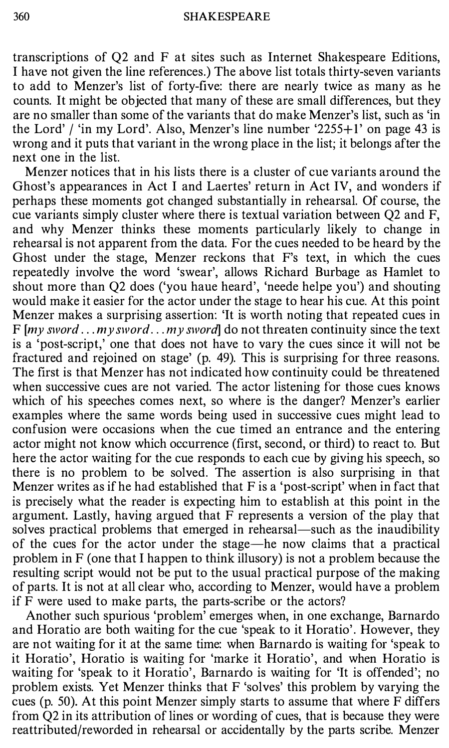transcriptions of Q2 and F at sites such as Internet Shakespeare Editions, I have not given the line references.) The above list totals thirty-seven variants to add to Menzer's list of forty-five: there are nearly twice as many as he counts. It might be objected that many of these are small differences, but they are no smaller than some of the variants that do make Menzer's list, such as 'in the Lord' / 'in my Lord'. Also, Menzer's line number '2255+1' on page 43 is wrong and it puts that variant in the wrong place in the list; it belongs after the next one in the list.

Menzer notices that in his lists there is a cluster of cue variants around the Ghost's appearances in Act I and Laertes' return in Act IV, and wonders if perhaps these moments got changed substantially in rehearsal. Of course, the cue variants simply cluster where there is textual variation between Q2 and F, and why Menzer thinks these moments particularly likely to change in rehearsal is not apparent from the data. For the cues needed to be heard by the Ghost under the stage, Menzer reckons that F's text, in which the cues repeatedly involve the word 'swear', allows Richard Burbage as Hamlet to shout more than Q2 does ('you haue heard', 'neede helpe you') and shouting would make it easier for the actor under the stage to hear his cue. At this point Menzer makes a surprising assertion: 'It is worth noting that repeated cues in F  $[my]$  sword ...  $m y$  sword ...  $m y$  sword  $d$  do not threaten continuity since the text is a 'post-script,' one that does not have to vary the cues since it will not be fractured and rejoined on stage' (p. 49). This is surprising for three reasons. The first is that Menzer has not indicated how continuity could be threatened when successive cues are not varied. The actor listening for those cues knows which of his speeches comes next, so where is the danger? Menzer's earlier examples where the same words being used in successive cues might lead to confusion were occasions when the cue timed an entrance and the entering actor might not know which occurrence (first, second, or third) to react to. But here the actor waiting for the cue responds to each cue by giving his speech, so there is no problem to be solved. The assertion is also surprising in that Menzer writes as if he had established that F is a 'post-script' when in fact that is precisely what the reader is expecting him to establish at this point in the argument. Lastly, having argued that F represents a version of the play that solves practical problems that emerged in rehearsal—such as the inaudibility of the cues for the actor under the stage-he now claims that a practical problem in F (one that I happen to think illusory) is not a problem because the resulting script would not be put to the usual practical purpose of the making of parts. It is not at all clear who, according to Menzer, would have a problem if F were used to make parts, the parts-scribe or the actors?

Another such spurious 'problem' emerges when, in one exchange, Barnardo and Horatio are both waiting for the cue 'speak to it Horatio'. However, they are not waiting for it at the same time: when Barnardo is waiting for 'speak to it Horatio', Horatio is waiting for 'marke it Horatio', and when Horatio is waiting for 'speak to it Horatio', Barnardo is waiting for 'It is offended'; no problem exists. Yet Menzer thinks that F 'solves' this problem by varying the cues (p. 50). At this point Menzer simply starts to assume that where F differs from Q2 in its attribution of lines or wording of cues, that is because they were reattributed/reworded in rehearsal or accidentally by the parts scribe. Menzer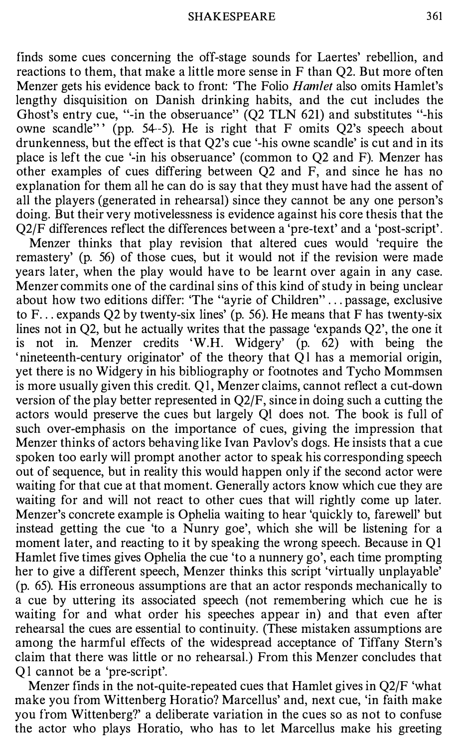finds some cues concerning the off-stage sounds for Laertes' rebellion, and reactions to them, that make a little more sense in F than Q2. But more often Menzer gets his evidence back to front: 'The Folio *Hamlet* also omits Hamlet's lengthy disquisition on Danish drinking habits, and the cut includes the Ghost's entry cue, "-in the obseruance" (Q2 TLN 621) and substitutes "-his owne scandle" ' (pp. 54-5). He is right that F omits Q2's speech about drunkenness, but the effect is that Q2's cue '-his owne scandle' is cut and in its place is left the cue '-in his obseruance' (common to Q2 and F). Menzer has other examples of cues differing between Q2 and F, and since he has no explanation for them all he can do is say that they must have had the assent of all the players (generated in rehearsal) since they cannot be any one person's doing. But their very motivelessness is evidence against his core thesis that the Q2/F differences reflect the differences between a 'pre-text' and a 'post-script'.

Menzer thinks that play revision that altered cues would 'require the remastery' (p. 56) of those cues, but it would not if the revision were made years later, when the play would have to be learnt over again in any case. Menzer commits one of the cardinal sins of this kind of study in being unclear about how two editions differ: 'The "ayrie of Children" ... passage, exclusive to  $F...$  expands Q2 by twenty-six lines' (p. 56). He means that F has twenty-six lines not in Q2, but he actually writes that the passage 'expands Q2', the one it is not in. Menzer credits 'W.H. Widgery' (p. 62) with being the ' nineteenth-century originator' of the theory that Ql has a memorial origin, yet there is no Widgery in his bibliography or footnotes and Tycho Mommsen is more usually given this credit. Ql, Menzer claims, cannot reflect a cut-down version of the play better represented in Q2/F, since in doing such a cutting the actors would preserve the cues but largely Ql does not. The book is full of such over-emphasis on the importance of cues, giving the impression that Menzer thinks of actors behaving like Ivan Pavlov's dogs. He insists that a cue spoken too early will prompt another actor to speak his corresponding speech out of sequence, but in reality this would happen only if the second actor were waiting for that cue at that moment. Generally actors know which cue they are waiting for and will not react to other cues that will rightly come up later. Menzer's concrete example is Ophelia waiting to hear 'quickly to, farewell' but instead getting the cue 'to a Nunry goe', which she will be listening for a moment later, and reacting to it by speaking the wrong speech. Because in QI Hamlet five times gives Ophelia the cue 'to a nunnery go', each time prompting her to give a different speech, Menzer thinks this script 'virtually unplayable' (p. 65). His erroneous assumptions are that an actor responds mechanically to a cue by uttering its associated speech (not remembering which cue he is waiting for and what order his speeches appear in) and that even after rehearsal the cues are essential to continuity. (These mistaken assumptions are among the harmful effects of the widespread acceptance of Tiffany Stern's claim that there was little or no rehearsal.) From this Menzer concludes that Ql cannot be a 'pre-script'.

Menzer finds in the not-quite-repeated cues that Hamlet gives in Q2/F 'what make you from Wittenberg Horatio? Marcellus' and, next cue, 'in faith make you from Wittenberg?' a deliberate variation in the cues so as not to confuse the actor who plays Horatio, who has to let Marcellus make his greeting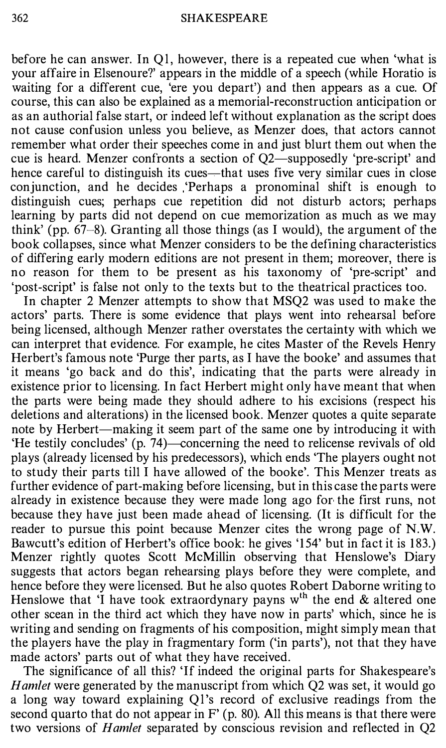before he can answer. In Ql, however, there is a repeated cue when 'what is your affaire in Elsenoure?' appears in the middle of a speech (while Horatio is waiting for a different cue, 'ere you depart') and then appears as a cue. Of course, this can also be explained as a memorial-reconstruction anticipation or as an authorial false start, or indeed left without explanation as the script does not cause confusion unless you believe, as Menzer does, that actors cannot remember what order their speeches come in and just blurt them out when the cue is heard. Menzer confronts a section of Q2—supposedly 'pre-script' and hence careful to distinguish its cues—that uses five very similar cues in close conjunction, and he decides 'Perhaps a pronominal shift is enough to distinguish cues; perhaps cue repetition did not disturb actors; perhaps learning by parts did not depend on cue memorization as much as we may think' (pp. 67-8). Granting all those things (as I would), the argument of the book collapses, since what Menzer considers to be the defining characteristics of differing early modern editions are not present in them; moreover, there is no reason for them to be present as his taxonomy of 'pre-script' and 'post-script' is false not only to the texts but to the theatrical practices too.

In chapter 2 Menzer attempts to show that MSQ2 was used to make the actors' parts. There is some evidence that plays went into rehearsal before being licensed, although Menzer rather overstates the certainty with which we can interpret that evidence. For example, he cites Master of the Revels Henry Herbert's famous note 'Purge ther parts, as I have the booke' and assumes that it means 'go back and do this', indicating that the parts were already in existence prior to licensing. In fact Herbert might only have meant that when the parts were being made they should adhere to his excisions (respect his deletions and alterations) in the licensed book. Menzer quotes a quite separate note by Herbert—making it seem part of the same one by introducing it with 'He testily concludes' (p.  $74$ )—concerning the need to relicense revivals of old plays (already licensed by his predecessors), which ends 'The players ought not to study their parts till I have allowed of the booke'. This Menzer treats as further evidence of part-making before licensing, but in this case the parts were already in existence because they were made long ago for the first runs, not because they have just been made ahead of licensing. (It is difficult for the reader to pursue this point because Menzer cites the wrong page of N.W. Bawcutt's edition of Herbert's office book: he gives '154' but in fact it is 183.) Menzer rightly quotes Scott McMillin observing that Henslowe's Diary suggests that actors began rehearsing plays before they were complete, and hence before they were licensed. But he also quotes Robert Daborne writing to Henslowe that 'I have took extraordynary payns  $w<sup>th</sup>$  the end  $\&$  altered one other scean in the third act which they have now in parts' which, since he is writing and sending on fragments of his composition, might simply mean that the players have the play in fragmentary form ('in parts'), not that they have made actors' parts out of what they have received.

The significance of all this? 'If indeed the original parts for Shakespeare's Hamlet were generated by the manuscript from which Q2 was set, it would go a long way toward explaining Ql's record of exclusive readings from the second quarto that do not appear in  $F'$  (p. 80). All this means is that there were two versions of *Hamlet* separated by conscious revision and reflected in Q2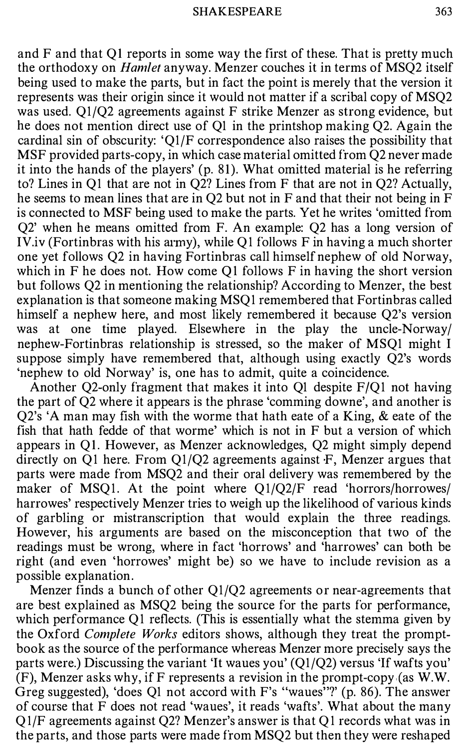and F and that QI reports in some way the first of these. That is pretty much the orthodoxy on Hamlet anyway. Menzer couches it in terms of MSQ2 itself being used to make the parts, but in fact the point is merely that the version it represents was their origin since it would not matter if a scribal copy of MSQ2 was used. Ql/Q2 agreements against F strike Menzer as strong evidence, but he does not mention direct use of Ql in the printshop making Q2. Again the cardinal sin of obscurity: 'Ql/F correspondence also raises the possibility that MSF provided parts-copy, in which case material omitted from Q2 never made it into the hands of the players' (p. 8 1). What omitted material is he referring to? Lines in Ql that are not in Q2? Lines from F that are not in Q2? Actually, he seems to mean lines that are in Q2 but not in F and that their not being in F is connected to MSF being used to make the parts. Yet he writes 'omitted from Q2' when he means omitted from F. An example: Q2 has a long version of IV.iv (Fortinbras with his army), while Q1 follows F in having a much shorter one yet follows Q2 in having Fortinbras call himself nephew of old Norway, which in F he does not. How come Q1 follows  $F$  in having the short version but follows Q2 in mentioning the relationship? According to Menzer, the best explanation is that someone making MSQl remembered that Fortinbras called himself a nephew here, and most likely remembered it because Q2's version was at one time played. Elsewhere in the play the uncle-Norway/ nephew-Fortinbras relationship is stressed, so the maker of MSQl might I suppose simply have remembered that, although using exactly Q2's words 'nephew to old Norway' is, one has to admit, quite a coincidence.

Another Q2-only fragment that makes it into Ql despite F/Ql not having the part of Q2 where it appears is the phrase 'comming downe', and another is Q2's 'A man may fish with the worme that hath eate of a King, & eate of the fish that hath fedde of that worme' which is not in F but a version of which appears in QI. However, as Menzer acknowledges, Q2 might simply depend directly on Ql here. From Ql/Q2 agreements against F, Menzer argues that parts were made from MSQ2 and their oral delivery was remembered by the maker of MSQ1. At the point where  $Q1/Q2/F$  read 'horrors/horrowes/ harrowes' respectively Menzer tries to weigh up the likelihood of various kinds of garbling or mistranscription that would explain the three readings. However, his arguments are based on the misconception that two of the readings must be wrong, where in fact 'horrows' and 'harrowes' can both be right (and even 'horrowes' might be) so we have to include revision as a possible explanation.

Menzer finds a bunch of other Ql/Q2 agreements or near-agreements that are best explained as MSQ2 being the source for the parts for performance, which performance Ql reflects. (This is essentially what the stemma given by the Oxford Complete Works editors shows, although they treat the promptbook as the source of the performance whereas Menzer more precisely says the parts were.) Discussing the variant 'It waues you' (Ql/Q2) versus 'If wafts you' (F), Menzer asks why, if F represents a revision in the prompt-copy {as W.W. Greg suggested), 'does Ql not accord with F's "waues"?' (p. 86). The answer of course that F does not read 'waues', it reads 'wafts'. What about the many Q l/F agreements against Q2? Menzer's answer is that Ql records what was in the parts, and those parts were made from MSQ2 but then they were reshaped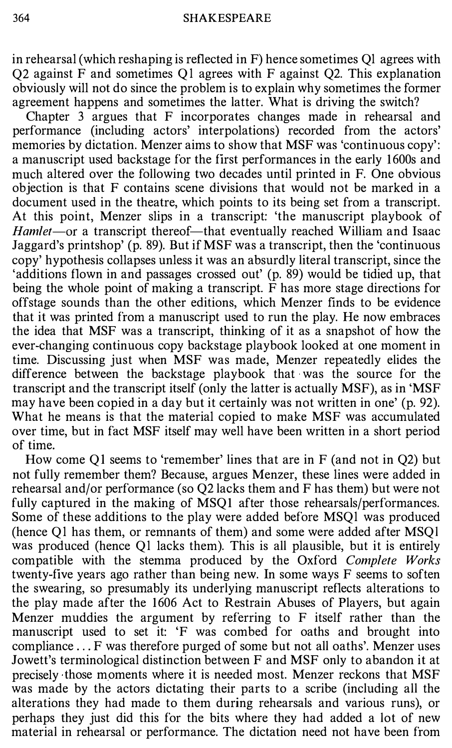in rehearsal (which reshaping is reflected in F) hence sometimes Ql agrees with Q2 against F and sometimes Ql agrees with F against Q2. This explanation obviously will not do since the problem is to explain why sometimes the former agreement happens and sometimes the latter. What is driving the switch?

Chapter 3 argues that F incorporates changes made in rehearsal and performance (including actors' interpolations) recorded from the actors' memories by dictation. Menzer aims to show that MSF was 'continuous copy': a manuscript used backstage for the first performances in the early 1 600s and much altered over the following two decades until printed in F. One obvious objection is that F contains scene divisions that would not be marked in a document used in the theatre, which points to its being set from a transcript. At this point, Menzer slips in a transcript: 'the manuscript playbook of Hamlet-or a transcript thereof-that eventually reached William and Isaac Jaggard's printshop' (p. 89). But if MSF was a transcript, then the 'continuous copy' hypothesis collapses unless it was an absurdly literal transcript, since the 'additions flown in and passages crossed out' (p. 89) would be tidied up, that being the whole point of making a transcript. F has more stage directions for offstage sounds than the other editions, which Menzer finds to be evidence that it was printed from a manuscript used to run the play. He now embraces the idea that MSF was a transcript, thinking of it as a snapshot of how the ever-changing continuous copy backstage playbook looked at one moment in time. Discussing just when MSF was made, Menzer repeatedly elides the difference between the backstage playbook that was the source for the transcript and the transcript itself (only the latter is actually MSF), as in 'MSF may have been copied in a day but it certainly was not written in one' (p. 92). What he means is that the material copied to make MSF was accumulated over time, but in fact MSF itself may well have been written in a short period of time.

How come Q1 seems to 'remember' lines that are in F (and not in Q2) but not fully remember them? Because, argues Menzer, these lines were added in rehearsal and/or performance (so Q2 lacks them and F has them) but were not fully captured in the making of MSQ1 after those rehearsals/performances. Some of these additions to the play were added before MSQl was produced (hence Ql has them, or remnants of them) and some were added after MSQl was produced (hence Ql lacks them). This is all plausible, but it is entirely compatible with the stemma produced by the Oxford Complete Works twenty-five years ago rather than being new. In some ways F seems to soften the swearing, so presumably its underlying manuscript reflects alterations to the play made after the 1606 Act to Restrain Abuses of Players, but again Menzer muddies the argument by referring to F itself rather than the manuscript used to set it: 'F was combed for oaths and brought into compliance ... F was therefore purged of some but not all oaths'. Menzer uses Jowett's terminological distinction between F and MSF only to abandon it at precisely those moments where it is needed most. Menzer reckons that MSF was made by the actors dictating their parts to a scribe (including all the alterations they had made to them during rehearsals and various runs), or perhaps they just did this for the bits where they had added a lot of new material in rehearsal or performance. The dictation need not have been from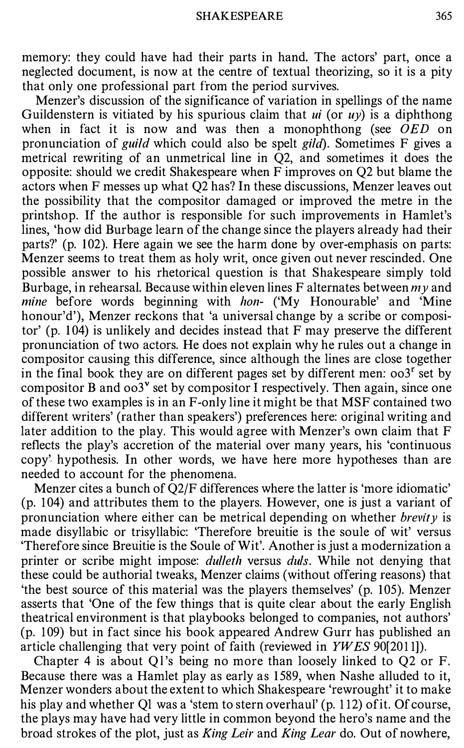memory: they could have had their parts in hand. The actors' part, once a neglected document, is now at the centre of textual theorizing, so it is a pity that only one professional part from the period survives.

Menzer's discussion of the significance of variation in spellings of the name Guildenstern is vitiated by his spurious claim that  $ui$  (or  $uy$ ) is a diphthong when in fact it is now and was then a monophthong (see  $\overrightarrow{OED}$  on pronunciation of *guild* which could also be spelt *gild*). Sometimes  $F$  gives a metrical rewriting of an unmetrical line in Q2, and sometimes it does the opposite: should we credit Shakespeare when F improves on Q2 but blame the actors when F messes up what Q2 has? In these discussions, Menzer leaves out the possibility that the compositor damaged or improved the metre in the printshop. If the author is responsible for such improvements in Hamlet's lines, 'how did Burbage learn of the change since the players already had their parts?' (p. 102). Here again we see the harm done by over-emphasis on parts: Menzer seems to treat them as holy writ, once given out never rescinded. One possible answer to his rhetorical question is that Shakespeare simply told Burbage, in rehearsal. Because within eleven lines F alternates between  $m\gamma$  and mine before words beginning with hon- ('My Honourable' and 'Mine honour'd'), Menzer reckons that 'a universal change by a scribe or compositor' (p.  $104$ ) is unlikely and decides instead that F may preserve the different pronunciation of two actors. He does not explain why he rules out a change in compositor causing this difference, since although the lines are close together in the final book they are on different pages set by different men:  $\cos^2 s$  set by compositor B and  $\cos^y$  set by compositor I respectively. Then again, since one of these two examples is in an F-only line it might be that MSF contained two different writers' (rather than speakers') preferences here: original writing and later addition to the play. This would agree with Menzer's own claim that F reflects the play's accretion of the material over many years, his 'continuous copy' hypothesis. In other words, we have here more hypotheses than are needed to account for the phenomena.

Menzer cites a bunch of Q2/F differences where the latter is 'more idiomatic' (p. 104) and attributes them to the players. However, one is just a variant of pronunciation where either can be metrical depending on whether *brevity* is made disyllabic or trisyllabic: 'Therefore breuitie is the soule of wit' versus 'Therefore since Breuitie is the Soule of Wit'. Another is just a modernization a printer or scribe might impose: *dulleth* versus *duls*. While not denying that these could be authorial tweaks, Menzer claims (without offering reasons) that 'the best source of this material was the players themselves' (p. 105). Menzer asserts that 'One of the few things that is quite clear about the early English theatrical environment is that playbooks belonged to companies, not authors' (p. 1 09) but in fact since his book appeared Andrew Gurr has published an article challenging that very point of faith (reviewed in YWES 90[2011]).

Chapter 4 is about Ql's being no more than loosely linked to Q2 or F. Because there was a Hamlet play as early as 1589, when Nashe alluded to it, Menzer wonders about the extent to which Shakespeare 'rewrought' it to make his play and whether Ql was a 'stem to stern overhaul' (p. 112) of it. Of course, the plays may have had very little in common beyond the hero's name and the broad strokes of the plot, just as King Leir and King Lear do. Out of nowhere,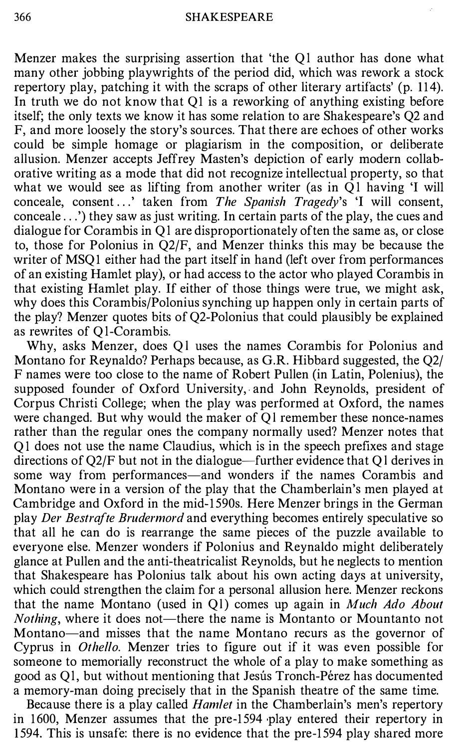Menzer makes the surprising assertion that 'the Ql author has done what many other jobbing playwrights of the period did, which was rework a stock repertory play, patching it with the scraps of other literary artifacts' (p. 114). In truth we do not know that  $Q1$  is a reworking of anything existing before itself; the only texts we know it has some relation to are Shakespeare's Q2 and F, and more loosely the story's sources. That there are echoes of other works could be simple homage or plagiarism in the composition, or deliberate allusion. Menzer accepts Jeffrey Masten's depiction of early modern collaborative writing as a mode that did not recognize intellectual property, so that what we would see as lifting from another writer (as in Ql having 'I will conceale, consent ...' taken from The Spanish Tragedy's 'I will consent, conceale ... ') they saw as just writing. In certain parts of the play, the cues and dialogue for Corambis in Ql are disproportionately often the same as, or close to, those for Polonius in Q2/F, and Menzer thinks this may be because the writer of MSQ1 either had the part itself in hand (left over from performances of an existing Hamlet play), or had access to the actor who played Corambis in that existing Hamlet play. If either of those things were true, we might ask, why does this Corambis/Polonius synching up happen only in certain parts of the play? Menzer quotes bits of Q2-Polonius that could plausibly be explained as rewrites of Q1-Corambis.

Why, asks Menzer, does Ql uses the names Corambis for Polonius and Montano for Reynaldo? Perhaps because, as G.R. Hibbard suggested, the Q2/ F names were too close to the name of Robert Pullen (in Latin, Polenius), the supposed founder of Oxford University, and John Reynolds, president of Corpus Christi College; when the play was performed at Oxford, the names were changed. But why would the maker of Ql remember these nonce-names rather than the regular ones the company normally used? Menzer notes that Ql does not use the name Claudius, which is in the speech prefixes and stage directions of Q2/F but not in the dialogue—further evidence that Q1 derives in some way from performances—and wonders if the names Corambis and Montano were in a version of the play that the Chamberlain's men played at Cambridge and Oxford in the mid-1 590s. Here Menzer brings in the German play Der Bestrafte Brudermord and everything becomes entirely speculative so that all he can do is rearrange the same pieces of the puzzle available to everyone else. Menzer wonders if Polonius and Reynaldo might deliberately glance at Pullen and the anti-theatricalist Reynolds, but he neglects to mention that Shakespeare has Polonius talk about his own acting days at university, which could strengthen the claim for a personal allusion here. Menzer reckons that the name Montano (used in Q1) comes up again in Much Ado About Nothing, where it does not-there the name is Montanto or Mountanto not Montano-and misses that the name Montano recurs as the governor of Cyprus in Othello. Menzer tries to figure out if it was even possible for someone to memorially reconstruct the whole of a play to make something as good as Ql, but without mentioning that Jesus Tronch-Perez has documented a memory-man doing precisely that in the Spanish theatre of the same time.

Because there is a play called Hamlet in the Chamberlain's men's repertory in 1600, Menzer assumes that the pre-1594 play entered their repertory in 1 594. This is unsafe: there is no evidence that the pre-1 594 play shared more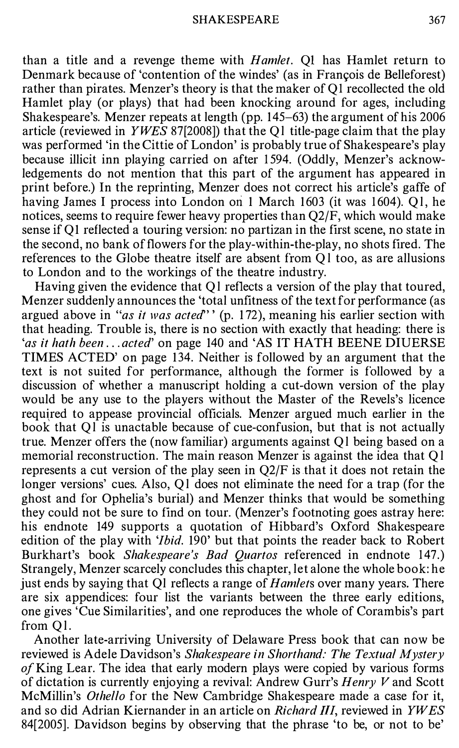than a title and a revenge theme with *Hamlet*. Q1 has Hamlet return to Denmark because of 'contention of the windes' (as in François de Belleforest) rather than pirates. Menzer's theory is that the maker of Q1 recollected the old Hamlet play (or plays) that had been knocking around for ages, including Shakespeare's. Menzer repeats at length (pp. 145-63) the argument of his 2006 article (reviewed in YWES 87[2008]) that the Ql title-page claim that the play was performed 'in the Cittie of London' is probably true of Shakespeare's play because illicit inn playing carried on after 1 594. (Oddly, Menzer's acknowledgements do not mention that this part of the argument has appeared in print before.) In the reprinting, Menzer does not correct his article's gaffe of having James I process into London on 1 March 1603 (it was 1604). Ol, he notices, seems to require fewer heavy properties than Q2/F, which would make sense if  $O1$  reflected a touring version: no partizan in the first scene, no state in the second, no bank of flowers for the play-within-the-play, no shots fired. The references to the Globe theatre itself are absent from Ql too, as are allusions to London and to the workings of the theatre industry.

Having given the evidence that Ql reflects a version of the play that toured, Menzer suddenly announces the 'total unfitness of the text for performance (as argued above in "as it was acted" (p. 172), meaning his earlier section with that heading. Trouble is, there is no section with exactly that heading: there is 'as it hath been ... acted' on page 140 and 'AS IT HATH BEENE DIUERSE TIMES ACTED' on page 134. Neither is followed by an argument that the text is not suited for performance, although the former is followed by a discussion of whether a manuscript holding a cut-down version of the play would be any use to the players without the Master of the Revels's licence required to appease provincial officials. Menzer argued much earlier in the book that Ql is unactable because of cue-confusion, but that is not actually true. Menzer offers the (now familiar) arguments against Ql being based on a memorial reconstruction. The main reason Menzer is against the idea that Ql represents a cut version of the play seen in  $Q2/F$  is that it does not retain the longer versions' cues. Also, Q1 does not eliminate the need for a trap (for the ghost and for Ophelia's burial) and Menzer thinks that would be something they could not be sure to find on tour. (Menzer's footnoting goes astray here: his endnote 149 supports a quotation of Hibbard's Oxford Shakespeare edition of the play with '*Ibid*. 190' but that points the reader back to Robert Burkhart's book Shakespeare's Bad Quartos referenced in endnote 147.) Strangely, Menzer scarcely concludes this chapter, let alone the whole book: he just ends by saying that Ql reflects a range of Hamlets over many years. There are six appendices: four list the variants between the three early editions, one gives 'Cue Similarities', and one reproduces the whole of Corambis's part from Ql.

Another late-arriving University of Delaware Press book that can now be reviewed is Adele Davidson's Shakespeare in Shorthand: The Textual Mystery of King Lear. The idea that early modern plays were copied by various forms of dictation is currently enjoying a revival: Andrew Gurr's  $Henry V$  and Scott McMillin's Othello for the New Cambridge Shakespeare made a case for it, and so did Adrian Kiernander in an article on Richard III, reviewed in  $YWES$ 84[2005]. Davidson begins by observing that the phrase 'to be, or not to be'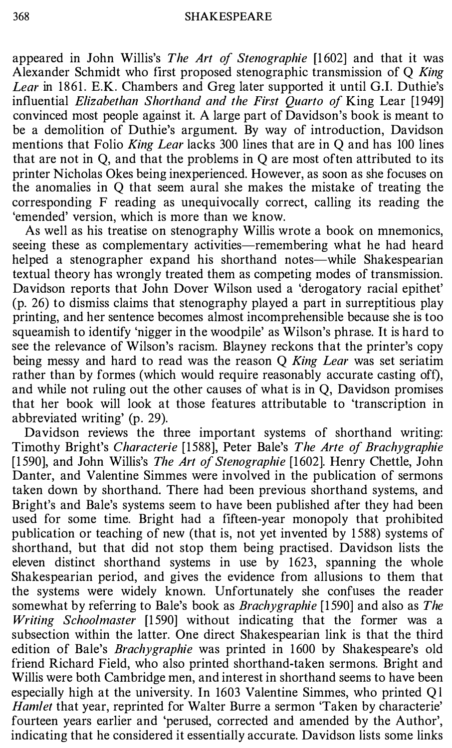appeared in John Willis's The Art of Stenographie [1602] and that it was Alexander Schmidt who first proposed stenographic transmission of Q King Lear in 1861. E.K. Chambers and Greg later supported it until G.I. Duthie's influential Elizabethan Shorthand and the First Quarto of King Lear [1949] convinced most people against it. A large part of Davidson's book is meant to be a demolition of Duthie's argument. By way of introduction, Davidson mentions that Folio King Lear lacks 300 lines that are in Q and has 100 lines that are not in Q, and that the problems in Q are most often attributed to its printer Nicholas Okes being inexperienced. However, as soon as she focuses on the anomalies in Q that seem aural she makes the mistake of treating the corresponding F reading as unequivocally correct, calling its reading the 'emended' version, which is more than we know.

As well as his treatise on stenography Willis wrote a book on mnemonics, seeing these as complementary activities—remembering what he had heard helped a stenographer expand his shorthand notes—while Shakespearian textual theory has wrongly treated them as competing modes of transmission. Davidson reports that John Dover Wilson used a 'derogatory racial epithet' (p. 26) to dismiss claims that stenography played a part in surreptitious play printing, and her sentence becomes almost incomprehensible because she is too squeamish to identify 'nigger in the woodpile' as Wilson's phrase. It is hard to see the relevance of Wilson's racism. Blayney reckons that the printer's copy being messy and hard to read was the reason Q King Lear was set seriatim rather than by formes (which would require reasonably accurate casting oft), and while not ruling out the other causes of what is in Q, Davidson promises that her book will look at those features attributable to 'transcription in abbreviated writing' (p. 29).

Davidson reviews the three important systems of shorthand writing: Timothy Bright's Characterie [1588], Peter Bale's The Arte of Brachygraphie [1590], and John Willis's *The Art of Stenographie* [1602]. Henry Chettle, John Danter, and Valentine Simmes were involved in the publication of sermons taken down by shorthand. There had been previous shorthand systems, and Bright's and Bale's systems seem to have been published after they had been used for some time. Bright had a fifteen-year monopoly that prohibited publication or teaching of new (that is, not yet invented by 1588) systems of shorthand, but that did not stop them being practised. Davidson lists the eleven distinct shorthand systems in use by 1623, spanning the whole Shakespearian period, and gives the evidence from allusions to them that the systems were widely known. Unfortunately she confuses the reader somewhat by referring to Bale's book as *Brachygraphie* [1590] and also as *The* Writing Schoolmaster [1590] without indicating that the former was a subsection within the latter. One direct Shakespearian link is that the third edition of Bale's *Brachygraphie* was printed in 1600 by Shakespeare's old friend Richard Field, who also printed shorthand-taken sermons. Bright and Willis were both Cambridge men, and interest in shorthand seems to have been especially high at the university. In 1603 Valentine Simmes, who printed Ql Hamlet that year, reprinted for Walter Burre a sermon 'Taken by characterie' fourteen years earlier and 'perused, corrected and amended by the Author', indicating that he considered it essentially accurate. Davidson lists some links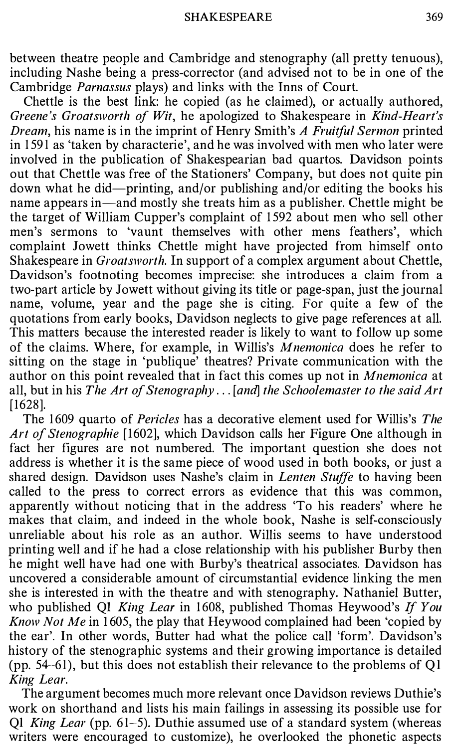between theatre people and Cambridge and stenography (all pretty tenuous), including Nashe being a press-corrector (and advised not to be in one of the Cambridge Parnassus plays) and links with the Inns of Court.

Chettle is the best link: he copied (as he claimed), or actually authored, Greene's Groatsworth of Wit, he apologized to Shakespeare in Kind-Heart's Dream, his name is in the imprint of Henry Smith's A Fruitful Sermon printed in 1 591 as 'taken by characterie', and he was involved with men who later were involved in the publication of Shakespearian bad quartos. Davidson points out that Chettle was free of the Stationers' Company, but does not quite pin down what he did-printing, and/or publishing and/or editing the books his name appears in—and mostly she treats him as a publisher. Chettle might be the target of William Cupper's complaint of 1 592 about men who sell other men's sermons to 'vaunt themselves with other mens feathers', which complaint Jowett thinks Chettle might have projected from himself onto Shakespeare in Groatsworth. In support of a complex argument about Chettle, Davidson's footnoting becomes imprecise: she introduces a claim from a two-part article by Jowett without giving its title or page-span, just the journal name, volume, year and the page she is citing. For quite a few of the quotations from early books, Davidson neglects to give page references at all. This matters because the interested reader is likely to want to follow up some of the claims. Where, for example, in Willis's Mnemonica does he refer to sitting on the stage in 'publique' theatres? Private communication with the author on this point revealed that in fact this comes up not in Mnemonica at all, but in his The Art of Stenography . . . [and] the Schoolemaster to the said Art [1628].

The 1609 quarto of Pericles has a decorative element used for Willis's The Art of Stenographie [1602], which Davidson calls her Figure One although in fact her figures are not numbered. The important question she does not address is whether it is the same piece of wood used in both books, or just a shared design. Davidson uses Nashe's claim in *Lenten Stuffe* to having been called to the press to correct errors as evidence that this was common, apparently without noticing that in the address 'To his readers' where he makes that claim, and indeed in the whole book, Nashe is self-consciously unreliable about his role as an author. Willis seems to have understood printing well and if he had a close relationship with his publisher Burby then he might well have had one with Burby's theatrical associates. Davidson has uncovered a considerable amount of circumstantial evidence linking the men she is interested in with the theatre and with stenography. Nathaniel Butter, who published Q1 King Lear in 1608, published Thomas Heywood's If You Know Not Me in 1605, the play that Heywood complained had been 'copied by the ear'. In other words, Butter had what the police call 'form'. Davidson's history of the stenographic systems and their growing importance is detailed (pp. 54-61), but this does not establish their relevance to the problems of QI King Lear.

The argument becomes much more relevant once Davidson reviews Duthie's work on shorthand and lists his main failings in assessing its possible use for Q1 *King Lear* (pp.  $61-5$ ). Duthie assumed use of a standard system (whereas writers were encouraged to customize), he overlooked the phonetic aspects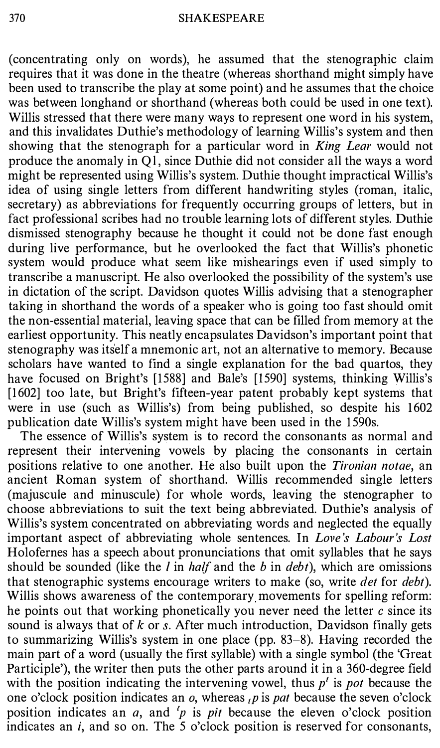(concentrating only on words), he assumed that the stenographic claim requires that it was done in the theatre (whereas shorthand might simply have been used to transcribe the play at some point) and he assumes that the choice was between longhand or shorthand (whereas both could be used in one text). Willis stressed that there were many ways to represent one word in his system, and this invalidates Duthie's methodology of learning Willis's system and then showing that the stenograph for a particular word in *King Lear* would not produce the anomaly in Ql, since Duthie did not consider all the ways a word might be represented using Willis's system. Duthie thought impractical Willis's idea of using single letters from different handwriting styles (roman, italic, secretary) as abbreviations for frequently occurring groups of letters, but in fact professional scribes had no trouble learning lots of different styles. Duthie dismissed stenography because he thought it could not be done fast enough during live performance, but he overlooked the fact that Willis's phonetic system would produce what seem like mishearings even if used simply to transcribe a manuscript. He also overlooked the possibility of the system's use in dictation of the script. Davidson quotes Willis advising that a stenographer taking in shorthand the words of a speaker who is going too fast should omit the non-essential material, leaving space that can be filled from memory at the earliest opportunity. This neatly encapsulates Davidson's important point that stenography was itself a mnemonic art, not an alternative to memory. Because scholars have wanted to find a single explanation for the bad quartos, they have focused on Bright's [1588] and Bale's [1590] systems, thinking Willis's [1602] too late, but Bright's fifteen-year patent probably kept systems that were in use (such as Willis's) from being published, so despite his 1602 publication date Willis's system might have been used in the 1590s.

The essence of Willis's system is to record the consonants as normal and represent their intervening vowels by placing the consonants in certain positions relative to one another. He also built upon the Tironian notae, an ancient Roman system of shorthand. Willis recommended single letters (majuscule and minuscule) for whole words, leaving the stenographer to choose abbreviations to suit the text being abbreviated. Duthie's analysis of Willis's system concentrated on abbreviating words and neglected the equally important aspect of abbreviating whole sentences. In Love's Labour's Lost Holofernes has a speech about pronunciations that omit syllables that he says should be sounded (like the  $l$  in *half* and the  $b$  in  $debt$ ), which are omissions that stenographic systems encourage writers to make (so, write *det* for *debt*). Willis shows awareness of the contemporary movements for spelling reform: he points out that working phonetically you never need the letter  $c$  since its sound is always that of  $k$  or  $s$ . After much introduction, Davidson finally gets to summarizing Willis's system in one place (pp. 83-8). Having recorded the main part of a word (usually the first syllable) with a single symbol (the 'Great Participle'), the writer then puts the other parts around it in a 360-degree field with the position indicating the intervening vowel, thus  $p'$  is pot because the one o'clock position indicates an  $o$ , whereas  $\mu$  is pat because the seven o'clock position indicates an  $a$ , and 'p is pit because the eleven o'clock position indicates an  $i$ , and so on. The 5 o'clock position is reserved for consonants,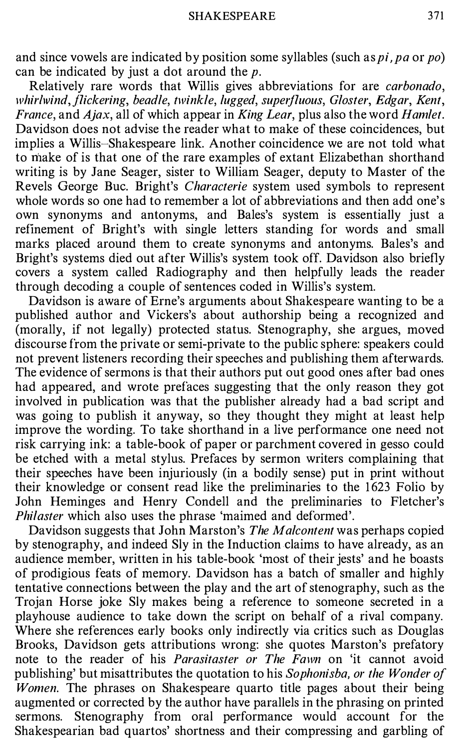and since vowels are indicated by position some syllables (such as pi, pa or po) can be indicated by just a dot around the  $p$ .

Relatively rare words that Willis gives abbreviations for are carbonado, whirlwind, flickering, beadle, twinkle, lugged, superfluous, Gloster, Edgar, Kent, France, and  $A$ jax, all of which appear in King Lear, plus also the word Hamlet. Davidson does not advise the reader what to make of these coincidences, but implies a Willis-Shakespeare link. Another coincidence we are not told what to make of is that one of the rare examples of extant Elizabethan shorthand writing is by Jane Seager, sister to William Seager, deputy to Master of the Revels George Bue. Bright's Characterie system used symbols to represent whole words so one had to remember a lot of abbreviations and then add one's own synonyms and antonyms, and Bales's system is essentially just a refinement of Bright's with single letters standing for words and small marks placed around them to create synonyms and antonyms. Bales's and Bright's systems died out after Willis's system took off. Davidson also briefly covers a system called Radiography and then helpfully leads the reader through decoding a couple of sentences coded in Willis's system.

Davidson is aware of Erne's arguments about Shakespeare wanting to be a published author and Vickers's about authorship being a recognized and (morally, if not legally) protected status. Stenography, she argues, moved discourse from the private or semi-private to the public sphere: speakers could not prevent listeners recording their speeches and publishing them afterwards. The evidence of sermons is that their authors put out good ones after bad ones had appeared, and wrote prefaces suggesting that the only reason they got involved in publication was that the publisher already had a bad script and was going to publish it anyway, so they thought they might at least help improve the wording. To take shorthand in a live performance one need not risk carrying ink: a table-book of paper or parchment covered in gesso could be etched with a metal stylus. Prefaces by sermon writers complaining that their speeches have been injuriously (in a bodily sense) put in print without their knowledge or consent read like the preliminaries to the 1 623 Folio by John Heminges and Henry Condell and the preliminaries to Fletcher's Philaster which also uses the phrase 'maimed and deformed'.

Davidson suggests that John Marston's The Malcontent was perhaps copied by stenography, and indeed Sly in the Induction claims to have already, as an audience member, written in his table-book 'most of their jests' and he boasts of prodigious feats of memory. Davidson has a batch of smaller and highly tentative connections between the play and the art of stenography, such as the Trojan Horse joke Sly makes being a reference to someone secreted in a playhouse audience to take down the script on behalf of a rival company. Where she references early books only indirectly via critics such as Douglas Brooks, Davidson gets attributions wrong: she quotes Marston's prefatory note to the reader of his *Parasitaster or The Fawn* on 'it cannot avoid publishing' but misattributes the quotation to his Sophonisba, or the Wonder of Women. The phrases on Shakespeare quarto title pages about their being augmented or corrected by the author have parallels in the phrasing on printed sermons. Stenography from oral performance would account for the Shakespearian bad quartos' shortness and their compressing and garbling of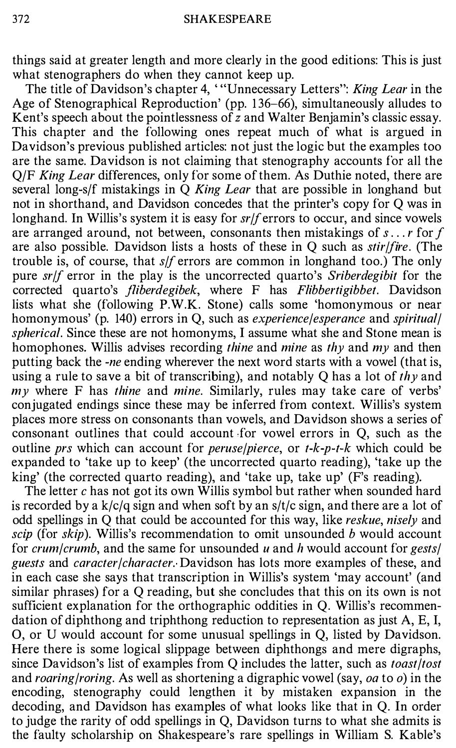things said at greater length and more clearly in the good editions: This is just what stenographers do when they cannot keep up.

The title of Davidson's chapter 4, "Unnecessary Letters": King Lear in the Age of Stenographical Reproduction' (pp. 1 36-66), simultaneously alludes to Kent's speech about the pointlessness of  $\overline{z}$  and Walter Benjamin's classic essay. This chapter and the following ones repeat much of what is argued in Davidson's previous published articles: not just the logic but the examples too are the same. Davidson is not claiming that stenography accounts for all the O/F King Lear differences, only for some of them. As Duthie noted, there are several long-s/f mistakings in  $Q$  King Lear that are possible in longhand but not in shorthand, and Davidson concedes that the printer's copy for Q was in longhand. In Willis's system it is easy for  $sr/f$  errors to occur, and since vowels are arranged around, not between, consonants then mistakings of  $s \dots r$  for f are also possible. Davidson lists a hosts of these in  $Q$  such as *stir/fire*. (The trouble is, of course, that s/f errors are common in longhand too.) The only pure sr/f error in the play is the uncorrected quarto's Sriberdegibit for the corrected quarto's *fliberdegibek*, where F has *Flibbertigibbet*. Davidson lists what she (following P.W.K. Stone) calls some 'homonymous or near homonymous' (p. 140) errors in Q, such as *experience/esperance* and *spiritual* spherical. Since these are not homonyms, I assume what she and Stone mean is homophones. Willis advises recording *thine* and *mine* as *thy* and *my* and then putting back the -ne ending wherever the next word starts with a vowel (that is, using a rule to save a bit of transcribing), and notably Q has a lot of thy and  $m<sub>V</sub>$  where F has thine and mine. Similarly, rules may take care of verbs' conjugated endings since these may be inferred from context. Willis's system places more stress on consonants than vowels, and Davidson shows a series of consonant outlines that could account for vowel errors in Q, such as the outline prs which can account for *peruse/pierce*, or  $t-k-p-t-k$  which could be expanded to 'take up to keep' (the uncorrected quarto reading), 'take up the king' (the corrected quarto reading), and 'take up, take up' (F's reading).

The letter c has not got its own Willis symbol but rather when sounded hard is recorded by a  $k/c/q$  sign and when soft by an  $s/t/c$  sign, and there are a lot of odd spellings in Q that could be accounted for this way, like reskue, nisely and scip (for skip). Willis's recommendation to omit unsounded b would account for crum/crumb, and the same for unsounded u and h would account for gests/ guests and caracter/character. Davidson has lots more examples of these, and in each case she says that transcription in Willis's system 'may account' (and similar phrases) for a Q reading, but she concludes that this on its own is not sufficient explanation for the orthographic oddities in Q. Willis's recommendation of diphthong and triphthong reduction to representation as just A, E, I, 0, or U would account for some unusual spellings in Q, listed by Davidson. Here there is some logical slippage between diphthongs and mere digraphs, since Davidson's list of examples from Q includes the latter, such as *toast/tost* and roaring/roring. As well as shortening a digraphic vowel (say, oa to  $o$ ) in the encoding, stenography could lengthen it by mistaken expansion in the decoding, and Davidson has examples of what looks like that in Q. In order to judge the rarity of odd spellings in Q, Davidson turns to what she admits is the faulty scholarship on Shakespeare's rare spellings in William S. Kable's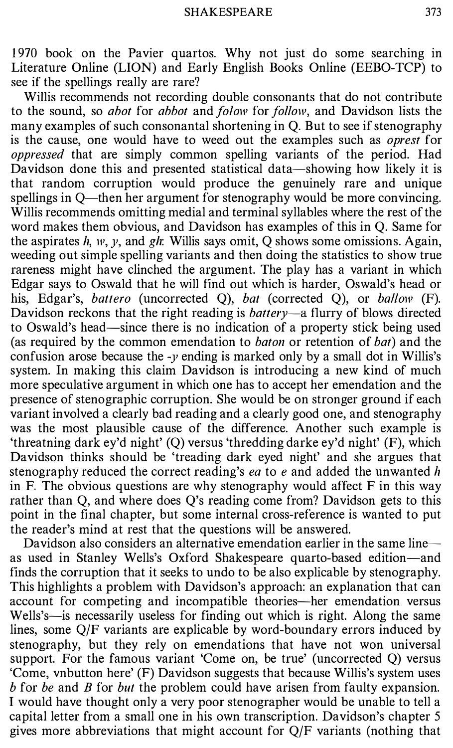1 970 book on the Pavier quartos. Why not just do some searching in Literature Online (LION) and Early English Books Online (EEBO-TCP) to see if the spellings really are rare?

Willis recommends not recording double consonants that do not contribute to the sound, so *abot* for *abbot* and *folow* for *follow*, and Davidson lists the many examples of such consonantal shortening in Q. But to see if stenography is the cause, one would have to weed out the examples such as *oprest* for oppressed that are simply common spelling variants of the period. Had Davidson done this and presented statistical data—showing how likely it is that random corruption would produce the genuinely rare and unique spellings in Q—then her argument for stenography would be more convincing. Willis recommends omitting medial and terminal syllables where the rest of the word makes them obvious, and Davidson has examples of this in Q. Same for the aspirates h, w, v, and gh: Willis says omit, O shows some omissions. Again, weeding out simple spelling variants and then doing the statistics to show true rareness might have clinched the argument. The play has a variant in which Edgar says to Oswald that he will find out which is harder, Oswald's head or his, Edgar's, battero (uncorrected Q), bat (corrected Q), or ballow (F). Davidson reckons that the right reading is *battery*—a flurry of blows directed to Oswald's head-since there is no indication of a property stick being used (as required by the common emendation to *baton* or retention of *bat*) and the confusion arose because the  $-y$  ending is marked only by a small dot in Willis's system. In making this claim Davidson is introducing a new kind of much more speculative argument in which one has to accept her emendation and the presence of stenographic corruption. She would be on stronger ground if each variant involved a clearly bad reading and a clearly good one, and stenography was the most plausible cause of the difference. Another such example is 'threatning dark ey'd night' (Q) versus 'thredding darke ey'd night' (F), which Davidson thinks should be 'treading dark eyed night' and she argues that stenography reduced the correct reading's ea to  $e$  and added the unwanted h in F. The obvious questions are why stenography would affect  $F$  in this way rather than Q, and where does Q's reading come from? Davidson gets to this point in the final chapter, but some internal cross-reference is wanted to put the reader's mind at rest that the questions will be answered.

Davidson also considers an alternative emendation earlier in the same line  $$ as used in Stanley Wells's Oxford Shakespeare quarto-based edition-and finds the corruption that it seeks to undo to be also explicable by stenography. This highlights a problem with Davidson's approach: an explanation that can account for competing and incompatible theories—her emendation versus Wells's—is necessarily useless for finding out which is right. Along the same lines, some Q/F variants are explicable by word-boundary errors induced by stenography, but they rely on emendations that have not won universal support. For the famous variant 'Come on, be true' (uncorrected Q) versus 'Come, vnbutton here' (F) Davidson suggests that because Willis's system uses b for be and B for but the problem could have arisen from faulty expansion. I would have thought only a very poor stenographer would be unable to tell a capital letter from a small one in his own transcription. Davidson's chapter 5 gives more abbreviations that might account for Q/F variants (nothing that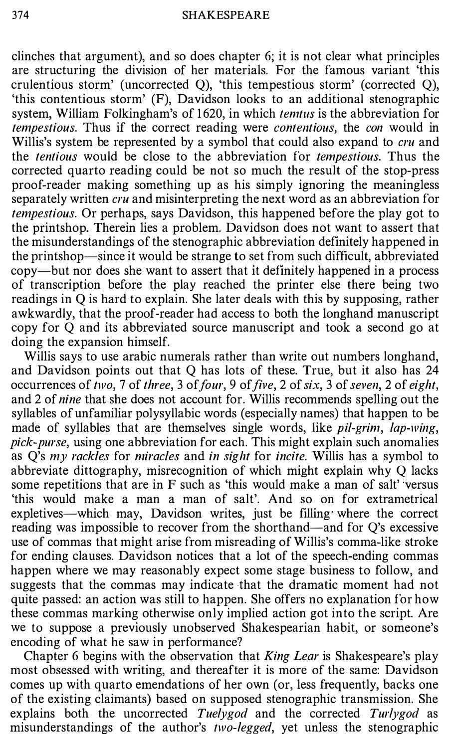clinches that argument), and so does chapter 6; it is not clear what principles are structuring the division of her materials. For the famous variant 'this crulentious storm' (uncorrected Q), 'this tempestious storm' (corrected Q), 'this contentious storm' (F), Davidson looks to an additional stenographic system, William Folkingham's of 1620, in which *temtus* is the abbreviation for tempestious. Thus if the correct reading were contentious, the con would in Willis's system be represented by a symbol that could also expand to cru and the tentious would be close to the abbreviation for tempestious. Thus the corrected quarto reading could be not so much the result of the stop-press proof-reader making something up as his simply ignoring the meaningless separately written *cru* and misinterpreting the next word as an abbreviation for tempestious. Or perhaps, says Davidson, this happened before the play got to the printshop. Therein lies a problem. Davidson does not want to assert that the misunderstandings of the stenographic abbreviation definitely happened in the printshop-since it would be strange to set from such difficult, abbreviated copy-but nor does she want to assert that it definitely happened in a process of transcription before the play reached the printer else there being two readings in Q is hard to explain. She later deals with this by supposing, rather awkwardly, that the proof-reader had access to both the longhand manuscript copy for Q and its abbreviated source manuscript and took a second go at doing the expansion himself.

Willis says to use arabic numerals rather than write out numbers longhand, and Davidson points out that Q has lots of these. True, but it also has 24 occurrences of two, 7 of three, 3 of four, 9 of five, 2 of six, 3 of seven, 2 of eight, and 2 of nine that she does not account for. Willis recommends spelling out the syllables of unfamiliar polysyllabic words (especially names) that happen to be made of syllables that are themselves single words, like *pil-grim*, *lap-wing*, pick-purse, using one abbreviation for each. This might explain such anomalies as  $Q$ 's  $my$  rackles for miracles and in sight for incite. Willis has a symbol to abbreviate dittography, misrecognition of which might explain why Q lacks some repetitions that are in F such as 'this would make a man of salt' versus 'this would make a man a man of salt'. And so on for extrametrical expletives—which may, Davidson writes, just be filling where the correct reading was impossible to recover from the shorthand—and for Q's excessive use of commas that might arise from misreading of Willis's comma-like stroke for ending clauses. Davidson notices that a lot of the speech-ending commas happen where we may reasonably expect some stage business to follow, and suggests that the commas may indicate that the dramatic moment had not quite passed: an action was still to happen. She offers no explanation for how these commas marking otherwise only implied action got into the script. Are we to suppose a previously unobserved Shakespearian habit, or someone's encoding of what he saw in performance?

Chapter 6 begins with the observation that *King Lear* is Shakespeare's play most obsessed with writing, and thereafter it is more of the same: Davidson comes up with quarto emendations of her own (or, less frequently, backs one of the existing claimants) based on supposed stenographic transmission. She explains both the uncorrected Tuelygod and the corrected Turlygod as misunderstandings of the author's two-legged, yet unless the stenographic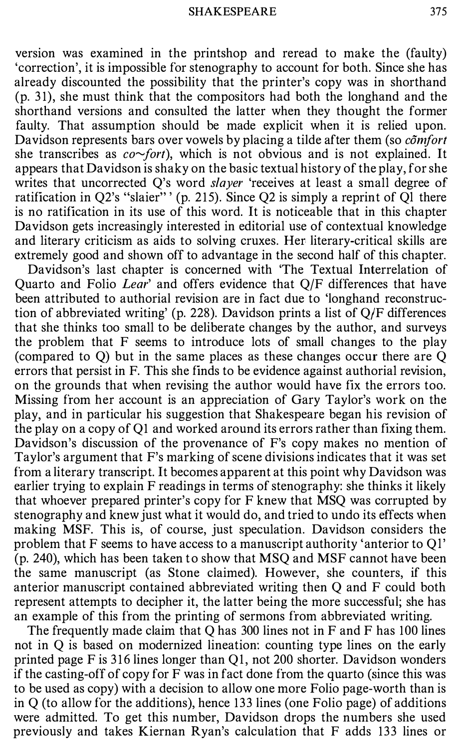version was examined in the printshop and reread to make the (faulty) 'correction', it is impossible for stenography to account for both. Since she has already discounted the possibility that the printer's copy was in shorthand (p. 31), she must think that the compositors had both the longhand and the shorthand versions and consulted the latter when they thought the former faulty. That assumption should be made explicit when it is relied upon. Davidson represents bars over vowels by placing a tilde after them (so  $c\tilde{o}$ *mfort* she transcribes as  $co$  fort), which is not obvious and is not explained. It appears that Davidson is shaky on the basic textual history of the play, for she writes that uncorrected Q's word slayer 'receives at least a small degree of ratification in Q2's "slaier"' (p. 215). Since Q2 is simply a reprint of Q1 there is no ratification in its use of this word. It is noticeable that in this chapter Davidson gets increasingly interested in editorial use of contextual knowledge and literary criticism as aids to solving cruxes. Her literary-critical skills are extremely good and shown off to advantage in the second half of this chapter.

Davidson's last chapter is concerned with 'The Textual Interrelation of Quarto and Folio Lear' and offers evidence that Q/F differences that have been attributed to authorial revision are in fact due to 'longhand reconstruction of abbreviated writing' (p. 228). Davidson prints a list of Q/F differences that she thinks too small to be deliberate changes by the author, and surveys the problem that F seems to introduce lots of small changes to the play (compared to Q) but in the same places as these changes occur there are Q errors that persist in F. This she finds to be evidence against authorial revision, on the grounds that when revising the author would have fix the errors too. Missing from her account is an appreciation of Gary Taylor's work on the play, and in particular his suggestion that Shakespeare began his revision of the play on a copy of Q1 and worked around its errors rather than fixing them. Davidson's discussion of the provenance of F's copy makes no mention of Taylor's argument that F's marking of scene divisions indicates that it was set from a literary transcript. It becomes apparent at this point why Davidson was earlier trying to explain F readings in terms of stenography: she thinks it likely that whoever prepared printer's copy for F knew that MSQ was corrupted by stenography and knew just what it would do, and tried to undo its effects when making MSF. This is, of course, just speculation. Davidson considers the problem that F seems to have access to a manuscript authority 'anterior to Ql' (p. 240), which has been taken to show that MSQ and MSF cannot have been the same manuscript (as Stone claimed). However, she counters, if this anterior manuscript contained abbreviated writing then Q and F could both represent attempts to decipher it, the latter being the more successful; she has an example of this from the printing of sermons from abbreviated writing.

The frequently made claim that Q has 300 lines not in F and F has 100 lines not in Q is based on modernized lineation: counting type lines on the early printed page F is 316 lines longer than Ql, not 200 shorter. Davidson wonders if the casting-off of copy for F was in fact done from the quarto (since this was to be used as copy) with a decision to allow one more Folio page-worth than is in Q (to allow for the additions), hence 133 lines (one Folio page) of additions were admitted. To get this number, Davidson drops the numbers she used previously and takes Kiernan Ryan's calculation that F adds 133 lines or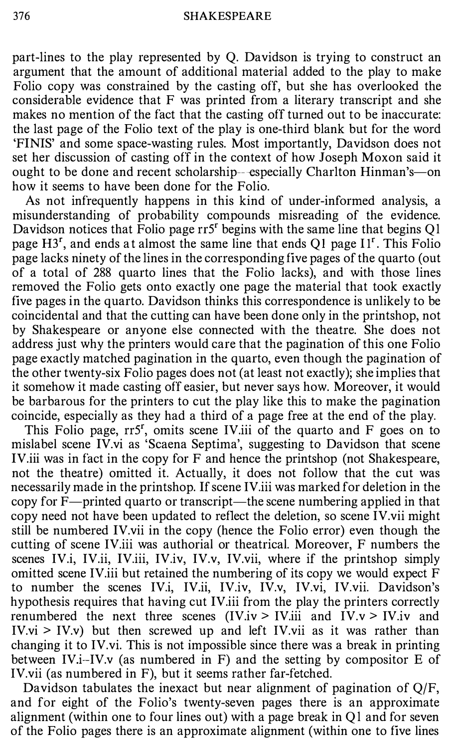part-lines to the play represented by Q. Davidson is trying to construct an argument that the amount of additional material added to the play to make Folio copy was constrained by the casting off, but she has overlooked the considerable evidence that F was printed from a literary transcript and she makes no mention of the fact that the casting off turned out to be inaccurate: the last page of the Folio text of the play is one-third blank but for the word 'FINIS' and some space-wasting rules. Most importantly, Davidson does not set her discussion of casting off in the context of how Joseph Moxon said it ought to be done and recent scholarship--especially Charlton Hinman's-on how it seems to have been done for the Folio.

As not infrequently happens in this kind of under-informed analysis, a misunderstanding of probability compounds misreading of the evidence. Davidson notices that Folio page rr5<sup>r</sup> begins with the same line that begins Q1 page  $H3<sup>r</sup>$ , and ends at almost the same line that ends Q1 page  $II<sup>r</sup>$ . This Folio page lacks ninety of the lines in the corresponding five pages of the quarto (out of a total of 288 quarto lines that the Folio lacks), and with those lines removed the Folio gets onto exactly one page the material that took exactly five pages in the quarto. Davidson thinks this correspondence is unlikely to be coincidental and that the cutting can have been done only in the printshop, not by Shakespeare or anyone else connected with the theatre. She does not address just why the printers would care that the pagination of this one Folio page exactly matched pagination in the quarto, even though the pagination of the other twenty-six Folio pages does not (at least not exactly); she implies that it somehow it made casting off easier, but never says how. Moreover, it would be barbarous for the printers to cut the play like this to make the pagination coincide, especially as they had a third of a page free at the end of the play.

This Folio page, rr5', omits scene IV.iii of the quarto and F goes on to mislabel scene IV.vi as 'Scaena Septima', suggesting to Davidson that scene IV.iii was in fact in the copy for F and hence the printshop (not Shakespeare, not the theatre) omitted it. Actually, it does not follow that the cut was necessarily made in the printshop. If scene IV.iii was marked for deletion in the copy for F—printed quarto or transcript—the scene numbering applied in that copy need not have been updated to reflect the deletion, so scene IV.vii might still be numbered IV.vii in the copy (hence the Folio error) even though the cutting of scene IV.iii was authorial or theatrical. Moreover, F numbers the scenes IV.i, IV.ii, IV.iii, IV.iv, IV.v, IV.vii, where if the printshop simply omitted scene IV.iii but retained the numbering of its copy we would expect F to number the scenes IV.i, IV.ii, IV.iv, IV.v, IV.vi, IV.vii. Davidson's hypothesis requires that having cut IV.iii from the play the printers correctly renumbered the next three scenes (IV.iv > IV.iii and IV.v > IV.iv and  $IV.vi > IV.v$ ) but then screwed up and left IV.vii as it was rather than changing it to IV.vi. This is not impossible since there was a break in printing between IV.i-IV.v (as numbered in F) and the setting by compositor E of IV.vii (as numbered in F), but it seems rather far-fetched.

Davidson tabulates the inexact but near alignment of pagination of Q/F, and for eight of the Folio's twenty-seven pages there is an approximate alignment (within one to four lines out) with a page break in Ql and for seven of the Folio pages there is an approximate alignment (within one to five lines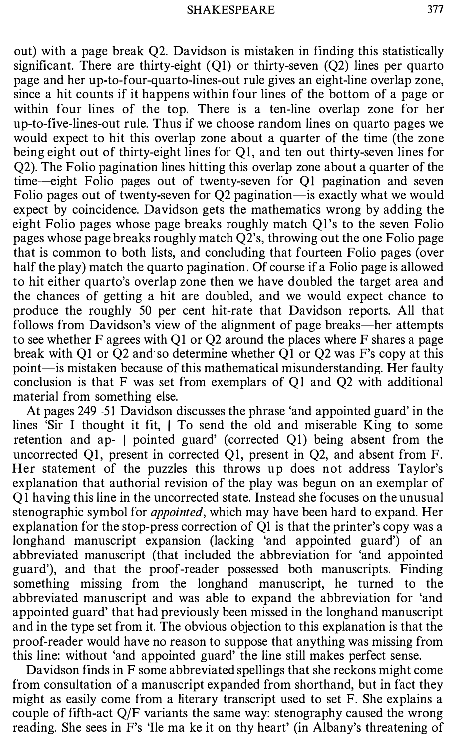out) with a page break Q2. Davidson is mistaken in finding this statistically significant. There are thirty-eight  $(Q1)$  or thirty-seven  $(Q2)$  lines per quarto page and her up-to-four-quarto-lines-out rule gives an eight-line overlap zone, since a hit counts if it happens within four lines of the bottom of a page or within four lines of the top. There is a ten-line overlap zone for her up-to-five-lines-out rule. Thus if we choose random lines on quarto pages we would expect to hit this overlap zone about a quarter of the time (the zone being eight out of thirty-eight lines for QI, and ten out thirty-seven lines for Q2). The Folio pagination lines hitting this overlap zone about a quarter of the time-eight Folio pages out of twenty-seven for QI pagination and seven Folio pages out of twenty-seven for Q2 pagination-is exactly what we would expect by coincidence. Davidson gets the mathematics wrong by adding the eight Folio pages whose page breaks roughly match Ql's to the seven Folio pages whose page breaks roughly match Q2's, throwing out the one Folio page that is common to both lists, and concluding that fourteen Folio pages (over half the play) match the quarto pagination. Of course if a Folio page is allowed to hit either quarto's overlap zone then we have doubled the target area and the chances of getting a hit are doubled, and we would expect chance to produce the roughly 50 per cent hit-rate that Davidson reports. All that follows from Davidson's view of the alignment of page breaks—her attempts to see whether F agrees with QI or Q2 around the places where F shares a page break with QI or Q2 and so determine whether QI or Q2 was F's copy at this point-is mistaken because of this mathematical misunderstanding. Her faulty conclusion is that F was set from exemplars of QI and Q2 with additional material from something else.

At pages 249-51 Davidson discusses the phrase 'and appointed guard' in the lines 'Sir I thought it fit,  $\vert$  To send the old and miserable King to some retention and ap- / pointed guard' (corrected QI) being absent from the uncorrected QI, present in corrected QI, present in Q2, and absent from F. Her statement of the puzzles this throws up does not address Taylor's explanation that authorial revision of the play was begun on an exemplar of Q 1 having this line in the uncorrected state. Instead she focuses on the unusual stenographic symbol for *appointed*, which may have been hard to expand. Her explanation for the stop-press correction of QI is that the printer's copy was a longhand manuscript expansion (lacking 'and appointed guard') of an abbreviated manuscript (that included the abbreviation for 'and appointed guard'), and that the proof-reader possessed both manuscripts. Finding something missing from the longhand manuscript, he turned to the abbreviated manuscript and was able to expand the abbreviation for 'and appointed guard' that had previously been missed in the longhand manuscript and in the type set from it. The obvious objection to this explanation is that the proof-reader would have no reason to suppose that anything was missing from this line: without 'and appointed guard' the line still makes perfect sense.

Davidson finds in F some abbreviated spellings that she reckons might come from consultation of a manuscript expanded from shorthand, but in fact they might as easily come from a literary transcript used to set F. She explains a couple of fifth-act Q/F variants the same way: stenography caused the wrong reading. She sees in F's 'Ile ma ke it on thy heart' (in Albany's threatening of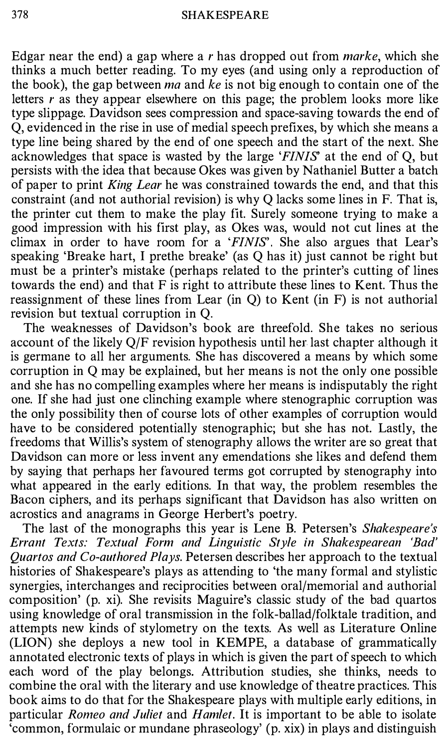Edgar near the end) a gap where a r has dropped out from *marke*, which she thinks a much better reading. To my eyes (and using only a reproduction of the book), the gap between *ma* and ke is not big enough to contain one of the letters  $r$  as they appear elsewhere on this page; the problem looks more like type slippage. Davidson sees compression and space-saving towards the end of Q, evidenced in the rise in use of medial speech prefixes, by which she means a type line being shared by the end of one speech and the start of the next. She acknowledges that space is wasted by the large 'FINIS' at the end of Q, but persists with the idea that because Okes was given by Nathaniel Butter a batch of paper to print King Lear he was constrained towards the end, and that this constraint (and not authorial revision) is why Q lacks some lines in F. That is, the printer cut them to make the play fit. Surely someone trying to make a good impression with his first play, as Okes was, would not cut lines at the climax in order to have room for a 'FINIS'. She also argues that Lear's speaking 'Breake hart, I prethe breake' (as Q has it) just cannot be right but must be a printer's mistake (perhaps related to the printer's cutting of lines towards the end) and that F is right to attribute these lines to Kent. Thus the reassignment of these lines from Lear (in  $Q$ ) to Kent (in  $F$ ) is not authorial revision but textual corruption in Q.

The weaknesses of Davidson's book are threefold. She takes no serious account of the likely Q/F revision hypothesis until her last chapter although it is germane to all her arguments. She has discovered a means by which some corruption in Q may be explained, but her means is not the only one possible and she has no compelling examples where her means is indisputably the right one. If she had just one clinching example where stenographic corruption was the only possibility then of course lots of other examples of corruption would have to be considered potentially stenographic; but she has not. Lastly, the freedoms that Willis's system of stenography allows the writer are so great that Davidson can more or less invent any emendations she likes and defend them by saying that perhaps her favoured terms got corrupted by stenography into what appeared in the early editions. In that way, the problem resembles the Bacon ciphers, and its perhaps significant that Davidson has also written on acrostics and anagrams in George Herbert's poetry.

The last of the monographs this year is Lene B. Petersen's Shakespeare's Errant Texts: Textual Form and Linguistic Style in Shakespearean 'Bad' Quartos and Co-authored Plays. Petersen describes her approach to the textual histories of Shakespeare's plays as attending to 'the many formal and stylistic synergies, interchanges and reciprocities between oral/memorial and authorial composition' (p. xi). She revisits Maguire's classic study of the bad quartos using knowledge of oral transmission in the folk-ballad/folktale tradition, and attempts new kinds of stylometry on the texts. As well as Literature Online (LION) she deploys a new tool in KEMPE, a database of grammatically annotated electronic texts of plays in which is given the part of speech to which each word of the play belongs. Attribution studies, she thinks, needs to combine the oral with the literary and use knowledge of theatre practices. This book aims to do that for the Shakespeare plays with multiple early editions, in particular Romeo and Juliet and Hamlet. It is important to be able to isolate 'common, formulaic or mundane phraseology' (p. xix) in plays and distinguish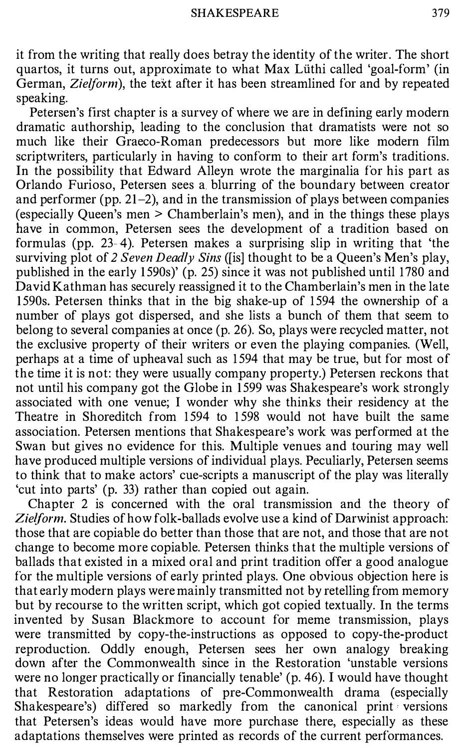it from the writing that really does betray the identity of the writer. The short quartos, it turns out, approximate to what Max Luthi called 'goal-form' (in German, Zielform), the text after it has been streamlined for and by repeated speaking.

Petersen's first chapter is a survey of where we are in defining early modern dramatic authorship, leading to the conclusion that dramatists were not so much like their Graeco-Roman predecessors but more like modern film scriptwriters, particularly in having to conform to their art form's traditions. In the possibility that Edward Alleyn wrote the marginalia for his part as Orlando Furioso, Petersen sees a. blurring of the boundary between creator and performer (pp.  $21-2$ ), and in the transmission of plays between companies (especially Queen's men > Chamberlain's men), and in the things these plays have in common, Petersen sees the development of a tradition based on formulas (pp. 23-4). Petersen makes a surprising slip in writing that 'the surviving plot of 2 Seven Deadly Sins ([is] thought to be a Queen's Men's play, published in the early 1590s)' (p. 25) since it was not published until 1780 and David Kathman has securely reassigned it to the Chamberlain's men in the late 1 590s. Petersen thinks that in the big shake-up of 1 594 the ownership of a number of plays got dispersed, and she lists a bunch of them that seem to belong to several companies at once (p. 26). So, plays were recycled matter, not the exclusive property of their writers or even the playing companies. (Well, perhaps at a time of upheaval such as 1 594 that may be true, but for most of the time it is not: they were usually company property.) Petersen reckons that not until his company got the Globe in 1 599 was Shakespeare's work strongly associated with one venue; I wonder why she thinks their residency at the Theatre in Shoreditch from 1594 to 1598 would not have built the same association. Petersen mentions that Shakespeare's work was performed at the Swan but gives no evidence for this. Multiple venues and touring may well have produced multiple versions of individual plays. Peculiarly, Petersen seems to think that to make actors' cue-scripts a manuscript of the play was literally 'cut into parts' (p. 33) rather than copied out again.

Chapter 2 is concerned with the oral transmission and the theory of Zielform. Studies of how folk-ballads evolve use a kind of Darwinist approach: those that are copiable do better than those that are not, and those that are not change to become more copiable. Petersen thinks that the multiple versions of ballads that existed in a mixed oral and print tradition offer a good analogue for the multiple versions of early printed plays. One obvious objection here is that early modern plays were mainly transmitted not by retelling from memory but by recourse to the written script, which got copied textually. In the terms invented by Susan Blackmore to account for meme transmission, plays were transmitted by copy-the-instructions as opposed to copy-the-product reproduction. Oddly enough, Petersen sees her own analogy breaking down after the Commonwealth since in the Restoration 'unstable versions were no longer practically or financially tenable' (p. 46). I would have thought that Restoration adaptations of pre-Commonwealth drama (especially Shakespeare's) differed so markedly from the canonical print versions that Petersen's ideas would have more purchase there, especially as these adaptations themselves were printed as records of the current performances.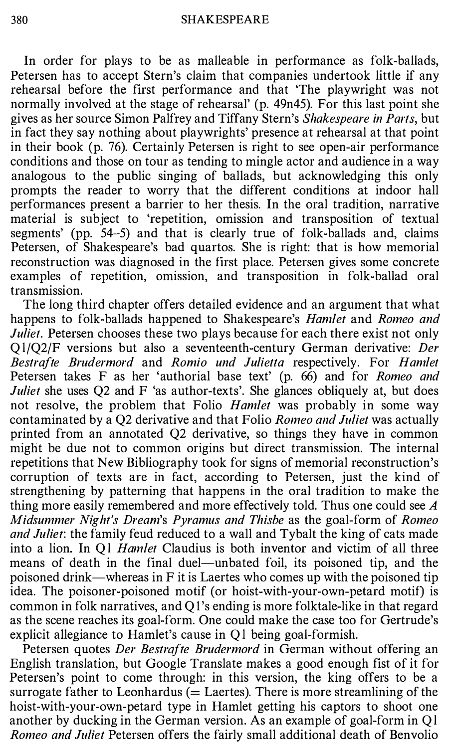In order for plays to be as malleable in performance as folk-ballads, Petersen has to accept Stern's claim that companies undertook little if any rehearsal before the first performance and that 'The playwright was not normally involved at the stage of rehearsal' (p. 49n45). For this last point she gives as her source Simon Palfrey and Tiffany Stern's Shakespeare in Parts, but in fact they say nothing about playwrights' presence at rehearsal at that point in their book (p. 76). Certainly Petersen is right to see open-air performance conditions and those on tour as tending to mingle actor and audience in a way analogous to the public singing of ballads, but acknowledging this only prompts the reader to worry that the different conditions at indoor hall performances present a barrier to her thesis. In the oral tradition, narrative material is subject to 'repetition, omission and transposition of textual segments' (pp. 54--5) and that is clearly true of folk-ballads and, claims Petersen, of Shakespeare's bad quartos. She is right: that is how memorial reconstruction was diagnosed in the first place. Petersen gives some concrete examples of repetition, omission, and transposition in folk-ballad oral transmission.

The long third chapter offers detailed evidence and an argument that what happens to folk-ballads happened to Shakespeare's Hamlet and Romeo and Juliet. Petersen chooses these two plays because for each there exist not only Q l/Q2/F versions but also a seventeenth-century German derivative: Der Bestrafte Brudermord and Romio und Julietta respectively. For Hamlet Petersen takes F as her 'authorial base text' (p. 66) and for Romeo and Juliet she uses Q2 and F 'as author-texts'. She glances obliquely at, but does not resolve, the problem that Folio *Hamlet* was probably in some way contaminated by a Q2 derivative and that Folio Romeo and Juliet was actually printed from an annotated Q2 derivative, so things they have in common might be due not to common origins but direct transmission. The internal repetitions that New Bibliography took for signs of memorial reconstruction's corruption of texts are in fact, according to Petersen, just the kind of strengthening by patterning that happens in the oral tradition to make the thing more easily remembered and more effectively told. Thus one could see A Midsummer Night's Dream's Pyramus and Thisbe as the goal-form of Romeo and Juliet: the family feud reduced to a wall and Tybalt the king of cats made into a lion. In Q1 *Hamlet* Claudius is both inventor and victim of all three means of death in the final duel—unbated foil, its poisoned tip, and the poisoned drink—whereas in  $F$  it is Laertes who comes up with the poisoned tip idea. The poisoner-poisoned motif (or hoist-with-your-own-petard motif) is common in folk narratives, and Ql 's ending is more folktale-like in that regard as the scene reaches its goal-form. One could make the case too for Gertrude's explicit allegiance to Hamlet's cause in Ql being goal-formish.

Petersen quotes Der Bestrafte Brudermord in German without offering an English translation, but Google Translate makes a good enough fist of it for Petersen's point to come through: in this version, the king offers to be a surrogate father to Leonhardus ( $=$  Laertes). There is more streamlining of the hoist-with-your-own-petard type in Hamlet getting his captors to shoot one another by ducking in the German version. As an example of goal-form in Ql Romeo and Juliet Petersen offers the fairly small additional death of Benvolio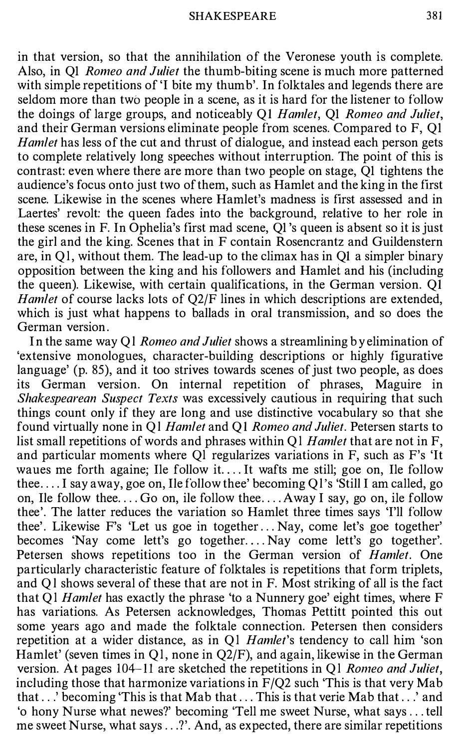in that version, so that the annihilation of the Veronese youth is complete. Also, in QI Romeo and Juliet the thumb-biting scene is much more patterned with simple repetitions of 'I bite my thumb'. In folktales and legends there are seldom more than two people in a scene, as it is hard for the listener to follow the doings of large groups, and noticeably QI Hamlet, QI Romeo and Juliet, and their German versions eliminate people from scenes. Compared to F, QI Hamlet has less of the cut and thrust of dialogue, and instead each person gets to complete relatively long speeches without interruption. The point of this is contrast: even where there are more than two people on stage, QI tightens the audience's focus onto just two of them, such as Hamlet and the king in the first scene. Likewise in the scenes where Hamlet's madness is first assessed and in Laertes' revolt: the queen fades into the background, relative to her role in these scenes in F. In Ophelia's first mad scene, QI 's queen is absent so it is just the girl and the king. Scenes that in F contain Rosencrantz and Guildenstern are, in Ql, without them. The lead-up to the climax has in QI a simpler binary opposition between the king and his followers and Hamlet and his (including the queen). Likewise, with certain qualifications, in the German version. QI Hamlet of course lacks lots of Q2/F lines in which descriptions are extended, which is just what happens to ballads in oral transmission, and so does the German version.

In the same way Q1 Romeo and Juliet shows a streamlining by elimination of 'extensive monologues, character-building descriptions or highly figurative language' (p. 85), and it too strives towards scenes of just two people, as does its German version. On internal repetition of phrases, Maguire in Shakespearean Suspect Texts was excessively cautious in requiring that such things count only if they are long and use distinctive vocabulary so that she found virtually none in Q1 Hamlet and Q1 Romeo and Juliet. Petersen starts to list small repetitions of words and phrases within Q1 Hamlet that are not in  $F$ , and particular moments where Ql regularizes variations in F, such as F's 'It waues me forth againe; Ile follow it. ... It wafts me still; goe on, Ile follow thee .... I say away, goe on, Ile follow thee' becoming Ql's 'Still I am called, go on, Ile follow thee  $\dots$  Go on, ile follow thee  $\dots$  Away I say, go on, ile follow thee'. The latter reduces the variation so Hamlet three times says 'I'll follow thee'. Likewise F's 'Let us goe in together ... Nay, come let's goe together' becomes 'Nay come lett's go together.... Nay come lett's go together'. Petersen shows repetitions too in the German version of *Hamlet*. One particularly characteristic feature of folktales is repetitions that form triplets, and Ql shows several of these that are not in F. Most striking of all is the fact that Q1 Hamlet has exactly the phrase 'to a Nunnery goe' eight times, where F has variations. As Petersen acknowledges, Thomas Pettitt pointed this out some years ago and made the folktale connection. Petersen then considers repetition at a wider distance, as in Q1 Hamlet's tendency to call him 'son Hamlet' (seven times in Q1, none in Q2/F), and again, likewise in the German version. At pages  $104-11$  are sketched the repetitions in Q1 Romeo and Juliet, including those that harmonize variations in  $F/Q2$  such 'This is that very Mab that .. .' becoming 'This is that Mab that ... This is that verie Mab that .. .' and 'o hony Nurse what newes?' becoming 'Tell me sweet Nurse, what says ... tell me sweet Nurse, what says ...?'. And, as expected, there are similar repetitions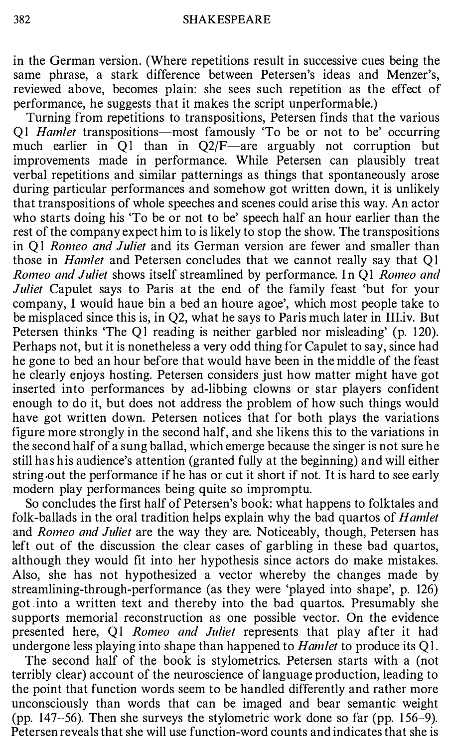in the German version. (Where repetitions result in successive cues being the same phrase, a stark difference between Petersen's ideas and Menzer's, reviewed above, becomes plain: she sees such repetition as the effect of performance, he suggests that it makes the script unperformable.)

Turning from repetitions to transpositions, Petersen finds that the various Q1 *Hamlet* transpositions—most famously 'To be or not to be' occurring much earlier in Q1 than in Q2/F—are arguably not corruption but improvements made in performance. While Petersen can plausibly treat verbal repetitions and similar patternings as things that spontaneously arose during particular performances and somehow got written down, it is unlikely that transpositions of whole speeches and scenes could arise this way. An actor who starts doing his 'To be or not to be' speech half an hour earlier than the rest of the company expect him to is likely to stop the show. The transpositions in Ql Romeo and Juliet and its German version are fewer and smaller than those in Hamlet and Petersen concludes that we cannot really say that QI Romeo and Juliet shows itself streamlined by performance. In QI Romeo and Juliet Capulet says to Paris at the end of the family feast 'but for your company, I would haue bin a bed an houre agoe', which most people take to be misplaced since this is, in Q2, what he says to Paris much later in III.iv. But Petersen thinks 'The Ql reading is neither garbled nor misleading' (p. 120). Perhaps not, but it is nonetheless a very odd thing for Capulet to say, since had he gone to bed an hour before that would have been in the middle of the feast he clearly enjoys hosting. Petersen considers just how matter might have got inserted into performances by ad-libbing clowns or star players confident enough to do it, but does not address the problem of how such things would have got written down. Petersen notices that for both plays the variations figure more strongly in the second half, and she likens this to the variations in the second half of a sung ballad, which emerge because the singer is not sure he still has his audience's attention (granted fully at the beginning) and will either string out the performance if he has or cut it short if not. It is hard to see early modern play performances being quite so impromptu.

So concludes the first half of Petersen's book: what happens to folktales and folk-ballads in the oral tradition helps explain why the bad quartos of Hamlet and *Romeo and Juliet* are the way they are. Noticeably, though, Petersen has left out of the discussion the clear cases of garbling in these bad quartos, although they would fit into her hypothesis since actors do make mistakes. Also, she has not hypothesized a vector whereby the changes made by streamlining-through-performance (as they were 'played into shape', p. 126) got . into a written text and thereby into the bad quartos. Presumably she supports memorial reconstruction as one possible vector. On the evidence presented here, Ql Romeo and Juliet represents that play after it had undergone less playing into shape than happened to *Hamlet* to produce its  $Q1$ .

The second half of the book is stylometrics. Petersen starts with a (not terribly clear) account of the neuroscience of language production, leading to the point that function words seem to be handled differently and rather more unconsciously than words that can be imaged and bear semantic weight (pp. 147-56). Then she surveys the stylometric work done so far (pp. 1 56-9). Petersen reveals that she will use function-word counts and indicates that she is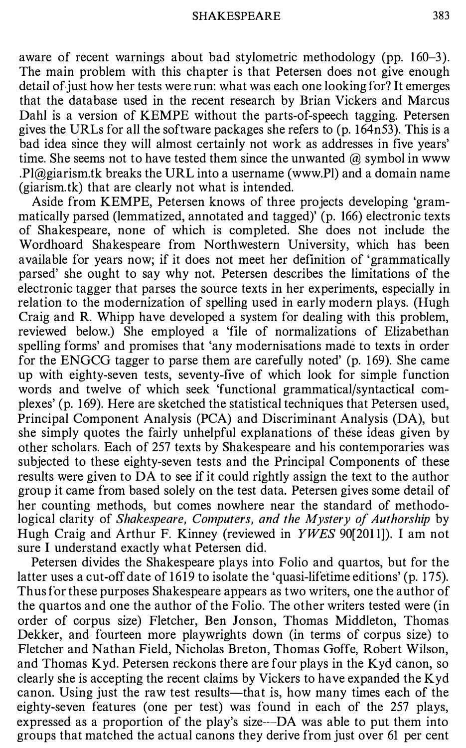aware of recent warnings about bad stylometric methodology (pp. 160–3). The main problem with this chapter is that Petersen does not give enough detail of just how her tests were run: what was each one looking for? It emerges that the database used in the recent research by Brian Vickers and Marcus Dahl is a version of KEMPE without the parts-of-speech tagging. Petersen gives the URLs for all the software packages she refers to (p. 164n53). This is a bad idea since they will almost certainly not work as addresses in five years' time. She seems not to have tested them since the unwanted  $\omega$  symbol in www .Pl@giarism.tk breaks the URL into a username (www.Pl) and a domain name (giarism.tk) that are clearly not what is intended.

Aside from KEMPE, Petersen knows of three projects developing 'grammatically parsed (lemmatized, annotated and tagged)' (p. 166) electronic texts of Shakespeare, none of which is completed. She does not include the Wordhoard Shakespeare from Northwestern University, which has been available for years now; if it does not meet her definition of 'grammatically parsed' she ought to say why not. Petersen describes the limitations of the electronic tagger that parses the source texts in her experiments, especially in relation to the modernization of spelling used in early modern plays. (Hugh Craig and R. Whipp have developed a system for dealing with this problem, reviewed below.) She employed a 'file of normalizations of Elizabethan spelling forms' and promises that 'any modernisations made to texts in order for the ENGCG tagger to parse them are carefully noted' (p. 1 69). She came up with eighty-seven tests, seventy-five of which look for simple function words and twelve of which seek 'functional grammatical/syntactical complexes' (p. 1 69). Here are sketched the statistical techniques that Petersen used, Principal Component Analysis (PCA) and Discriminant Analysis (DA), but she simply quotes the fairly unhelpful explanations of these ideas given by other scholars. Each of 257 texts by Shakespeare and his contemporaries was subjected to these eighty-seven tests and the Principal Components of these results were given to DA to see if it could rightly assign the text to the author group it came from based solely on the test data. Petersen gives some detail of her counting methods, but comes nowhere near the standard of methodological clarity of Shakespeare, Computers, and the Mystery of Authorship by Hugh Craig and Arthur F. Kinney (reviewed in YWES 90[201 1]). I am not sure I understand exactly what Petersen did.

Petersen divides the Shakespeare plays into Folio and quartos, but for the latter uses a cut-off date of 1619 to isolate the 'quasi-lifetime editions' (p. 175). Thus for these purposes Shakespeare appears as two writers, one the author of the quartos and one the author of the Folio. The other writers tested were (in order of corpus size) Fletcher, Ben Jonson, Thomas Middleton, Thomas Dekker, and fourteen more playwrights down (in terms of corpus size) to Fletcher and Nathan Field, Nicholas Breton, Thomas Goffe, Robert Wilson, and Thomas Kyd. Petersen reckons there are four plays in the Kyd canon, so clearly she is accepting the recent claims by Vickers to have expanded the Kyd canon. Using just the raw test results—that is, how many times each of the eighty-seven features (one per test) was found in each of the 257 plays, expressed as a proportion of the play's size--DA was able to put them into groups that matched the actual canons they derive from just over 61 per cent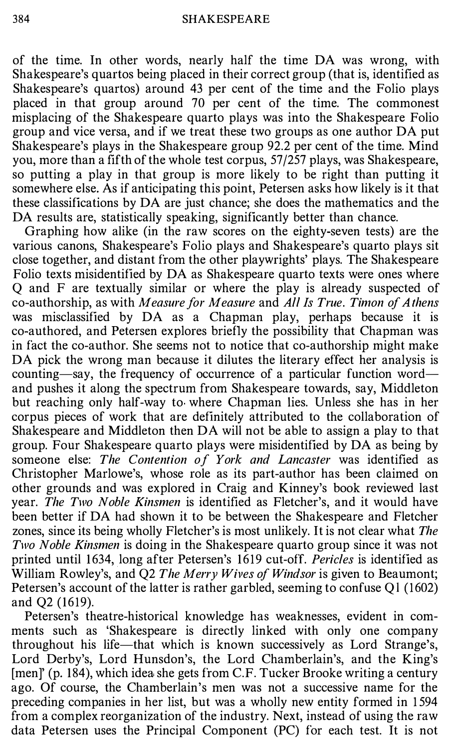of the time. In other words, nearly half the time DA was wrong, with Shakespeare's quartos being placed in their correct group (that is, identified as Shakespeare's quartos) around 43 per cent of the time and the Folio plays placed in that group around 70 per cent of the time. The commonest misplacing of the Shakespeare quarto plays was into the Shakespeare Folio group and vice versa, and if we treat these two groups as one author DA put Shakespeare's plays in the Shakespeare group 92.2 per cent of the time. Mind you, more than a fifth of the whole test corpus, 57 /257 plays, was Shakespeare, so putting a play in that group is more likely to be right than putting it somewhere else. As if anticipating this point, Petersen asks how likely is it that these classifications by DA are just chance; she does the mathematics and the DA results are, statistically speaking, significantly better than chance.

Graphing how alike (in the raw scores on the eighty-seven tests) are the various canons, Shakespeare's Folio plays and Shakespeare's quarto plays sit close together, and distant from the other playwrights' plays. The Shakespeare Folio texts misidentified by DA as Shakespeare quarto texts were ones where Q and F are textually similar or where the play is already suspected of co-authorship, as with Measure for Measure and All Is True. Timon of A thens was misclassified by DA as a Chapman play, perhaps because it is co-authored, and Petersen explores briefly the possibility that Chapman was in fact the co-author. She seems not to notice that co-authorship might make DA pick the wrong man because it dilutes the literary effect her analysis is counting-say, the frequency of occurrence of a particular function wordand pushes it along the spectrum from Shakespeare towards, say, Middleton but reaching only half-way to where Chapman lies. Unless she has in her corpus pieces of work that are definitely attributed to the collaboration of Shakespeare and Middleton then DA will not be able to assign a play to that group. Four Shakespeare quarto plays were misidentified by DA as being by someone else: The Contention of York and Lancaster was identified as Christopher Marlowe's, whose role as its part-author has been claimed on other grounds and was explored in Craig and Kinney's book reviewed last year. The Two Noble Kinsmen is identified as Fletcher's, and it would have been better if DA had shown it to be between the Shakespeare and Fletcher zones, since its being wholly Fletcher's is most unlikely. It is not clear what The Two Noble Kinsmen is doing in the Shakespeare quarto group since it was not printed until 1 634, long after Petersen's 1619 cut-off. Pericles is identified as William Rowley's, and Q2 The Merry Wives of Windsor is given to Beaumont; Petersen's account of the latter is rather garbled, seeming to confuse Ql (1602) and Q2 (1619).

Petersen's theatre-historical knowledge has weaknesses, evident in comments such as 'Shakespeare is directly linked with only one company throughout his life-that which is known successively as Lord Strange's, Lord Derby's, Lord Hunsdon's, the Lord Chamberlain's, and the King's [men]' (p. 184), which idea she gets from C.F. Tucker Brooke writing a century ago. Of course, the Chamberlain's men was not a successive name for the preceding companies in her list, but was a wholly new entity formed in 1 594 from a complex reorganization of the industry. Next, instead of using the raw data Petersen uses the Principal Component (PC) for each test. It is not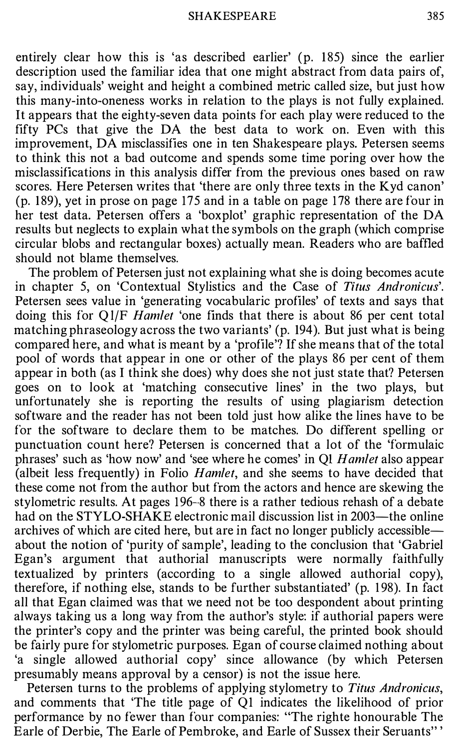entirely clear how this is 'as described earlier' (p. 185) since the earlier description used the familiar idea that one might abstract from data pairs of, say, individuals' weight and height a combined metric called size, but just how this many-into-oneness works in relation to the plays is not fully explained. It appears that the eighty-seven data points for each play were reduced to the fifty PCs that give the DA the best data to work on. Even with this improvement, DA misclassifies one in ten Shakespeare plays. Petersen seems to think this not a bad outcome and spends some time poring over how the misclassifications in this analysis differ from the previous ones based on raw scores. Here Petersen writes that 'there are only three texts in the Kyd canon' (p. 1 89), yet in prose on page 175 and in a table on page 178 there are four in her test data. Petersen offers a 'boxplot' graphic representation of the DA results but neglects to explain what the symbols on the graph (which comprise circular blobs and rectangular boxes) actually mean. Readers who are baffled should not blame themselves.

The problem of Petersen just not explaining what she is doing becomes acute in chapter 5, on 'Contextual Stylistics and the Case of Titus Andronicus'. Petersen sees value in 'generating vocabularic profiles' of texts and says that doing this for Q1/F *Hamlet* 'one finds that there is about 86 per cent total matching phraseology across the two variants' (p. 194). But just what is being compared here, and what is meant by a 'profile'? If she means that of the total pool of words that appear in one or other of the plays 86 per cent of them appear in both (as I think she does) why does she not just state that? Petersen goes on to look at 'matching consecutive lines' in the two plays, but unfortunately she is reporting the results of using plagiarism detection software and the reader has not been told just how alike the lines have to be for the software to declare them to be matches. Do different spelling or punctuation count here? Petersen is concerned that a lot of the 'formulaic phrases' such as 'how now' and 'see where he comes' in QI Hamlet also appear (albeit less frequently) in Folio Hamlet, and she seems to have decided that these come not from the author but from the actors and hence are skewing the stylometric results. At pages 196-8 there is a rather tedious rehash of a debate had on the STYLO-SHAKE electronic mail discussion list in 2003—the online archives of which are cited here, but are in fact no longer publicly accessibleabout the notion of 'purity of sample', leading to the conclusion that 'Gabriel Egan's argument that authorial manuscripts were normally faithfully textualized by printers (according to a single allowed authorial copy), therefore, if nothing else, stands to be further substantiated' (p. 1 98). In fact all that Egan claimed was that we need not be too despondent about printing always taking us a long way from the author's style: if authorial papers were the printer's copy and the printer was being careful, the printed book should be fairly pure for stylometric purposes. Egan of course claimed nothing about 'a single allowed authorial copy' since allowance (by which Petersen presumably means approval by a censor) is not the issue here.

Petersen turns to the problems of applying stylometry to Titus Andronicus, and comments that 'The title page of QI indicates the likelihood of prior performance by no fewer than four companies: "The righte honourable The Earle of Derbie, The Earle of Pembroke, and Earle of Sussex their Seruants" '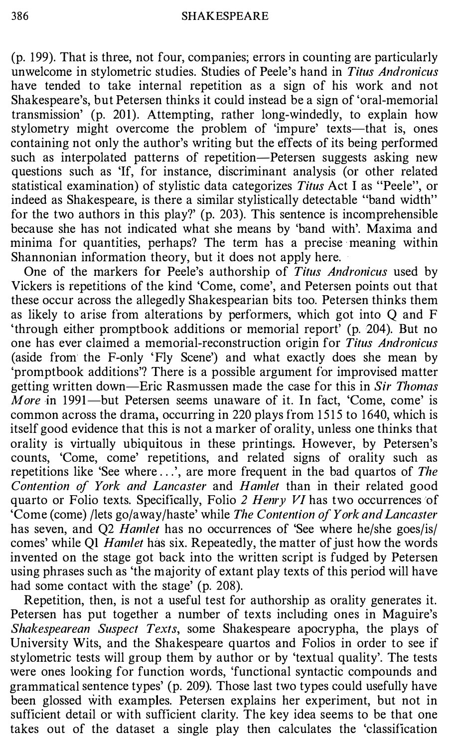(p. 199). That is three, not four, companies; errors in counting are particularly unwelcome in stylometric studies. Studies of Peele's hand in Titus Andronicus have tended to take internal repetition as a sign of his work and not Shakespeare's, but Petersen thinks it could instead be a sign of 'oral-memorial transmission' (p. 201). Attempting, rather long-windedly, to explain how stylometry might overcome the problem of 'impure' texts—that is, ones containing not only the author's writing but the effects of its being performed such as interpolated patterns of repetition—Petersen suggests asking new questions such as 'If, for instance, discriminant analysis (or other related statistical examination) of stylistic data categorizes Titus Act I as "Peele", or indeed as Shakespeare, is there a similar stylistically detectable "band width" for the two authors in this play?' (p. 203). This sentence is incomprehensible because she has not indicated what she means by 'band with'. Maxima and minima for quantities, perhaps? The term has a precise meaning within Shannonian information theory, but it does not apply here.

One of the markers for Peele's authorship of Titus Andronicus used by Vickers is repetitions of the kind 'Come, come', and Petersen points out that these occur across the allegedly Shakespearian bits too. Petersen thinks them as likely to arise from alterations by performers, which got into Q and F 'through either promptbook additions or memorial report' (p. 204). But no one has ever claimed a memorial-reconstruction origin for Titus Andronicus (aside from the F-only 'Fly Scene') and what exactly does she mean by 'promptbook additions'? There is a possible argument for improvised matter getting written down-Eric Rasmussen made the case for this in Sir Thomas *More* in 1991—but Petersen seems unaware of it. In fact, 'Come, come' is common across the drama, occurring in 220 plays from 1515 to 1640, which is itself good evidence that this is not a marker of orality, unless one thinks that orality is virtually ubiquitous in these printings. However, by Petersen's counts, 'Come, come' repetitions, and related signs of orality such as repetitions like 'See where ...', are more frequent in the bad quartos of The Contention of York and Lancaster and Hamlet than in their related good quarto or Folio texts. Specifically, Folio 2 Henry VI has two occurrences of 'Come (come) /lets go/away/haste' while The Contention of York and Lancaster has seven, and Q2 *Hamlet* has no occurrences of 'See where he/she goes/is/ comes' while Q1 Hamlet has six. Repeatedly, the matter of just how the words invented on the stage got back into the written script is fudged by Petersen using phrases such as 'the majority of extant play texts of this period will have had some contact with the stage' (p. 208).

Repetition, then, is not a useful test for authorship as orality generates it. Petersen has put together a number of texts including ones in Maguire's Shakespearean Suspect Texts, some Shakespeare apocrypha, the plays of University Wits, and the Shakespeare quartos and Folios in order to see if stylometric tests will group them by author or by 'textual quality'. The tests were ones looking for function words, 'functional syntactic compounds and grammatical sentence types' (p. 209). Those last two types could usefully have been glossed with examples. Petersen explains her experiment, but not in sufficient detail or with sufficient clarity. The key idea seems to be that one takes out of the dataset a single play then calculates the 'classification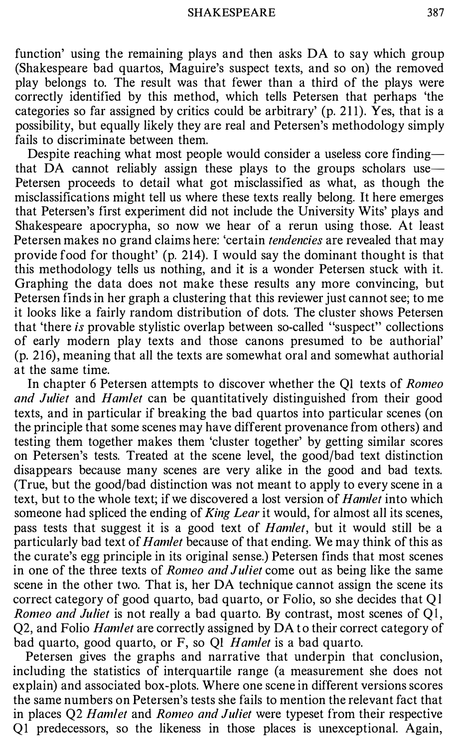function' using the remaining plays and then asks DA to say which group (Shakespeare bad quartos, Maguire's suspect texts, and so on) the removed play belongs to. The result was that fewer than a third of the plays were correctly identified by this method, which tells Petersen that perhaps 'the categories so far assigned by critics could be arbitrary'  $(p. 211)$ . Yes, that is a possibility, but equally likely they are real and Petersen's methodology simply fails to discriminate between them.

Despite reaching what most people would consider a useless core finding that DA cannot reliably assign these plays to the groups scholars use-Petersen proceeds to detail what got misclassified as what, as though the misclassifications might tell us where these texts really belong. It here emerges that Petersen's first experiment did not include the University Wits' plays and Shakespeare apocrypha, so now we hear of a rerun using those. At least Petersen makes no grand claims here: 'certain *tendencies* are revealed that may provide food for thought' (p. 214). I would say the dominant thought is that this methodology tells us nothing, and it is a wonder Petersen stuck with it. Graphing the data does not make these results any more convincing, but Petersen finds in her graph a clustering that this reviewer just cannot see; to me it looks like a fairly random distribution of dots. The cluster shows Petersen that 'there is provable stylistic overlap between so-called "suspect" collections of early modern play texts and those canons presumed to be authorial' (p. 216), meaning that all the texts are somewhat oral and somewhat authorial at the same time.

In chapter 6 Petersen attempts to discover whether the Ql texts of Romeo and Juliet and Hamlet can be quantitatively distinguished from their good texts, and in particular if breaking the bad quartos into particular scenes (on the principle that some scenes may have different provenance from others) and testing them together makes them 'cluster together' by getting similar scores on Petersen's tests. Treated at the scene level, the good/bad text distinction disappears because many scenes are very alike in the good and bad texts. (True, but the good/bad distinction was not meant to apply to every scene in a text, but to the whole text; if we discovered a lost version of *Hamlet* into which someone had spliced the ending of *King Lear* it would, for almost all its scenes, pass tests that suggest it is a good text of Hamlet, but it would still be a particularly bad text of *Hamlet* because of that ending. We may think of this as the curate's egg principle in its original sense.) Petersen finds that most scenes in one of the three texts of *Romeo and Juliet* come out as being like the same scene in the other two. That is, her DA technique cannot assign the scene its correct category of good quarto, bad quarto, or Folio, so she decides that Ql Romeo and Juliet is not really a bad quarto. By contrast, most scenes of Q1, Q2, and Folio *Hamlet* are correctly assigned by DA to their correct category of bad quarto, good quarto, or F, so Ql Hamlet is a bad quarto.

Petersen gives the graphs and narrative that underpin that conclusion, including the statistics of interquartile range (a measurement she does not explain) and associated box-plots. Where one scene in different versions scores the same numbers on Petersen's tests she fails to mention the relevant fact that in places Q2 Hamlet and Romeo and Juliet were typeset from their respective Q1 predecessors, so the likeness in those places is unexceptional. Again,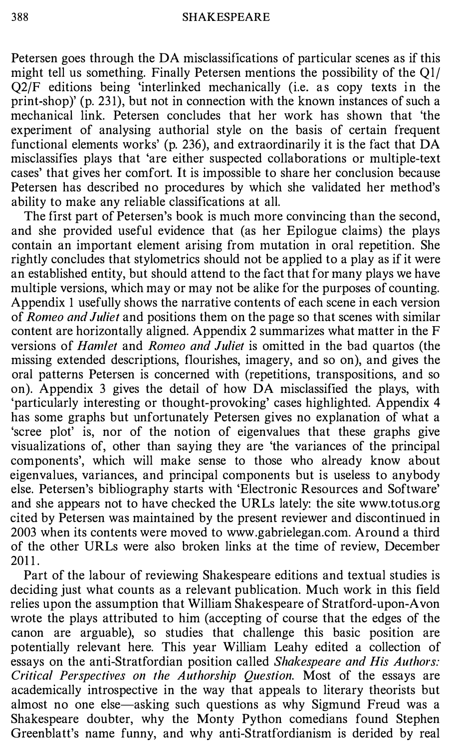Petersen goes through the DA misclassifications of particular scenes as if this might tell us something. Finally Petersen mentions the possibility of the Ql/ Q2/F editions being 'interlinked mechanically (i.e. as copy texts in the print-shop)' (p. 231), but not in connection with the known instances of such a mechanical link. Petersen concludes that her work has shown that 'the experiment of analysing authorial style on the basis of certain frequent functional elements works' (p. 236), and extraordinarily it is the fact that DA misclassifies plays that 'are either suspected collaborations or multiple-text cases' that gives her comfort. It is impossible to share her conclusion because Petersen has described no procedures by which she validated her method's ability to make any reliable classifications at all.

The first part of Petersen's book is much more convincing than the second, and she provided useful evidence that (as her Epilogue claims) the plays contain an important element arising from mutation in oral repetition. She rightly concludes that stylometrics should not be applied to a play as if it were an established entity, but should attend to the fact that for many plays we have multiple versions, which may or may not be alike for the purposes of counting. Appendix 1 usefully shows the narrative contents of each scene in each version of Romeo and Juliet and positions them on the page so that scenes with similar content are horizontally aligned. Appendix 2 summarizes what matter in the F versions of Hamlet and Romeo and Juliet is omitted in the bad quartos (the missing extended descriptions, flourishes, imagery, and so on), and gives the oral patterns Petersen is concerned with (repetitions, transpositions, and so on). Appendix 3 gives the detail of how DA misclassified the plays, with 'particularly interesting or thought-provoking' cases highlighted. Appendix 4 has some graphs but unfortunately Petersen gives no explanation of what a 'scree plot' is, nor of the notion of eigenvalues that these graphs give visualizations of, other than saying they are 'the variances of the principal components', which will make sense to those who already know about eigenvalues, variances, and principal components but is useless to anybody else. Petersen's bibliography starts with 'Electronic Resources and Software' and she appears not to have checked the URLs lately: the site www.totus.org cited by Petersen was maintained by the present reviewer and discontinued in 2003 when its contents were moved to www .gabrielegan.com. Around a third of the other URLs were also broken links at the time of review, December 2011.

Part of the labour of reviewing Shakespeare editions and textual studies is deciding just what counts as a relevant publication. Much work in this field relies upon the assumption that William Shakespeare of Stratford-upon-Avon wrote the plays attributed to him (accepting of course that the edges of the canon are arguable), so studies that challenge this basic position are potentially relevant here. This year William Leahy edited a collection of essays on the anti-Stratfordian position called Shakespeare and His Authors: Critical Perspectives on the Authorship Question. Most of the essays are academically introspective in the way that appeals to literary theorists but almost no one else—asking such questions as why Sigmund Freud was a Shakespeare doubter, why the Monty Python comedians found Stephen Greenblatt's name funny, and why anti-Stratfordianism is derided by real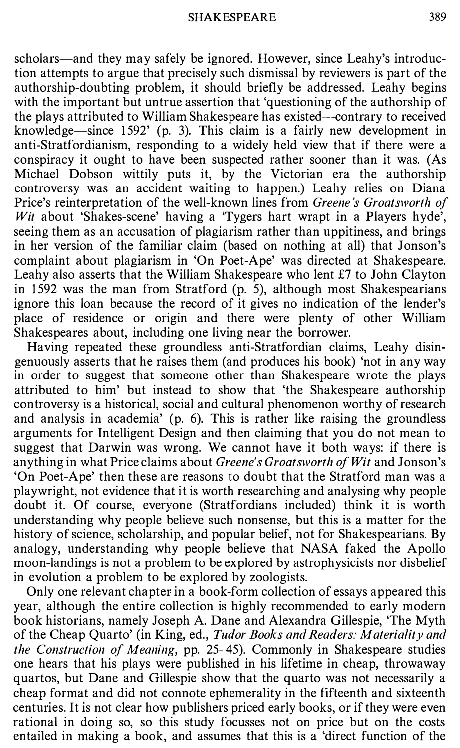scholars-and they may safely be ignored. However, since Leahy's introduction attempts to argue that precisely such dismissal by reviewers is part of the authorship-doubting problem, it should briefly be addressed. Leahy begins with the important but untrue assertion that 'questioning of the authorship of the plays attributed to William Shakespeare has existed--contrary to received knowledge-since 1592' (p. 3). This claim is a fairly new development in anti-Stratfordianism, responding to a widely held view that if there were a conspiracy it ought to have been suspected rather sooner than it was. (As Michael Dobson wittily puts it, by the Victorian era the authorship controversy was an accident waiting to happen.) Leahy relies on Diana Price's reinterpretation of the well-known lines from Greene's Groatsworth of Wit about 'Shakes-scene' having a 'Tygers hart wrapt in a Players hyde', seeing them as an accusation of plagiarism rather than uppitiness, and brings in her version of the familiar claim (based on nothing at all) that Jonson's complaint about plagiarism in 'On Poet-Ape' was directed at Shakespeare. Leahy also asserts that the William Shakespeare who lent £7 to John Clayton in 1 592 was the man from Stratford (p. 5), although most Shakespearians ignore this loan because the record of it gives no indication of the lender's place of residence or origin and there were plenty of other William Shakespeares about, including one living near the borrower.

Having repeated these groundless anti-Stratfordian claims, Leahy disingenuously asserts that he raises them (and produces his book) 'not in any way in order to suggest that someone other than Shakespeare wrote the plays attributed to him' but instead to show that 'the Shakespeare authorship controversy is a historical, social and cultural phenomenon worthy of research and analysis in academia' (p. 6). This is rather like raising the groundless arguments for Intelligent Design and then claiming that you do not mean to suggest that Darwin was wrong. We cannot have it both ways: if there is anything in what Price claims about *Greene's Groatsworth of Wit* and Jonson's 'On Poet-Ape' then these are reasons to doubt that the Stratford man was a playwright, not evidence that it is worth researching and analysing why people doubt it. Of course, everyone (Stratfordians included) think it is worth understanding why people believe such nonsense, but this is a matter for the history of science, scholarship, and popular belief, not for Shakespearians. By analogy, understanding why people believe that NASA faked the Apollo moon-landings is not a problem to be explored by astrophysicists nor disbelief in evolution a problem to be explored by zoologists.

Only one relevant chapter in a book-form collection of essays appeared this year, although the entire collection is highly recommended to early modern book historians, namely Joseph A. Dane and Alexandra Gillespie, 'The Myth of the Cheap Quarto' (in King, ed., Tudor Books and Readers: Materiality and the Construction of Meaning, pp. 25-45). Commonly in Shakespeare studies one hears that his plays were published in his lifetime in cheap, throwaway quartos, but Dane and Gillespie show that the quarto was not necessarily a cheap format and did not connote ephemerality in the fifteenth and sixteenth centuries. It is not clear how publishers priced early books, or if they were even rational in doing so, so this study focusses not on price but on the costs entailed in making a book, and assumes that this is a 'direct function of the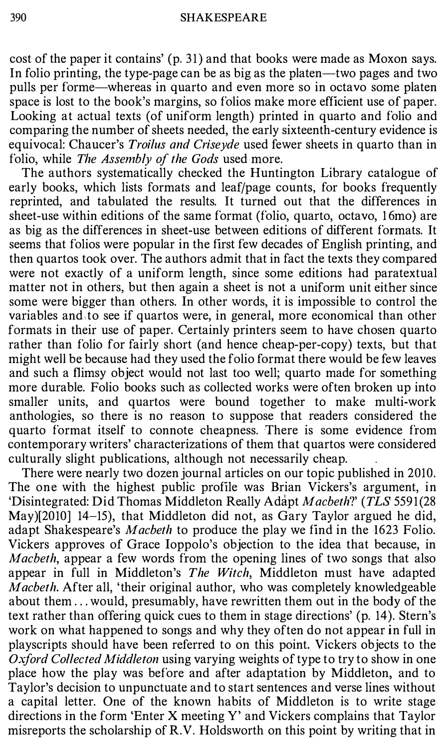cost of the paper it contains' (p. 31) and that books were made as Moxon says. In folio printing, the type-page can be as big as the platen—two pages and two pulls per forme-whereas in quarto and even more so in octavo some platen space is lost to the book's margins, so folios make more efficient use of paper. Looking at actual texts (of uniform length) printed in quarto and folio and comparing the number of sheets needed, the early sixteenth-century evidence is equivocal: Chaucer's *Troilus and Crisevde* used fewer sheets in quarto than in folio, while The Assembly of the Gods used more.

The authors systematically checked the Huntington Library catalogue of early books, which lists formats and leaf/page counts, for books frequently reprinted, and tabulated the results. It turned out that the differences in sheet-use within editions of the same format (folio, quarto, octavo, 16mo) are as big as the differences in sheet-use between editions of different formats. It seems that folios were popular in the first few decades of English printing, and then quartos took over. The authors admit that in fact the texts they compared were not exactly of a uniform length, since some editions had paratextual matter not in others, but then again a sheet is not a uniform unit either since some were bigger than others. In other words, it is impossible to control the variables and to see if quartos were, in general, more economical than other formats in their use of paper. Certainly printers seem to have chosen quarto rather than folio for fairly short (and hence cheap-per-copy) texts, but that might well be because had they used the folio format there would be few leaves and such a flimsy object would not last too well; quarto made for something more durable. Folio books such as collected works were often broken up into smaller units, and quartos were bound together to make multi-work anthologies, so there is no reason to suppose that readers considered the quarto format itself to connote cheapness. There is some evidence from contemporary writers' characterizations of them that quartos were considered culturally slight publications, although not necessarily cheap.

There were nearly two dozen journal articles on our topic published in 2010. The one with the highest public profile was Brian Vickers's argument, in 'Disintegrated: Did Thomas Middleton Really Adapt Macbeth?' (TLS 5591(28 May) $[2010]$  14-15), that Middleton did not, as Gary Taylor argued he did, adapt Shakespeare's Macbeth to produce the play we find in the 1623 Folio. Vickers approves of Grace Ioppolo's objection to the idea that because, in Macbeth, appear a few words from the opening lines of two songs that also appear in full in Middleton's The Witch, Middleton must have adapted Macbeth. After all, 'their original author, who was completely knowledgeable about them ... would, presumably, have rewritten them out in the body of the text rather than offering quick cues to them in stage directions' (p. 14). Stern's work on what happened to songs and why they often do not appear in full in playscripts should have been referred to on this point. Vickers objects to the Oxford Collected Middleton using varying weights of type to try to show in one place how the play was before and after adaptation by Middleton, and to Taylor's decision to unpunctuate and to start sentences and verse lines without a capital letter. One of the known habits of Middleton is to write stage directions in the form 'Enter X meeting Y' and Vickers complains that Taylor misreports the scholarship of R.V. Holdsworth on this point by writing that in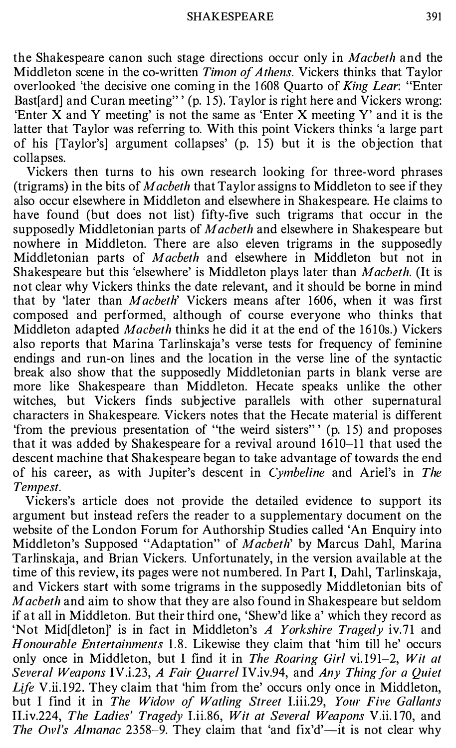the Shakespeare canon such stage directions occur only in Macbeth and the Middleton scene in the co-written Timon of Athens. Vickers thinks that Taylor overlooked 'the decisive one coming in the 1608 Quarto of King Lear: "Enter Bast[ard] and Curan meeting"' (p. 15). Taylor is right here and Vickers wrong: 'Enter X and Y meeting' is not the same as 'Enter X meeting Y' and it is the latter that Taylor was referring to. With this point Vickers thinks 'a large part of his [Taylor's] argument collapses' (p. 15) but it is the objection that collapses.

Vickers then turns to his own research looking for three-word phrases (trigrams) in the bits of Macbeth that Taylor assigns to Middleton to see if they also occur elsewhere in Middleton and elsewhere in Shakespeare. He claims to have found (but does not list) fifty-five such trigrams that occur in the supposedly Middletonian parts of Macbeth and elsewhere in Shakespeare but nowhere in Middleton. There are also eleven trigrams in the supposedly Middletonian parts of Macbeth and elsewhere in Middleton but not in Shakespeare but this 'elsewhere' is Middleton plays later than Macbeth. (It is not clear why Vickers thinks the date relevant, and it should be borne in mind that by 'later than Macbeth' Vickers means after 1606, when it was first composed and performed, although of course everyone who thinks that Middleton adapted Macbeth thinks he did it at the end of the 1610s.) Vickers also reports that Marina Tarlinskaja's verse tests for frequency of feminine endings and run-on lines and the location in the verse line of the syntactic break also show that the supposedly Middletonian parts in blank verse are more like Shakespeare than Middleton. Hecate speaks unlike the other witches, but Vickers finds subjective parallels with other supernatural characters in Shakespeare. Vickers notes that the Hecate material is different 'from the previous presentation of "the weird sisters" (p. 15) and proposes that it was added by Shakespeare for a revival around 1610-11 that used the descent machine that Shakespeare began to take advantage of towards the end of his career, as with Jupiter's descent in Cymbeline and Ariel's in The Tempest.

Vickers's article does not provide the detailed evidence to support its argument but instead refers the reader to a supplementary document on the website of the London Forum for Authorship Studies called 'An Enquiry into Middleton's Supposed "Adaptation" of Macbeth' by Marcus Dahl, Marina Tarlinskaja, and Brian Vickers. Unfortunately, in the version available at the time of this review, its pages were not numbered. In Part I, Dahl, Tarlinskaja, and Vickers start with some trigrams in the supposedly Middletonian bits of Macbeth and aim to show that they are also found in Shakespeare but seldom if at all in Middleton. But their third one, 'Shew'd like a' which they record as 'Not Mid[dleton]' is in fact in Middleton's A Yorkshire Tragedy iv.71 and Honourable Entertainments 1.8. Likewise they claim that 'him till he' occurs only once in Middleton, but I find it in The Roaring Girl vi.191-2, Wit at Several Weapons IV.i.23, A Fair Quarrel IV.iv.94, and Any Thing for a Quiet Life V.ii.192. They claim that 'him from the' occurs only once in Middleton, but I find it in The Widow of Watling Street I.iii.29, Your Five Gallants II.iv.224, The Ladies' Tragedy I.ii.86, Wit at Several Weapons V.ii.170, and The Owl's Almanac 2358–9. They claim that 'and fix'd'—it is not clear why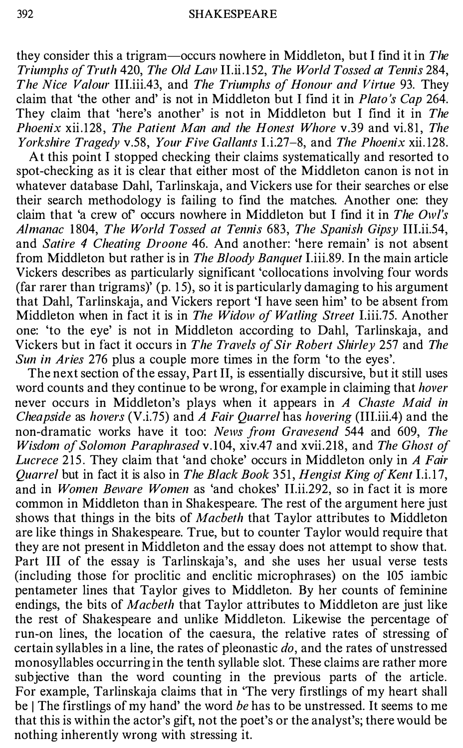they consider this a trigram-occurs nowhere in Middleton, but I find it in The Triumphs of Truth 420, The Old Law II.ii.152, The World Tossed at Tennis 284, The Nice Valour III.iii.43, and The Triumphs of Honour and Virtue 93. They claim that 'the other and' is not in Middleton but I find it in Plato 's Cap 264. They claim that 'here's another' is not in Middleton but I find it in The Phoenix xii.128, The Patient Man and the Honest Whore v.39 and vi.81, The Yorkshire Tragedy v.58, Your Five Gallants I.i.27-8, and The Phoenix xii.128.

At this point I stopped checking their claims systematically and resorted to spot-checking as it is clear that either most of the Middleton canon is not in whatever database Dahl, Tarlinskaja, and Vickers use for their searches or else their search methodology is failing to find the matches. Another one: they claim that 'a crew of' occurs nowhere in Middleton but I find it in The Owl's Almanac 1804, The World Tossed at Tennis 683, The Spanish Gipsy III.ii.54, and Satire 4 Cheating Droone 46. And another: 'here remain' is not absent from Middleton but rather is in The Bloody Banquet I.iii.89. In the main article Vickers describes as particularly significant 'collocations involving four words (far rarer than trigrams)' (p. 15), so it is particularly damaging to his argument that Dahl, Tarlinskaja, and Vickers report 'I have seen him' to be absent from Middleton when in fact it is in The Widow of Watling Street I.iii.75. Another one: 'to the eye' is not in Middleton according to Dahl, Tarlinskaja, and Vickers but in fact it occurs in The Travels of Sir Robert Shirley 257 and The Sun in Aries 276 plus a couple more times in the form 'to the eyes'.

The next section of the essay, Part II, is essentially discursive, but it still uses word counts and they continue to be wrong, for example in claiming that *hover* never occurs in Middleton's plays when it appears in A Chaste Maid in Cheapside as hovers (V.i.75) and A Fair Quarrel has hovering (III.iii.4) and the non-dramatic works have it too: News from Gravesend 544 and 609, The Wisdom of Solomon Paraphrased v.104, xiv.47 and xvii.218, and The Ghost of Lucrece 215. They claim that 'and choke' occurs in Middleton only in A Fair Ouarrel but in fact it is also in The Black Book 351, Hengist King of Kent I.i.17, and in *Women Beware Women* as 'and chokes' II.ii.292, so in fact it is more common in Middleton than in Shakespeare. The rest of the argument here just shows that things in the bits of Macbeth that Taylor attributes to Middleton are like things in Shakespeare. True, but to counter Taylor would require that they are not present in Middleton and the essay does not attempt to show that. Part III of the essay is Tarlinskaja's, and she uses her usual verse tests (including those for proclitic and enclitic microphrases) on the 105 iambic pentameter lines that Taylor gives to Middleton. By her counts of feminine endings, the bits of *Macbeth* that Taylor attributes to Middleton are just like the rest of Shakespeare and unlike Middleton. Likewise the percentage of run-on lines, the location of the caesura, the relative rates of stressing of certain syllables in a line, the rates of pleonastic  $do$ , and the rates of unstressed monosyllables occurring in the tenth syllable slot. These claims are rather more subjective than the word counting in the previous parts of the article. For example, Tarlinskaja claims that in 'The very firstlings of my heart shall be | The firstlings of my hand' the word be has to be unstressed. It seems to me that this is within the actor's gift, not the poet's or the analyst's; there would be nothing inherently wrong with stressing it.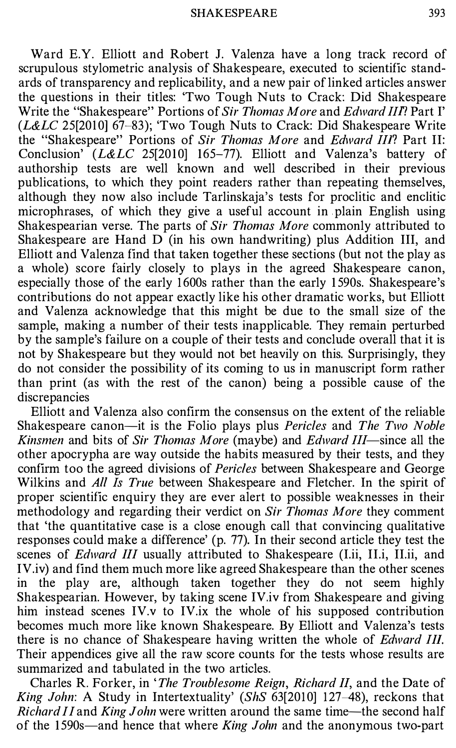Ward E.Y. Elliott and Robert J. Valenza have a long track record of scrupulous stylometric analysis of Shakespeare, executed to scientific standards of transparency and replicability, and a new pair of linked articles answer the questions in their titles: 'Two Tough Nuts to Crack: Did Shakespeare Write the "Shakespeare" Portions of Sir Thomas More and Edward III? Part I'  $(L&LC$  25[2010] 67-83); 'Two Tough Nuts to Crack: Did Shakespeare Write the "Shakespeare" Portions of Sir Thomas More and Edward III? Part II: Conclusion'  $(L&LC$  25[2010] 165-77). Elliott and Valenza's battery of authorship tests are well known and well described in their previous publications, to which they point readers rather than repeating themselves, although they now also include Tarlinskaja's tests for proclitic and enclitic microphrases, of which they give a useful account in plain English using Shakespearian verse. The parts of Sir Thomas More commonly attributed to Shakespeare are Hand D (in his own handwriting) plus Addition III, and Elliott and Valenza find that taken together these sections (but not the play as a whole) score fairly closely to plays in the agreed Shakespeare canon, especially those of the early 1 600s rather than the early 1 590s. Shakespeare's contributions do not appear exactly like his other dramatic works, but Elliott and Valenza acknowledge that this might be due to the small size of the sample, making a number of their tests inapplicable. They remain perturbed by the sample's failure on a couple of their tests and conclude overall that it is not by Shakespeare but they would not bet heavily on this. Surprisingly, they do not consider the possibility of its coming to us in manuscript form rather than print (as with the rest of the canon) being a possible cause of the discrepancies

Elliott and Valenza also confirm the consensus on the extent of the reliable Shakespeare canon-it is the Folio plays plus *Pericles* and *The Two Noble* Kinsmen and bits of Sir Thomas More (maybe) and Edward III—since all the other apocrypha are way outside the habits measured by their tests, and they confirm too the agreed divisions of Pericles between Shakespeare and George Wilkins and All Is True between Shakespeare and Fletcher. In the spirit of proper scientific enquiry they are ever alert to possible weaknesses in their methodology and regarding their verdict on Sir Thomas More they comment that 'the quantitative case is a close enough call that convincing qualitative responses could make a difference' (p. 77). In their second article they test the scenes of *Edward III* usually attributed to Shakespeare *(I.ii, II.ii, II.ii, and* IV.iv) and find them much more like agreed Shakespeare than the other scenes in the play are, although taken together they do not seem highly Shakespearian. However, by taking scene IV.iv from Shakespeare and giving him instead scenes IV.v to IV.ix the whole of his supposed contribution becomes much more like known Shakespeare. By Elliott and Valenza's tests there is no chance of Shakespeare having written the whole of Edward III. Their appendices give all the raw score counts for the tests whose results are summarized and tabulated in the two articles.

Charles R. Forker, in 'The Troublesome Reign, Richard II, and the Date of King John: A Study in Intertextuality' (ShS 63[2010] 127-48), reckons that Richard II and King John were written around the same time—the second half of the 1590s—and hence that where *King John* and the anonymous two-part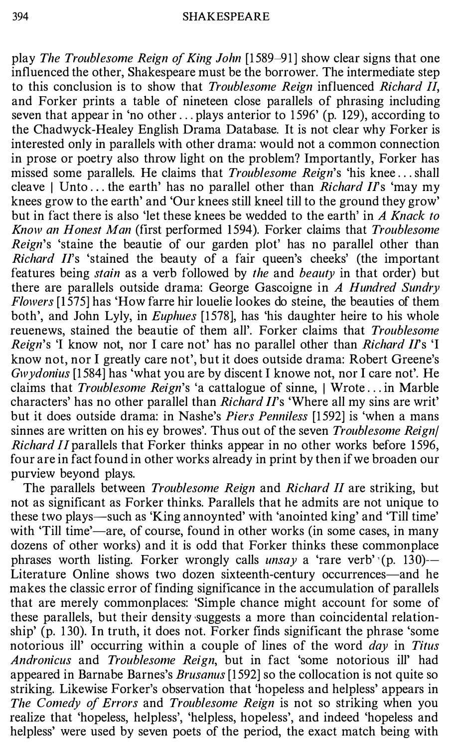play The Troublesome Reign of King John [1 589-91] show clear signs that one influenced the other, Shakespeare must be the borrower. The intermediate step to this conclusion is to show that Troublesome Reign influenced Richard II, and Forker prints a table of nineteen close parallels of phrasing including seven that appear in 'no other ... plays anterior to 1596' (p. 129), according to the Chadwyck-Healey English Drama Database. It is not clear why Forker is interested only in parallels with other drama: would not a common connection in prose or poetry also throw light on the problem? Importantly, Forker has missed some parallels. He claims that *Troublesome Reign*'s 'his knee...shall cleave I Unto... the earth' has no parallel other than *Richard II*'s 'may my knees grow to the earth' and 'Our knees still kneel till to the ground they grow' but in fact there is also 'let these knees be wedded to the earth' in A Knack to Know an Honest Man (first performed 1594). Forker claims that Troublesome Reign's 'staine the beautie of our garden plot' has no parallel other than Richard  $II$ 's 'stained the beauty of a fair queen's cheeks' (the important features being stain as a verb followed by the and beauty in that order) but there are parallels outside drama: George Gascoigne in A Hundred Sundry Flowers [1 575] has 'How farre hir louelie lookes do steine, the beauties of them both', and John Lyly, in Euphues [1578], has 'his daughter heire to his whole reuenews, stained the beautie of them all'. Forker claims that *Troublesome Reign's* 'I know not, nor I care not' has no parallel other than *Richard II's* 'I know not, nor I greatly care not', but it does outside drama: Robert Greene's Gwydonius [1584] has 'what you are by discent I knowe not, nor I care not'. He claims that *Troublesome Reign's* 'a cattalogue of sinne, | Wrote... in Marble characters' has no other parallel than *Richard II*'s 'Where all my sins are writ' but it does outside drama: in Nashe's Piers Penniless [1592] is 'when a mans sinnes are written on his ey browes'. Thus out of the seven Troublesome Reign/ Richard II parallels that Forker thinks appear in no other works before 1596, four are in fact found in other works already in print by then if we broaden our purview beyond plays.

The parallels between *Troublesome Reign* and *Richard II* are striking, but not as significant as Forker thinks. Parallels that he admits are not unique to these two plays-such as 'King annoynted' with 'anointed king' and 'Till time' with 'Till time'—are, of course, found in other works (in some cases, in many dozens of other works) and it is odd that Forker thinks these commonplace phrases worth listing. Forker wrongly calls *unsay* a 'rare verb' (p. 130)-Literature Online shows two dozen sixteenth-century occurrences—and he makes the classic error of finding significance in the accumulation of parallels that are merely commonplaces: 'Simple chance might account for some of these parallels, but their density suggests a more than coincidental relationship' (p. 1 30). In truth, it does not. Forker finds significant the phrase 'some notorious ill' occurring within a couple of lines of the word *day* in Titus Andronicus and Troublesome Reign, but in fact 'some notorious ill' had appeared in Barnabe Barnes's *Brusanus* [1592] so the collocation is not quite so striking. Likewise Porker's observation that 'hopeless and helpless' appears in The Comedy of Errors and Troublesome Reign is not so striking when you realize that 'hopeless, helpless', 'helpless, hopeless', and indeed 'hopeless and helpless' were used by seven poets of the period, the exact match being with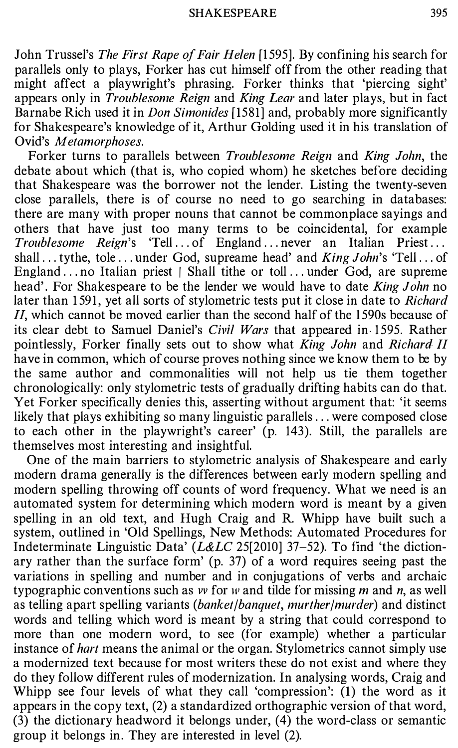John Trussel's The First Rape of Fair Helen [1595]. By confining his search for parallels only to plays, Forker has cut himself off from the other reading that might affect a playwright's phrasing. Forker thinks that 'piercing sight' appears only in  $Troublesome$  Reign and King Lear and later plays, but in fact Barnabe Rich used it in Don Simonides [1581] and, probably more significantly for Shakespeare's knowledge of it, Arthur Golding used it in his translation of Ovid's Metamorphoses.

Forker turns to parallels between Troublesome Reign and King John, the debate about which (that is, who copied whom) he sketches before deciding that Shakespeare was the borrower not the lender. Listing the twenty-seven close parallels, there is of course no need to go searching in databases: there are many with proper nouns that cannot be commonplace sayings and others that have just too many terms to be coincidental, for example Troublesome Reign's 'Tell ... of England ... never an Italian Priest .. . shall ... tythe, tole ... under God, supreame head' and King John's 'Tell ... of England ... no Italian priest / Shall tithe or toll ... under God, are supreme head'. For Shakespeare to be the lender we would have to date *King John* no later than 1591, yet all sorts of stylometric tests put it close in date to Richard  $II$ , which cannot be moved earlier than the second half of the 1590s because of its clear debt to Samuel Daniel's *Civil Wars* that appeared in 1595. Rather pointlessly, Forker finally sets out to show what King John and Richard II have in common, which of course proves nothing since we know them to be by the same author and commonalities will not help us tie them together chronologically: only stylometric tests of gradually drifting habits can do that. Yet Forker specifically denies this, asserting without argument that: 'it seems likely that plays exhibiting so many linguistic parallels ... were composed close to each other in the playwright's career' (p. 143). Still, the parallels are themselves most interesting and insightful.

One of the main barriers to stylometric analysis of Shakespeare and early modern drama generally is the differences between early modern spelling and modern spelling throwing off counts of word frequency. What we need is an automated system for determining which modern word is meant by a given spelling in an old text, and Hugh Craig and R. Whipp have built such a system, outlined in 'Old Spellings, New Methods: Automated Procedures for Indeterminate Linguistic Data' ( $L&L\mathcal{C}$  25[2010] 37–52). To find 'the dictionary rather than the surface form' (p. 37) of a word requires seeing past the variations in spelling and number and in conjugations of verbs and archaic typographic conventions such as  $w$  for  $w$  and tilde for missing  $m$  and  $n$ , as well as telling apart spelling variants (banket/banquet, murther/murder) and distinct words and telling which word is meant by a string that could correspond to more than one modern word, to see (for example) whether a particular instance of hart means the animal or the organ. Stylometrics cannot simply use a modernized text because for most writers these do not exist and where they do they follow different rules of modernization. In analysing words, Craig and Whipp see four levels of what they call 'compression': (1) the word as it appears in the copy text, (2) a standardized orthographic version of that word, (3) the dictionary headword it belongs under, (4) the word-class or semantic group it belongs in. They are interested in level (2).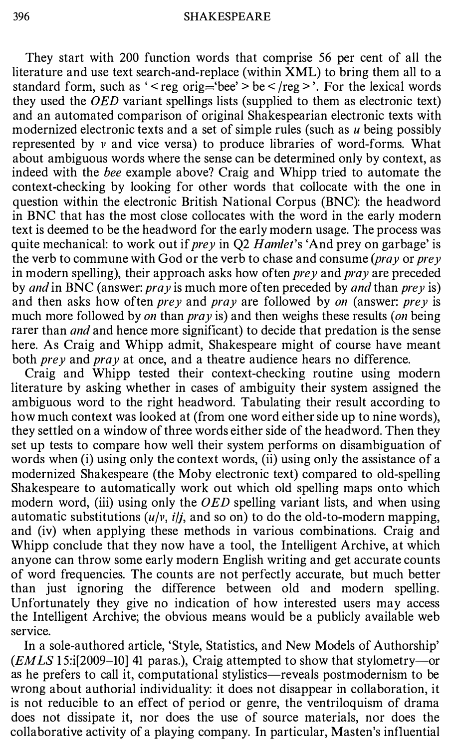They start with 200 function words that comprise 56 per cent of all the literature and use text search-and-replace (within XML) to bring them all to a standard form, such as ' < reg orig='bee' > be <  $\text{/reg}$  >'. For the lexical words they used the OED variant spellings lists (supplied to them as electronic text) and an automated comparison of original Shakespearian electronic texts with modernized electronic texts and a set of simple rules (such as  $u$  being possibly represented by v and vice versa) to produce libraries of word-forms. What about ambiguous words where the sense can be determined only by context, as indeed with the bee example above? Craig and Whipp tried to automate the context-checking by looking for other words that collocate with the one in question within the electronic British National Corpus (BNC): the headword in BNC that has the most close collocates with the word in the early modern text is deemed to be the headword for the early modern usage. The process was quite mechanical: to work out if *prey* in Q2 *Hamlet's* 'And prey on garbage' is the verb to commune with God or the verb to chase and consume ( $\frac{pray}{prey}$ ) in modern spelling), their approach asks how often *prey* and *pray* are preceded by and in BNC (answer:  $pray$  is much more often preceded by and than prey is) and then asks how often *prey* and *pray* are followed by *on* (answer: *prey* is much more followed by on than pray is) and then weighs these results (on being rarer than *and* and hence more significant) to decide that predation is the sense here. As Craig and Whipp admit, Shakespeare might of course have meant both *prey* and *pray* at once, and a theatre audience hears no difference.

Craig and Whipp tested their context-checking routine using modern literature by asking whether in cases of ambiguity their system assigned the ambiguous word to the right headword. Tabulating their result according to how much context was looked at (from one word either side up to nine words), they settled on a window of three words either side of the headword. Then they set up tests to compare how well their system performs on disambiguation of words when (i) using only the context words, (ii) using only the assistance of a modernized Shakespeare (the Moby electronic text) compared to old-spelling Shakespeare to automatically work out which old spelling maps onto which modern word, (iii) using only the *OED* spelling variant lists, and when using automatic substitutions  $(u/v, i/j,$  and so on) to do the old-to-modern mapping, and (iv) when applying these methods in various combinations. Craig and Whipp conclude that they now have a tool, the Intelligent Archive, at which anyone can throw some early modern English writing and get accurate counts of word frequencies. The counts are not perfectly accurate, but much better than just ignoring the difference between old and modern spelling. Unfortunately they give no indication of how interested users may access the Intelligent Archive; the obvious means would be a publicly available web service.

In a sole-authored article, 'Style, Statistics, and New Models of Authorship'  $(EMLS 15$ :i[2009-10] 41 paras.), Craig attempted to show that stylometry--as he prefers to call it, computational stylistics—reveals postmodernism to be wrong about authorial individuality: it does not disappear in collaboration, it is not reducible to an effect of period or genre, the ventriloquism of drama does not dissipate it, nor does the use of source materials, nor does the collaborative activity of a playing company. In particular, Masten's influential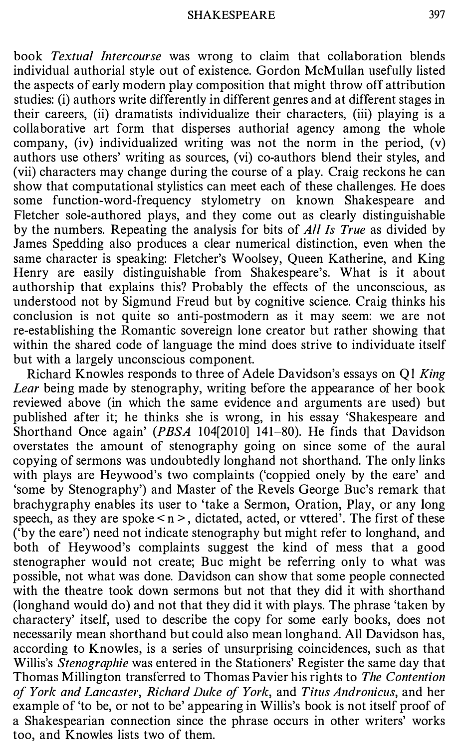book Textual Intercourse was wrong to claim that collaboration blends individual authorial style out of existence. Gordon McMullan usefully listed the aspects of early modern play composition that might throw off attribution studies: (i) authors write differently in different genres and at different stages in their careers, (ii) dramatists individualize their characters, (iii) playing is a collaborative art form that disperses authorial agency among the whole company, (iv) individualized writing was not the norm in the period, (v) authors use others' writing as sources, (vi) co-authors blend their styles, and (vii) characters may change during the course of a play. Craig reckons he can show that computational stylistics can meet each of these challenges. He does some function-word-frequency stylometry on known Shakespeare and Fletcher sole-authored plays, and they come out as clearly distinguishable by the numbers. Repeating the analysis for bits of *All Is True* as divided by James Spedding also produces a clear numerical distinction, even when the same character is speaking: Fletcher's Woolsey, Queen Katherine, and King Henry are easily distinguishable from Shakespeare's. What is it about authorship that explains this? Probably the effects of the unconscious, as understood not by Sigmund Freud but by cognitive science. Craig thinks his conclusion is not quite so anti-postmodern as it may seem: we are not re-establishing the Romantic sovereign lone creator but rather showing that within the shared code of language the mind does strive to individuate itself but with a largely unconscious component.

Richard Knowles responds to three of Adele Davidson's essays on Ql King Lear being made by stenography, writing before the appearance of her book reviewed above (in which the same evidence and arguments are used) but published after it; he thinks she is wrong, in his essay 'Shakespeare and Shorthand Once again' (PBSA 104[2010] 141-80). He finds that Davidson overstates the amount of stenography going on since some of the aural copying of sermons was undoubtedly longhand not shorthand. The only links with plays are Heywood's two complaints ('coppied onely by the eare' and 'some by Stenography') and Master of the Revels George Buc's remark that brachygraphy enables its user to 'take a Sermon, Oration, Play, or any long speech, as they are spoke  $\leq n$  >, dictated, acted, or vttered'. The first of these ('by the eare') need not indicate stenography but might refer to longhand, and both of Heywood's complaints suggest the kind of mess that a good stenographer would not create; Bue might be referring only to what was possible, not what was done. Davidson can show that some people connected with the theatre took down sermons but not that they did it with shorthand (longhand would do) and not that they did it with plays. The phrase 'taken by charactery' itself, used to describe the copy for some early books, does not necessarily mean shorthand but could also mean longhand. All Davidson has, according to Knowles, is a series of unsurprising coincidences, such as that Willis's *Stenographie* was entered in the Stationers' Register the same day that Thomas Millington transferred to Thomas Pavier his rights to The Contention of York and Lancaster, Richard Duke of York, and Titus Andronicus, and her example of 'to be, or not to be' appearing in Willis's book is not itself proof of a Shakespearian connection since the phrase occurs in other writers' works too, and Knowles lists two of them.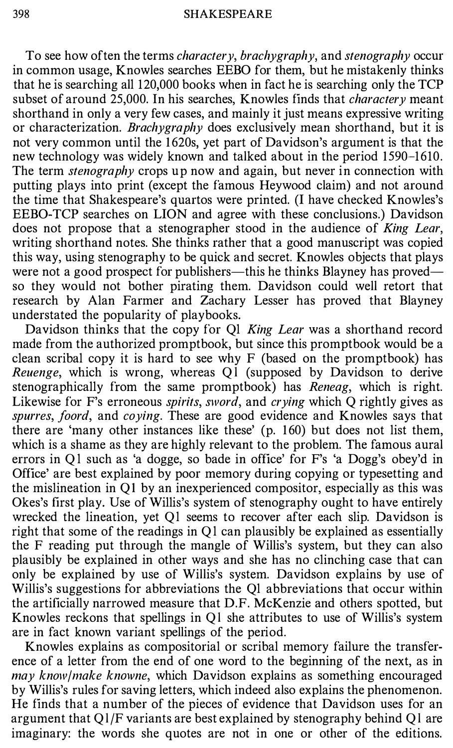To see how of ten the terms *charactery*, *brachygraphy*, and *stenography* occur in common usage, Knowles searches EEBO for them, but he mistakenly thinks that he is searching all 120,000 books when in fact he is searching only the TCP subset of around 25,000. In his searches, Knowles finds that *charactery* meant shorthand in only a very few cases, and mainly it just means expressive writing or characterization. *Brachygraphy* does exclusively mean shorthand, but it is not very common until the 1620s, yet part of Davidson's argument is that the new technology was widely known and talked about in the period 1590-1610. The term *stenography* crops up now and again, but never in connection with putting plays into print (except the famous Heywood claim) and not around the time that Shakespeare's quartos were printed. (I have checked Knowles's EEBO-TCP searches on LION and agree with these conclusions.) Davidson does not propose that a stenographer stood in the audience of King Lear, writing shorthand notes. She thinks rather that a good manuscript was copied this way, using stenography to be quick and secret. Knowles objects that plays were not a good prospect for publishers—this he thinks Blayney has proved so they would not bother pirating them. Davidson could well retort that research by Alan Farmer and Zachary Lesser has proved that Blayney understated the popularity of playbooks.

Davidson thinks that the copy for Ql King Lear was a shorthand record made from the authorized promptbook, but since this promptbook would be a clean scribal copy it is hard to see why F (based on the promptbook) has Reuenge, which is wrong, whereas Ql (supposed by Davidson to derive stenographically from the same promptbook) has *Reneag*, which is right. Likewise for F's erroneous *spirits, sword*, and *crying* which Q rightly gives as spurres, foord, and coying. These are good evidence and Knowles says that there are 'many other instances like these' (p. 1 60) but does not list them, which is a shame as they are highly relevant to the problem. The famous aural errors in Ql such as 'a dogge, so bade in office' for F's 'a Dogg's obey'd in Office' are best explained by poor memory during copying or typesetting and the mislineation in QI by an inexperienced compositor, especially as this was Okes's first play. Use of Willis's system of stenography ought to have entirely wrecked the lineation, yet Ql seems to recover after each slip. Davidson is right that some of the readings in Ql can plausibly be explained as essentially the F reading put through the mangle of Willis's system, but they can also plausibly be explained in other ways and she has no clinching case that can only be explained by use of Willis's system. Davidson explains by use of Willis's suggestions for abbreviations the Ql abbreviations that occur within the artificially narrowed measure that D.F. McKenzie and others spotted, but Knowles reckons that spellings in Ql she attributes to use of Willis's system are in fact known variant spellings of the period.

Knowles explains as compositorial or scribal memory failure the transference of a letter from the end of one word to the beginning of the next, as in  $may$  know/make knowne, which Davidson explains as something encouraged by Willis's rules for saving letters, which indeed also explains the phenomenon. He finds that a number of the pieces of evidence that Davidson uses for an argument that Ql/F variants are best explained by stenography behind Ql are imaginary: the words she quotes are not in one or other of the editions.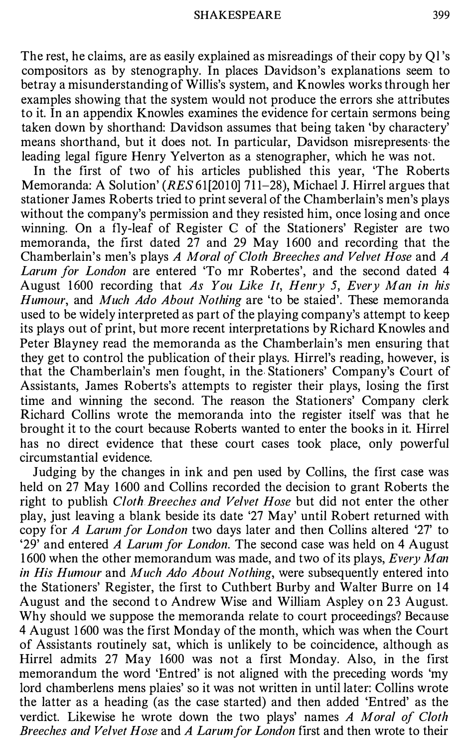The rest, he claims, are as easily explained as misreadings of their copy by Q1's compositors as by stenography. In places Davidson's explanations seem to betray a misunderstanding of Willis's system, and Knowles works through her examples showing that the system would not produce the errors she attributes to it. In an appendix Knowles examines the evidence for certain sermons being taken down by shorthand: Davidson assumes that being taken 'by charactery' means shorthand, but it does not. In particular, Davidson misrepresents the leading legal figure Henry Yelverton as a stenographer, which he was not.

In the first of two of his articles published this year, 'The Roberts Memoranda: A Solution' (RES 61[2010] 711-28), Michael J. Hirrel argues that stationer James Roberts tried to print several of the Chamberlain's men's plays without the company's permission and they resisted him, once losing and once winning. On a fly-leaf of Register C of the Stationers' Register are two memoranda, the first dated 27 and 29 May 1600 and recording that the Chamberlain's men's plays A Moral of Cloth Breeches and Velvet Hose and A Larum for London are entered 'To mr Robertes', and the second dated 4 August 1600 recording that As You Like It, Henry 5, Every Man in his Humour, and Much Ado About Nothing are 'to be staied'. These memoranda used to be widely interpreted as part of the playing company's attempt to keep its plays out of print, but more recent interpretations by Richard Knowles and Peter Blayney read the memoranda as the Chamberlain's men ensuring that they get to control the publication of their plays. Hirrel's reading, however, is that the Chamberlain's men fought, in the Stationers' Company's Court of Assistants, James Roberts's attempts to register their plays, losing the first time and winning the second. The reason the Stationers' Company clerk Richard Collins wrote the memoranda into the register itself was that he brought it to the court because Roberts wanted to enter the books in it. Hirrel has no direct evidence that these court cases took place, only powerful circumstantial evidence.

Judging by the changes in ink and pen used by Collins, the first case was held on 27 May 1600 and Collins recorded the decision to grant Roberts the right to publish Cloth Breeches and Velvet Hose but did not enter the other play, just leaving a blank beside its date '27 May' until Robert returned with copy for A Larum for London two days later and then Collins altered '27' to '29' and entered A Larum for London. The second case was held on 4 August 1600 when the other memorandum was made, and two of its plays, Every Man in His Humour and Much Ado About Nothing, were subsequently entered into the Stationers' Register, the first to Cuthbert Burby and Walter Burre on 14 August and the second to Andrew Wise and William Aspley on 23 August. Why should we suppose the memoranda relate to court proceedings? Because 4 August 1 600 was the first Monday of the month, which was when the Court of Assistants routinely sat, which is unlikely to be coincidence, although as Hirrel admits 27 May 1600 was not a first Monday. Also, in the first memorandum the word 'Entred' is not aligned with the preceding words 'my lord chamberlens mens plaies' so it was not written in until later: Collins wrote the latter as a heading (as the case started) and then added 'Entred' as the verdict. Likewise he wrote down the two plays' names A Moral of Cloth Breeches and Velvet Hose and A Larum for London first and then wrote to their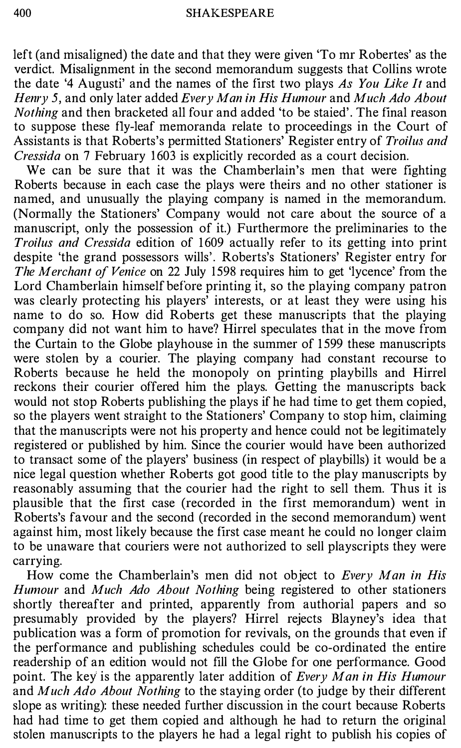left (and misaligned) the date and that they were given 'To mr Robertes' as the verdict. Misalignment in the second memorandum suggests that Collins wrote the date '4 Augusti' and the names of the first two plays As You Like It and Henry 5, and only later added Every Man in His Humour and Much Ado About Nothing and then bracketed all four and added 'to be staied'. The final reason to suppose these fly-leaf memoranda relate to proceedings in the Court of Assistants is that Roberts's permitted Stationers' Register entry of Troilus and Cressida on 7 February 1603 is explicitly recorded as a court decision.

We can be sure that it was the Chamberlain's men that were fighting Roberts because in each case the plays were theirs and no other stationer is named, and unusually the playing company is named in the memorandum. (Normally the Stationers' Company would not care about the source of a manuscript, only the possession of it.) Furthermore the preliminaries to the Troilus and Cressida edition of 1609 actually refer to its getting into print despite 'the grand possessors wills'. Roberts's Stationers' Register entry for The Merchant of Venice on 22 July 1598 requires him to get 'lycence' from the Lord Chamberlain himself before printing it, so the playing company patron was clearly protecting his players' interests, or at least they were using his name to do so. How did Roberts get these manuscripts that the playing company did not want him to have? Hirrel speculates that in the move from the Curtain to the Globe playhouse in the summer of 1 599 these manuscripts were stolen by a courier. The playing company had constant recourse to Roberts because he held the monopoly on printing playbills and Hirrel reckons their courier offered him the plays. Getting the manuscripts back would not stop Roberts publishing the plays if he had time to get them copied, so the players went straight to the Stationers' Company to stop him, claiming that the manuscripts were not his property and hence could not be legitimately registered or published by him. Since the courier would have been authorized to transact some of the players' business (in respect of playbills) it would be a nice legal question whether Roberts got good title to the play manuscripts by reasonably assuming that the courier had the right to sell them. Thus it is plausible that the first case (recorded in the first memorandum) went in Roberts's favour and the second (recorded in the second memorandum) went against him; most likely because the first case meant he could no longer claim to be unaware that couriers were not authorized to sell playscripts they were carrying.

How come the Chamberlain's men did not object to Every Man in His Humour and Much Ado About Nothing being registered to other stationers shortly thereafter and printed, apparently from authorial papers and so presumably provided by the players? Hirrel rejects Blayney's idea that publication was a form of promotion for revivals, on the grounds that even if the performance and publishing schedules could be co-ordinated the entire readership of an edition would not fill the Globe for one performance. Good point. The key is the apparently later addition of Every Man in His Humour and *Much Ado About Nothing* to the staying order (to judge by their different slope as writing): these needed further discussion in the court because Roberts had had time to get them copied and although he had to return the original stolen manuscripts to the players he had a legal right to publish his copies of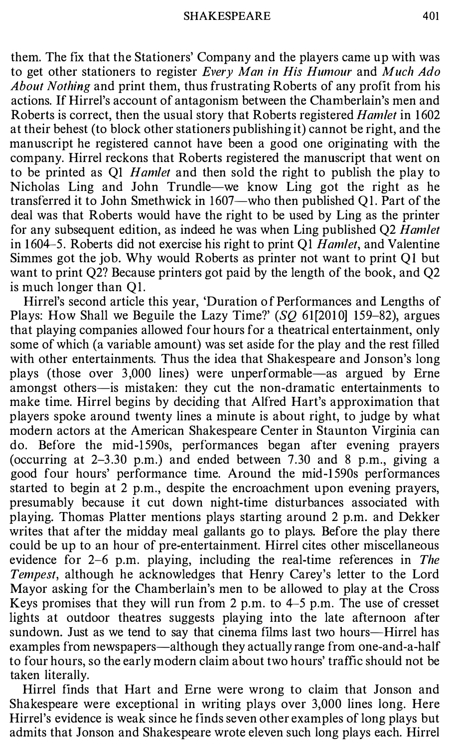them. The fix that the Stationers' Company and the players came up with was to get other stationers to register Every Man in His Humour and Much Ado About Nothing and print them, thus frustrating Roberts of any profit from his actions. If Hirrel's account of antagonism between the Chamberlain's men and Roberts is correct, then the usual story that Roberts registered *Hamlet* in 1602 at their behest (to block other stationers publishing it) cannot be right, and the manuscript he registered cannot have been a good one originating with the company. Hirrel reckons that Roberts registered the manuscript that went on to be printed as QI Hamlet and then sold the right to publish the play to Nicholas Ling and John Trundle-we know Ling got the right as he transferred it to John Smethwick in 1607-who then published QI. Part of the deal was that Roberts would have the right to be used by Ling as the printer for any subsequent edition, as indeed he was when Ling published Q2 Hamlet in 1604-5. Roberts did not exercise his right to print Q1  $Hamlet$ , and Valentine Simmes got the job. Why would Roberts as printer not want to print QI but want to print Q2? Because printers got paid by the length of the book, and Q2 is much longer than QI.

Hirrel's second article this year, 'Duration of Performances and Lengths of Plays: How Shall we Beguile the Lazy Time?'  $(SQ 61[2010] 159-82)$ , argues that playing companies allowed four hours for a theatrical entertainment, only some of which (a variable amount) was set aside for the play and the rest filled with other entertainments. Thus the idea that Shakespeare and Jonson's long plays (those over 3,000 lines) were unperformable—as argued by Erne amongst others-is mistaken: they cut the non-dramatic entertainments to make time. Hirrel begins by deciding that Alfred Hart's approximation that players spoke around twenty lines a minute is about right, to judge by what modern actors at the American Shakespeare Center in Staunton Virginia can do. Before the mid-1 590s, performances began after evening prayers (occurring at  $2-3.30$  p.m.) and ended between 7.30 and 8 p.m., giving a good four hours' performance time. Around the mid-1 590s performances started to begin at 2 p.m., despite the encroachment upon evening prayers, presumably because it cut down night-time disturbances associated with playing. Thomas Platter mentions plays starting around 2 p.m. and Dekker writes that after the midday meal gallants go to plays. Before the play there could be up to an hour of pre-entertainment. Hirrel cites other miscellaneous evidence for 2-6 p.m. playing, including the real-time references in The Tempest, although he acknowledges that Henry Carey's letter to the Lord Mayor asking for the Chamberlain's men to be allowed to play at the Cross Keys promises that they will run from 2 p.m. to  $4-5$  p.m. The use of cresset lights at outdoor theatres suggests playing into the late afternoon after sundown. Just as we tend to say that cinema films last two hours—Hirrel has examples from newspapers—although they actually range from one-and-a-half to four hours, so the early modern claim about two hours' traffic should not be taken literally.

Hirrel finds that Hart and Erne were wrong to claim that Jonson and Shakespeare were exceptional in writing plays over 3,000 lines long. Here Hirrel's evidence is weak since he finds seven other examples of long plays but admits that Jonson and Shakespeare wrote eleven such long plays each. Hirrel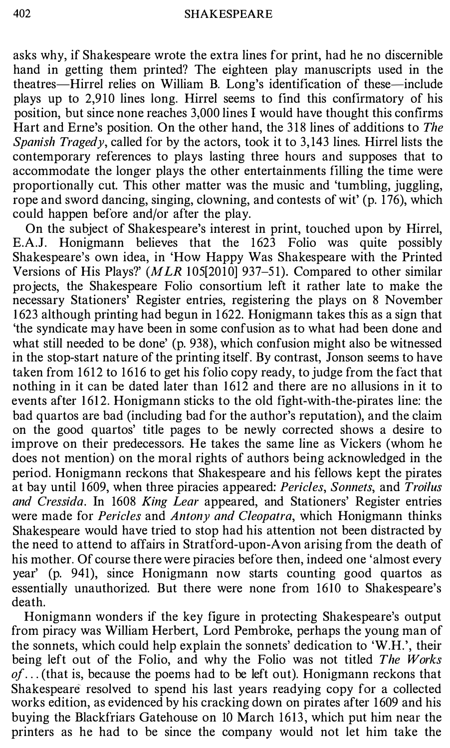asks why, if Shakespeare wrote the extra lines for print, had he no discernible hand in getting them printed? The eighteen play manuscripts used in the theatres-Hirrel relies on William B. Long's identification of these-include plays up to 2,910 lines long. Hirrel seems to find this confirmatory of his position, but since none reaches 3,000 lines I would have thought this confirms Hart and Erne's position. On the other hand, the 318 lines of additions to The Spanish Tragedy, called for by the actors, took it to 3,143 lines. Hirrel lists the contemporary references to plays lasting three hours and supposes that to accommodate the longer plays the other entertainments filling the time were proportionally cut. This other matter was the music and 'tumbling, juggling, rope and sword dancing, singing, clowning, and contests of wit' (p. 176), which could happen before and/or after the play.

On the subject of Shakespeare's interest in print, touched upon by Hirrel, E.A.J. Honigmann believes that the 1 623 Folio was quite possibly Shakespeare's own idea, in 'How Happy Was Shakespeare with the Printed Versions of His Plays?' ( $MLR$  105[2010] 937–51). Compared to other similar projects, the Shakespeare Folio consortium left it rather late to make the necessary Stationers' Register entries, registering the plays on 8 November 1 623 although printing had begun in 1 622. Honigmann takes this as a sign that 'the syndicate may have been in some confusion as to what had been done and what still needed to be done' (p. 938), which confusion might also be witnessed in the stop-start nature of the printing itself. By contrast, Jonson seems to have taken from 1612 to 1616 to get his folio copy ready, to judge from the fact that nothing in it can be dated later than 1612 and there are no allusions in it to events after 1612. Honigmann sticks to the old fight-with-the-pirates line: the bad quartos are bad (including bad for the author's reputation), and the claim on the good quartos' title pages to be newly corrected shows a desire to improve on their predecessors. He takes the same line as Vickers (whom he does not mention) on the moral rights of authors being acknowledged in the period. Honigmann reckons that Shakespeare and his fellows kept the pirates at bay until 1609, when three piracies appeared: Pericles, Sonnets, and Troilus and Cressida. In 1608 King Lear appeared, and Stationers' Register entries were made for *Pericles* and *Antony and Cleopatra*, which Honigmann thinks Shakespeare would have tried to stop had his attention not been distracted by the need to attend to affairs in Stratford-upon-Avon arising from the death of his mother. Of course there were piracies before then, indeed one 'almost every year' (p. 941), since Honigmann now starts counting good quartos as essentially unauthorized. But there were none from 1610 to Shakespeare's death.

Honigmann wonders if the key figure in protecting Shakespeare's output from piracy was William Herbert, Lord Pembroke, perhaps the young man of the sonnets, which could help explain the sonnets' dedication to 'W.H.', their being left out of the Folio, and why the Folio was not titled The Works  $of \dots$  (that is, because the poems had to be left out). Honigmann reckons that Shakespeare resolved to spend his last years readying copy for a collected works edition, as evidenced by his cracking down on pirates after 1 609 and his buying the Blackfriars Gatehouse on 10 March 1613, which put him near the printers as he had to be since the company would not let him take the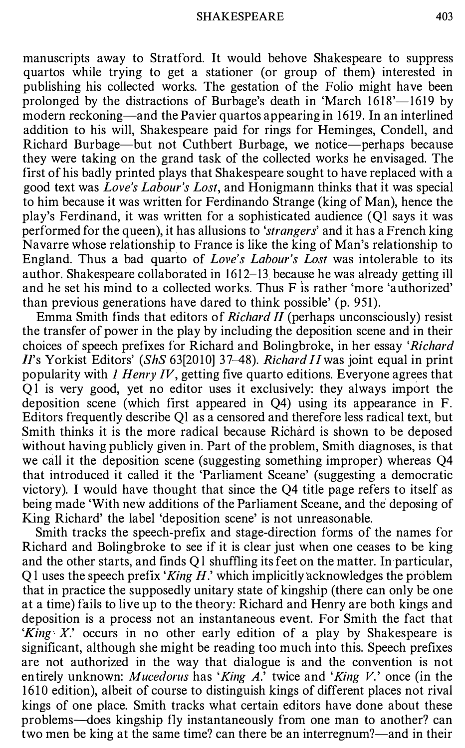manuscripts away to Stratford. It would behove Shakespeare to suppress quartos while trying to get a stationer (or group of them) interested in publishing his collected works. The gestation of the Folio might have been prolonged by the distractions of Burbage's death in 'March 1618'-1619 by modern reckoning-and the Pavier quartos appearing in 1619. In an interlined addition to his will, Shakespeare paid for rings for Heminges, Condell, and Richard Burbage-but not Cuthbert Burbage, we notice-perhaps because they were taking on the grand task of the collected works he envisaged. The first of his badly printed plays that Shakespeare sought to have replaced with a good text was Love's Labour's Lost, and Honigmann thinks that it was special to him because it was written for Ferdinando Strange (king of Man), hence the play's Ferdinand, it was written for a sophisticated audience (Ql says it was performed for the queen), it has allusions to '*strangers*' and it has a French king Navarre whose relationship to France is like the king of Man's relationship to England. Thus a bad quarto of Love's Labour's Lost was intolerable to its author. Shakespeare collaborated in 1612-13 because he was already getting ill and he set his mind to a collected works. Thus F is rather 'more 'authorized' than previous generations have dared to think possible' (p. 951).

Emma Smith finds that editors of *Richard II* (perhaps unconsciously) resist the transfer of power in the play by including the deposition scene and in their choices of speech prefixes for Richard and Bolingbroke, in her essay 'Richard  $II$ 's Yorkist Editors' (ShS 63[2010] 37-48). Richard II was joint equal in print popularity with  $I$  Henry IV, getting five quarto editions. Everyone agrees that Ql is very good, yet no editor uses it exclusively: they always import the deposition scene (which first appeared in Q4) using its appearance in F. Editors frequently describe Ql as a censored and therefore less radical text, but Smith thinks it is the more radical because Richard is shown to be deposed without having publicly given in. Part of the problem, Smith diagnoses, is that we call it the deposition scene (suggesting something improper) whereas Q4 that introduced it called it the 'Parliament Sceane' (suggesting a democratic victory). I would have thought that since the Q4 title page refers to itself as being made 'With new additions of the Parliament Sceane, and the deposing of King Richard' the label 'deposition scene' is not unreasonable.

Smith tracks the speech-prefix and stage-direction forms of the names for Richard and Bolingbroke to see if it is clear just when one ceases to be king and the other starts, and finds Ql shuffling its feet on the matter. In particular,  $Q1$  uses the speech prefix 'King H.' which implicitly acknowledges the problem that in practice the supposedly unitary state of kingship (there can only be one at a time) fails to live up to the theory: Richard and Henry are both kings and deposition is a process not an instantaneous event. For Smith the fact that 'King X' occurs in no other early edition of a play by Shakespeare is significant, although she might be reading too much into this. Speech prefixes are not authorized in the way that dialogue is and the convention is not entirely unknown: Mucedorus has 'King A.' twice and 'King V.' once (in the 1610 edition), albeit of course to distinguish kings of different places not rival kings of one place. Smith tracks what certain editors have done about these problems--does kingship fly instantaneously from one man to another? can two men be king at the same time? can there be an interregnum?—and in their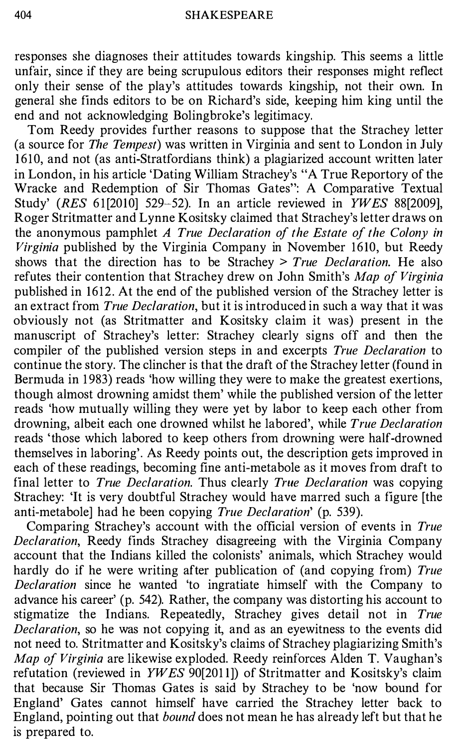responses she diagnoses their attitudes towards kingship. This seems a little unfair, since if they are being scrupulous editors their responses might reflect only their sense of the play's attitudes towards kingship, not their own. In general she finds editors to be on Richard's side, keeping him king until the end and not acknowledging Bolingbroke's legitimacy.

Tom Reedy provides further reasons to suppose that the Strachey letter (a source for The Tempest) was written in Virginia and sent to London in July 1610, and not (as anti-Stratfordians think) a plagiarized account written later in London, in his article 'Dating William Strachey's "A True Reportory of the Wracke and Redemption of Sir Thomas Gates": A Comparative Textual Study' (RES 61[2010] 529-52). In an article reviewed in  $\overline{YWES}$  88[2009], Roger Stritmatter and Lynne Kositsky claimed that Strachey's letter draws on the anonymous pamphlet A True Declaration of the Estate of the Colony in Virginia published by the Virginia Company in November 1610, but Reedy shows that the direction has to be Strachey  $> True$  Declaration. He also refutes their contention that Strachey drew on John Smith's Map of Virginia published in 1612. At the end of the published version of the Strachey letter is an extract from True Declaration, but it is introduced in such a way that it was obviously not (as Stritmatter and Kositsky claim it was) present in the manuscript of Strachey's letter: Strachey clearly signs off and then the compiler of the published version steps in and excerpts *True Declaration* to continue the story. The clincher is that the draft of the Strachey letter (found in Bermuda in 1 983) reads 'how willing they were to make the greatest exertions, though almost drowning amidst them' while the published version of the letter reads 'how mutually willing they were yet by labor to keep each other from drowning, albeit each one drowned whilst he labored', while True Declaration reads 'those which labored to keep others from drowning were half-drowned themselves in laboring'. As Reedy points out, the description gets improved in each of these readings, becoming fine anti-metabole as it moves from draft to final letter to True Declaration. Thus clearly True Declaration was copying Strachey: 'It is very doubtful Strachey would have marred such a figure [the anti-metabole] had he been copying True Declaration' (p. 539).

Comparing Strachey's account with the official version of events in True Declaration, Reedy finds Strachey disagreeing with the Virginia Company account that the Indians killed the colonists' animals, which Strachey would hardly do if he were writing after publication of (and copying from) True Declaration since he wanted 'to ingratiate himself with the Company to advance his career' (p. 542). Rather, the company was distorting his account to stigmatize the Indians. Repeatedly, Strachey gives detail not in True Declaration, so he was not copying it, and as an eyewitness to the events did not need to. Stritmatter and Kositsky's claims of Strachey plagiarizing Smith's Map of Virginia are likewise exploded. Reedy reinforces Alden T. Vaughan's refutation (reviewed in YWES 90[2011]) of Stritmatter and Kositsky's claim that because Sir Thomas Gates is said by Strachey to be 'now bound for England' Gates cannot himself have carried the Strachey letter back to England, pointing out that bound does not mean he has already left but that he is prepared to.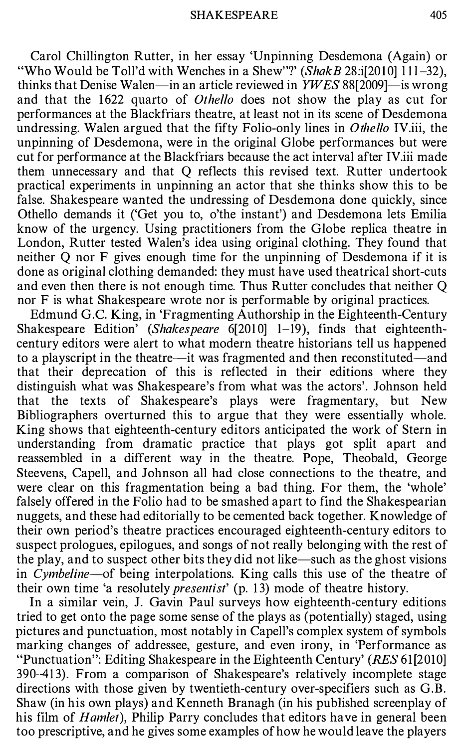Carol Chillington Rutter, in her essay 'Unpinning Desdemona (Again) or "Who Would be Toll'd with Wenches in a Shew"?' (Shak B 28:i[2010] 111-32), thinks that Denise Walen-in an article reviewed in  $YWES$  88[2009]-is wrong and that the 1622 quarto of *Othello* does not show the play as cut for performances at the Blackfriars theatre, at least not in its scene of Desdemona undressing. Walen argued that the fifty Folio-only lines in *Othello IV.iii*, the unpinning of Desdemona, were in the original Globe performances but were cut for performance at the Blackfriars because the act interval after IV.iii made them unnecessary and that Q reflects this revised text. Rutter undertook practical experiments in unpinning an actor that she thinks show this to be false. Shakespeare wanted the undressing of Desdemona done quickly, since Othello demands it ('Get you to, o'the instant') and Desdemona lets Emilia know of the urgency. Using practitioners from the Globe replica theatre in London, Rutter tested Walen's idea using original clothing. They found that neither Q nor F gives enough time for the unpinning of Desdemona if it is done as original clothing demanded: they must have used theatrical short-cuts and even then there is not enough time. Thus Rutter concludes that neither Q nor F is what Shakespeare wrote nor is performable by original practices.

Edmund G.C. King, in 'Fragmenting Authorship in the Eighteenth-Century Shakespeare Edition' (Shakespeare  $6[2010]$  1-19), finds that eighteenthcentury editors were alert to what modern theatre historians tell us happened to a playscript in the theatre—it was fragmented and then reconstituted—and that their deprecation of this is reflected in their editions where they distinguish what was Shakespeare's from what was the actors'. Johnson held that the texts of Shakespeare's plays were fragmentary, but New Bibliographers overturned this to argue that they were essentially whole. King shows that eighteenth-century editors anticipated the work of Stern in understanding from dramatic practice that plays got split apart and reassembled in a different way in the theatre. Pope, Theobald, George Steevens, Capell, and Johnson all had close connections to the theatre, and were clear on this fragmentation being a bad thing. For them, the 'whole' falsely offered in the Folio had to be smashed apart to find the Shakespearian nuggets, and these had editorially to be cemented back together. Knowledge of their own period's theatre practices encouraged eighteenth-century editors to suspect prologues, epilogues, and songs of not really belonging with the rest of the play, and to suspect other bits they did not like-such as the ghost visions in Cymbeline-of being interpolations. King calls this use of the theatre of their own time 'a resolutely *presentist'* (p. 13) mode of theatre history.

In a similar vein, J. Gavin Paul surveys how eighteenth-century editions tried to get onto the page some sense of the plays as (potentially) staged, using pictures and punctuation, most notably in Capell's complex system of symbols marking changes of addressee, gesture, and even irony, in 'Performance as "Punctuation": Editing Shakespeare in the Eighteenth Century' (RES 61(2010] 390-41 3). From a comparison of Shakespeare's relatively incomplete stage directions with those given by twentieth-century over-specifiers such as G.B. Shaw (in his own plays) and Kenneth Branagh (in his published screenplay of his film of *Hamlet*), Philip Parry concludes that editors have in general been too prescriptive, and he gives some examples of how he would leave the players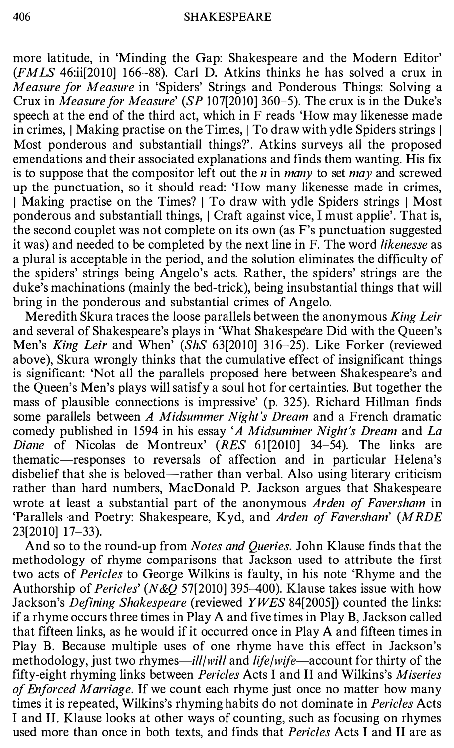more latitude, in 'Minding the Gap: Shakespeare and the Modern Editor'  $(FMLS 46$ :ii[2010] 166-88). Carl D. Atkins thinks he has solved a crux in Measure for Measure in 'Spiders' Strings and Ponderous Things: Solving a Crux in Measure for Measure' (SP 107[2010] 360-5). The crux is in the Duke's speech at the end of the third act, which in F reads 'How may likenesse made in crimes, | Making practise on the Times, | To draw with ydle Spiders strings | Most ponderous and substantiall things?'. Atkins surveys all the proposed emendations and their associated explanations and finds them wanting. His fix is to suppose that the compositor left out the *n* in *many* to set *may* and screwed up the punctuation, so it should read: 'How many likenesse made in crimes, I Making practise on the Times? I To draw with ydle Spiders strings I Most ponderous and substantiall things, I Craft against vice, I must applie'. That is, the second couplet was not complete on its own (as F's punctuation suggested it was) and needed to be completed by the next line in F. The word likenesse as a plural is acceptable in the period, and the solution eliminates the difficulty of the spiders' strings being Angelo's acts. Rather, the spiders' strings are the duke's machinations (mainly the bed-trick), being insubstantial things that will bring in the ponderous and substantial crimes of Angelo.

Meredith Skura traces the loose parallels between the anonymous *King Leir* and several of Shakespeare's plays in 'What Shakespeare Did with the Queen's Men's King Leir and When' (ShS 63[2010] 316-25). Like Forker (reviewed above), Skura wrongly thinks that the cumulative effect of insignificant things is significant: 'Not all the parallels proposed here between Shakespeare's and the Queen's Men's plays will satisfy a soul hot for certainties. But together the mass of plausible connections is impressive' (p. 325). Richard Hillman finds some parallels between A Midsummer Night's Dream and a French dramatic comedy published in 1594 in his essay 'A Midsummer Night's Dream and La Diane of Nicolas de Montreux' (RES 61[2010] 34-54). The links are thematic-responses to reversals of affection and in particular Helena's disbelief that she is beloved—rather than verbal. Also using literary criticism rather than hard numbers, MacDonald P. Jackson argues that Shakespeare wrote at least a substantial part of the anonymous Arden of Faversham in 'Parallels and Poetry: Shakespeare, Kyd, and Arden of Faversham' (MRDE 23[2010] 17-33).

And so to the round-up from Notes and Queries. John Klause finds that the methodology of rhyme comparisons that Jackson used to attribute the first two acts of Pericles to George Wilkins is faulty, in his note 'Rhyme and the Authorship of Pericles' (N&Q 57[2010] 395-400). Klause takes issue with how Jackson's Defining Shakespeare (reviewed YWES 84[2005]) counted the links: if a rhyme occurs three times in Play A and five times in Play B, Jackson called that fifteen links, as he would if it occurred once in Play A and fifteen times in Play B. Because multiple uses of one rhyme have this effect in Jackson's methodology, just two rhymes—*ill/will* and *life/wife*—account for thirty of the fifty-eight rhyming links between Pericles Acts I and II and Wilkins's Miseries of Enforced Marriage. If we count each rhyme just once no matter how many times it is repeated, Wilkins's rhyming habits do not dominate in Pericles Acts I and IL Klause looks at other ways of counting, such as focusing on rhymes used more than once in both texts, and finds that *Pericles* Acts I and II are as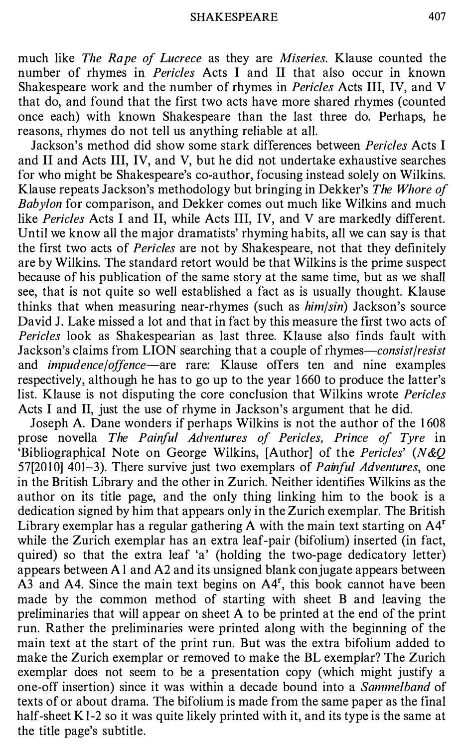much like The Rape of Lucrece as they are Miseries. Klause counted the number of rhymes in Pericles Acts I and II that also occur in known Shakespeare work and the number of rhymes in Pericles Acts III, IV, and V that do, and found that the first two acts have more shared rhymes (counted once each) with known Shakespeare than the last three do. Perhaps, he reasons, rhymes do not tell us anything reliable at all.

Jackson's method did show some stark differences between Pericles Acts I and II and Acts III, IV, and V, but he did not undertake exhaustive searches for who might be Shakespeare's co-author, focusing instead solely on Wilkins. Klause repeats Jackson's methodology but bringing in Dekker's The Whore of Babylon for comparison, and Dekker comes out much like Wilkins and much like Pericles Acts I and II, while Acts III, IV, and V are markedly different. Until we know all the major dramatists' rhyming habits, all we can say is that the first two acts of Pericles are not by Shakespeare, not that they definitely are by Wilkins. The standard retort would be that Wilkins is the prime suspect because of his publication of the same story at the same time, but as we shall see, that is not quite so well established a fact as is usually thought. Klause thinks that when measuring near-rhymes (such as him/sin) Jackson's source David J. Lake missed a lot and that in fact by this measure the first two acts of Pericles look as Shakespearian as last three. Klause also finds fault with Jackson's claims from LION searching that a couple of rhymes—consist/resist and *impudence/offence*—are rare: Klause offers ten and nine examples respectively, although he has to go up to the year 1 660 to produce the latter's list. Klause is not disputing the core conclusion that Wilkins wrote Pericles Acts I and II, just the use of rhyme in Jackson's argument that he did.

Joseph A. Dane wonders if perhaps Wilkins is not the author of the 1 608 prose novella The Painful Adventures of Pericles, Prince of Tyre in 'Bibliographical Note on George Wilkins, [Author] of the Pericles' (N&Q) 57[2010] 401-3). There survive just two exemplars of *Painful Adventures*, one in the British Library and the other in Zurich. Neither identifies Wilkins as the author on its title page, and the only thing linking him to the book is a dedication signed by him that appears only in the Zurich exemplar. The British Library exemplar has a regular gathering A with the main text starting on  $A4<sup>r</sup>$ while the Zurich exemplar has an extra leaf-pair (bifolium) inserted (in fact, quired) so that the extra leaf 'a' (holding the two-page dedicatory letter) appears between Al and A2 and its unsigned blank conjugate appears between A3 and A4. Since the main text begins on A4<sup>r</sup>, this book cannot have been made by the common method of starting with sheet B and leaving the preliminaries that will appear on sheet A to be printed at the end of the print run. Rather the preliminaries were printed along with the beginning of the main text at the start of the print run. But was the extra bifolium added to make the Zurich exemplar or removed to make the BL exemplar? The Zurich exemplar does not seem to be a presentation copy (which might justify a one-off insertion) since it was within a decade bound into a Sammelband of texts of or about drama. The bifolium is made from the same paper as the final half-sheet K<sub>1</sub>-2 so it was quite likely printed with it, and its type is the same at the title page's subtitle.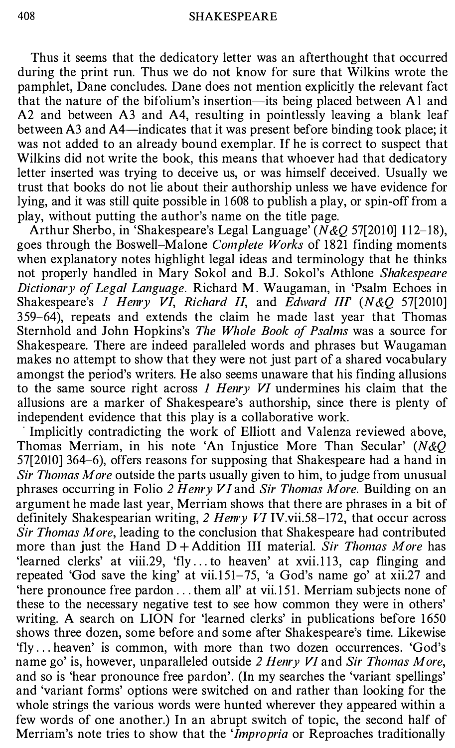Thus it seems that the dedicatory letter was an afterthought that occurred during the print run. Thus we do not know for sure that Wilkins wrote the pamphlet, Dane concludes. Dane does not mention explicitly the relevant fact that the nature of the bifolium's insertion-its being placed between Al and A2 and between A3 and A4, resulting in pointlessly leaving a blank leaf between A3 and A4—indicates that it was present before binding took place; it was not added to an already bound exemplar. If he is correct to suspect that Wilkins did not write the book, this means that whoever had that dedicatory letter inserted was trying to deceive us, or was himself deceived. Usually we trust that books do not lie about their authorship unless we have evidence for lying, and it was still quite possible in 1 608 to publish a play, or spin-off from a play, without putting the author's name on the title page.

Arthur Sherbo, in 'Shakespeare's Legal Language' ( $N&O$  57[2010] 112-18), goes through the Boswell-Malone Complete Works of 1821 finding moments when explanatory notes highlight legal ideas and terminology that he thinks not properly handled in Mary Sokol and B.J. Sokol's Athlone Shakespeare Dictionary of Legal Language. Richard M. Waugaman, in 'Psalm Echoes in Shakespeare's 1 Henry VI, Richard II, and Edward III' (N&Q 57[2010] 359-64), repeats and extends the claim he made last year that Thomas Sternhold and John Hopkins's The Whole Book of Psalms was a source for Shakespeare. There are indeed paralleled words and phrases but Waugaman makes no attempt to show that they were not just part of a shared vocabulary amongst the period's writers. He also seems unaware that his finding allusions to the same source right across  $1$  Henry VI undermines his claim that the allusions are a marker of Shakespeare's authorship, since there is plenty of independent evidence that this play is a collaborative work.

Implicitly contradicting the work of Elliott and Valenza reviewed above, Thomas Merriam, in his note 'An Injustice More Than Secular' (N&Q 57[2010] 364-6), offers reasons for supposing that Shakespeare had a hand in Sir Thomas More outside the parts usually given to him, to judge from unusual phrases occurring in Folio 2 Henry VI and Sir Thomas More. Building on an argument he made last year, Merriam shows that there are phrases in a bit of definitely Shakespearian writing, 2 Henry VI IV.vii.58–172, that occur across Sir Thomas More, leading to the conclusion that Shakespeare had contributed more than just the Hand  $D +$  Addition III material. Sir Thomas More has 'learned clerks' at viii.29, 'fly... to heaven' at xvii.113, cap flinging and repeated 'God save the king' at vii.151-75, 'a God's name go' at xii.27 and 'here pronounce free pardon ... them all' at vii. 151. Merriam subjects none of these to the necessary negative test to see how common they were in others' writing. A search on LION for 'learned clerks' in publications before 1650 shows three dozen, some before and some after Shakespeare's time. Likewise 'fly ... heaven' is common, with more than two dozen occurrences. 'God's name go' is, however, unparalleled outside 2 Henry VI and Sir Thomas More, and so is 'hear pronounce free pardon'. (In my searches the 'variant spellings' and 'variant forms' options were switched on and rather than looking for the whole strings the various words were hunted wherever they appeared within a few words of one another.) In an abrupt switch of topic, the second half of Merriam's note tries to show that the 'Impropria or Reproaches traditionally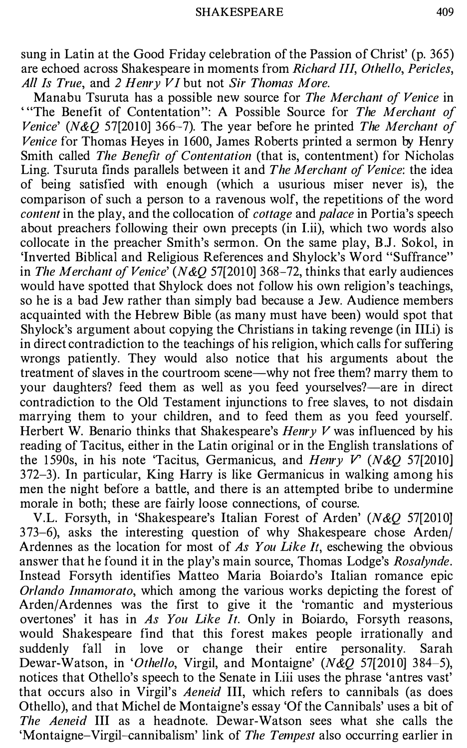sung in Latin at the Good Friday celebration of the Passion of Christ' (p. 365) are echoed across Shakespeare in moments from Richard III, Othello, Pericles, All Is True, and 2 Henry VI but not Sir Thomas More.

Manabu Tsuruta has a possible new source for The Merchant of Venice in ' "The Benefit of Contentation": A Possible Source for The Merchant of Venice' (N&O 57[2010] 366-7). The year before he printed The Merchant of Venice for Thomas Heyes in 1600, James Roberts printed a sermon by Henry Smith called *The Benefit of Contentation* (that is, contentment) for Nicholas Ling. Tsuruta finds parallels between it and The Merchant of Venice: the idea of being satisfied with enough (which a usurious miser never is), the comparison of such a person to a ravenous wolf, the repetitions of the word content in the play, and the collocation of *cottage* and *palace* in Portia's speech about preachers following their own precepts (in I.ii), which two words also collocate in the preacher Smith's sermon. On the same play, B.J. Sokol, in 'Inverted Biblical and Religious References and Shylock's Word "Suffrance" in The Merchant of Venice' (N&O 57[2010] 368-72, thinks that early audiences would have spotted that Shylock does not follow his own religion's teachings, so he is a bad Jew rather than simply bad because a Jew. Audience members acquainted with the Hebrew Bible (as many must have been) would spot that Shylock's argument about copying the Christians in taking revenge (in IIl.i) is in direct contradiction to the teachings of his religion, which calls for suffering wrongs patiently. They would also notice that his arguments about the treatment of slaves in the courtroom scene-why not free them? marry them to your daughters? feed them as well as you feed yourselves?—are in direct contradiction to the Old Testament injunctions to free slaves, to not disdain marrying them to your children, and to feed them as you feed yourself. Herbert W. Benario thinks that Shakespeare's  $Henv$  V was influenced by his reading of Tacitus, either in the Latin original or in the English translations of the 1590s, in his note 'Tacitus, Germanicus, and Henry V' (N&Q 57[2010] 372-3). In particular, King Harry is like Germanicus in walking among his men the night before a battle, and there is an attempted bribe to undermine morale in both; these are fairly loose connections, of course.

V.L. Forsyth, in 'Shakespeare's Italian Forest of Arden' (N&Q 57[2010] 373-6), asks the interesting question of why Shakespeare chose Arden/ Ardennes as the location for most of As You Like It, eschewing the obvious answer that he found it in the play's main source, Thomas Lodge's Rosalynde. Instead Forsyth identifies Matteo Maria Boiardo's Italian romance epic Orlando Innamorato, which among the various works depicting the forest of Arden/Ardennes was the first to give it the 'romantic and mysterious overtones' it has in As You Like It. Only in Boiardo, Forsyth reasons, would Shakespeare find that this forest makes people irrationally and suddenly fall in love or change their entire personality. Sarah Dewar-Watson, in 'Othello, Virgil, and Montaigne'  $(N\&Q 57[2010] 384-5)$ , notices that Othello's speech to the Senate in I.iii uses the phrase 'antres vast' that occurs also in Virgil's Aeneid III, which refers to cannibals (as does Othello), and that Michel de Montaigne's essay 'Of the Cannibals' uses a bit of The Aeneid III as a headnote. Dewar-Watson sees what she calls the 'Montaigne-Virgil-cannibalism' link of The Tempest also occurring earlier in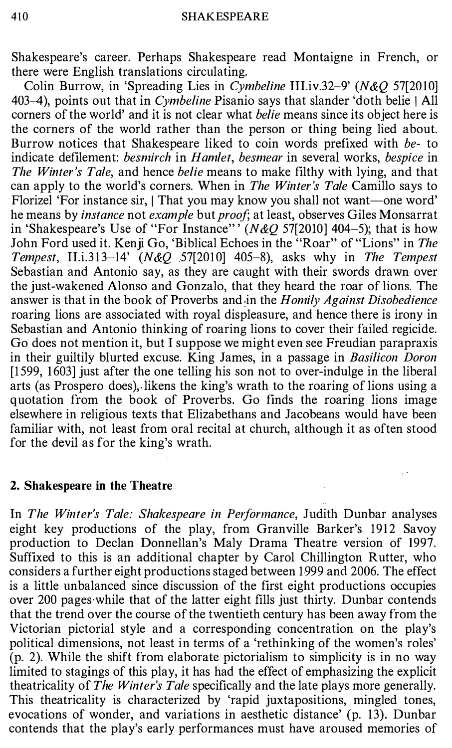Shakespeare's career. Perhaps Shakespeare read Montaigne in French, or there were English translations circulating.

Colin Burrow, in 'Spreading Lies in Cymbeline III.iv.32-9' (N&Q 57[2010] 403-4), points out that in *Cymbeline* Pisanio says that slander 'doth belie | All corners of the world' and it is not clear what belie means since its object here is the corners of the world rather than the person or thing being lied about. Burrow notices that Shakespeare liked to coin words prefixed with be- to indicate defilement: *besmirch* in Hamlet, besmear in several works, bespice in The Winter's Tale, and hence belie means to make filthy with lying, and that can apply to the world's corners. When in The Winter's Tale Camillo says to Florizel 'For instance sir, I That you may know you shall not want-one word' he means by instance not example but proof; at least, observes Giles Monsarrat in 'Shakespeare's Use of "For Instance"  $(N&Q 57[2010] 404-5)$ ; that is how John Ford used it. Kenji Go, 'Biblical Echoes in the "Roar" of "Lions" in The Tempest, II.i.313-14'  $(N & Q$  57[2010] 405-8), asks why in The Tempest Sebastian and Antonio say, as they are caught with their swords drawn over the just-wakened Alonso and Gonzalo, that they heard the roar of lions. The answer is that in the book of Proverbs and in the Homily Against Disobedience roaring lions are associated with royal displeasure, and hence there is irony in Sebastian and Antonio thinking of roaring lions to cover their failed regicide. Go does not mention it, but I suppose we might even see Freudian parapraxis in their guiltily blurted excuse. King James, in a passage in *Basilicon Doron* [1 599, 1 603] just after the one telling his son not to over-indulge in the liberal arts (as Prospero does), likens the king's wrath to the roaring of lions using a quotation from the book of Proverbs. Go finds the roaring lions image elsewhere in religious texts that Elizabethans and Jacobeans would have been familiar with, not least from oral recital at church, although it as often stood for the devil as for the king's wrath.

## 2. Shakespeare in the Theatre

In The Winter's Tale: Shakespeare in Performance, Judith Dunbar analyses eight key productions of the play, from Granville Barker's 1912 Savoy production to Declan Donnellan's Maly Drama Theatre version of 1997. Suffixed to this is an additional chapter by Carol Chillington Rutter, who considers a further eight productions staged between 1 999 and 2006. The effect is a little unbalanced since discussion of the first eight productions occupies over 200 pages while that of the latter eight fills just thirty. Dunbar contends that the trend over the course of the twentieth century has been away from the Victorian pictorial style and a corresponding concentration on the play's political dimensions, not least in terms of a 'rethinking of the women's roles' (p. 2). While the shift from elaborate pictorialism to simplicity is in no way limited to stagings of this play, it has had the effect of emphasizing the explicit theatricality of The Winter's Tale specifically and the late plays more generally. This theatricality is characterized by 'rapid juxtapositions, mingled tones, evocations of wonder, and variations in aesthetic distance' (p. 13). Dunbar contends that the play's early performances must have aroused memories of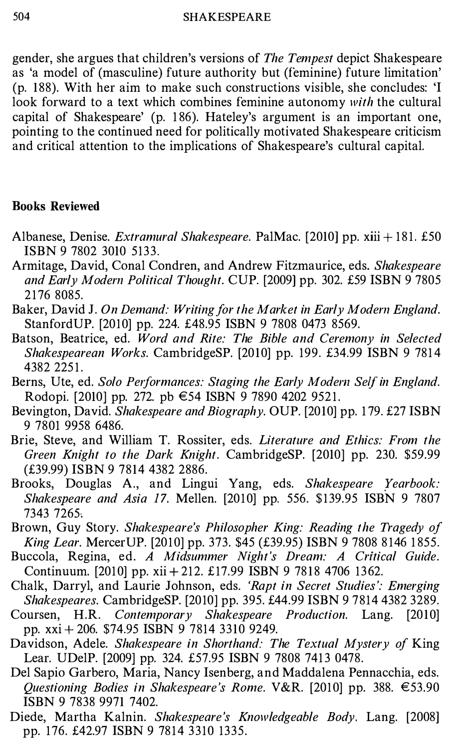gender, she argues that children's versions of The Tempest depict Shakespeare as 'a model of (masculine) future authority but (feminine) future limitation' (p. 188). With her aim to make such constructions visible, she concludes: 'I look forward to a text which combines feminine autonomy with the cultural capital of Shakespeare' (p. 1 86). Hateley's argument is an important one, pointing to the continued need for politically motivated Shakespeare criticism and critical attention to the implications of Shakespeare's cultural capital.

# Books Reviewed

- Albanese, Denise. Extramural Shakespeare. PalMac. [2010] pp. xiii + 181. £50 ISBN 9 7802 3010 5133.
- Armitage, David, Conal Condren, and Andrew Fitzmaurice, eds. Shakespeare and Early Modern Political Thought. CUP. [2009] pp. 302. £59 ISBN 9 7805 2176 8085.
- Baker, David J. On Demand: Writing for the Market in Early Modern England. StanfordUP. [2010] pp. 224. £48.95 ISBN 9 7808 0473 8569.
- Batson, Beatrice, ed. Word and Rite: The Bible and Ceremony in Selected Shakespearean Works. CambridgeSP. [2010] pp. 199. £34.99 ISBN 9 7814 4382 2251.
- Berns, Ute, ed. Solo Performances: Staging the Early Modern Self in England. Rodopi. [2010] pp. 272. pb €54 ISBN 9 7890 4202 9521.
- Bevington, David. Shakespeare and Biography. OUP. [2010] pp. 1 79. £27 ISBN 9 7801 9958 6486.
- Brie, Steve, and William T. Rossiter, eds. Literature and Ethics: From the Green Knight to the Dark Knight. CambridgeSP. [2010] pp. 230. \$59.99 (£39.99) ISBN 9 7814 4382 2886.
- Brooks, Douglas A., and Lingui Yang, eds. Shakespeare Yearbook: Shakespeare and Asia 17. Mellen. [2010] pp. 556. \$139.95 ISBN 9 7807 7343 7265,
- Brown, Guy Story. Shakespeare's Philosopher King: Reading the Tragedy of King Lear. Mercer UP. [2010] pp. 373. \$45 (£39.95) ISBN 9 7808 8146 1855.
- Buccola, Regina, ed. A Midsummer Night's Dream: A Critical Guide. Continuum. [2010] pp. xii + 212. £17.99 ISBN 9 7818 4706 1362.
- Chalk, Darryl, and Laurie Johnson, eds. 'Rapt in Secret Studies ': Emerging Shakespeares. CambridgeSP. [2010] pp. 395. £44.99 ISBN 9 7814 4382 3289.
- Coursen, H.R. Contemporary Shakespeare Production. Lang. [2010] pp. xxi + 206. \$74.95 ISBN 9 7814 3310 9249.
- Davidson, Adele. Shakespeare in Shorthand: The Textual Mystery of King Lear. UDelP. [2009] pp. 324. £57.95 ISBN 9 7808 7413 0478.
- Del Sapia Garbero, Maria, Nancy Isenberg, and Maddalena Pennacchia, eds. Questioning Bodies in Shakespeare's Rome. V&R. [2010] pp. 388.  $\epsilon$ 53.90 ISBN 9 7838 9971 7402.
- Diede, Martha Kalnin. Shakespeare's Knowledgeable Body. Lang. [2008] pp. 176. £42.97 ISBN 9 7814 3310 1335.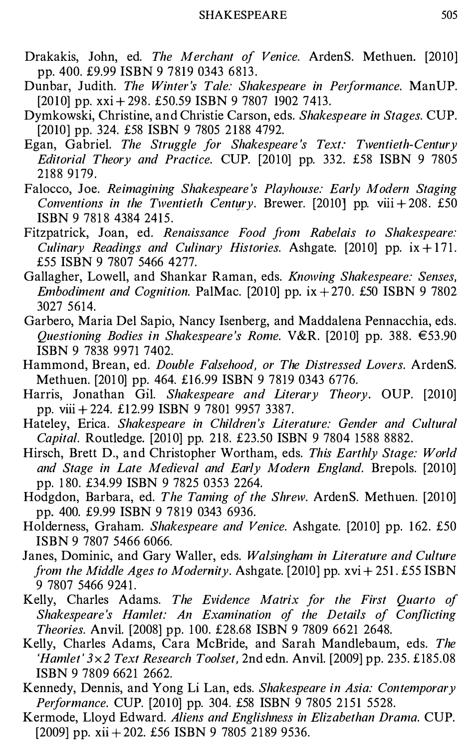- Drakakis, John, ed. The Merchant of Venice. ArdenS. Methuen. [2010] pp. 400. £9.99 ISBN 9 7819 0343 6813.
- Dunbar, Judith. The Winter's Tale: Shakespeare in Performance. ManUP. [2010] pp.  $xxi + 298$ . £50.59 ISBN 9 7807 1902 7413.
- Dymkowski, Christine, and Christie Carson, eds. Shakespeare in Stages. CUP. [2010] pp. 324. £58 ISBN 9 7805 2188 4792.
- Egan, Gabriel. The Struggle for Shakespeare's Text: Twentieth-Century Editorial Theory and Practice. CUP. [2010] pp. 332. £58 ISBN 9 7805 2188 9179.
- Falocco, Joe. Reimagining Shakespeare's Playhouse: Early Modern Staging Conventions in the Twentieth Century. Brewer. [2010] pp. viii + 208.  $£50$ ISBN 9781843842415.
- Fitzpatrick, Joan, ed. Renaissance Food from Rabelais to Shakespeare: Culinary Readings and Culinary Histories. Ashgate. [2010] pp.  $ix + 171$ . £55 ISBN 9 7807 5466 4277.
- Gallagher, Lowell, and Shankar Raman, eds. Knowing Shakespeare: Senses, Embodiment and Cognition. PalMac. [2010] pp.  $ix + 270$ . £50 ISBN 9 7802 3027 5614.
- Garbero, Maria Del Sapia, Nancy Isenberg, and Maddalena Pennacchia, eds. Questioning Bodies in Shakespeare's Rome. V&R. [2010] pp. 388.  $\epsilon$ 53.90 ISBN 9 7838 9971 7402.
- Hammond, Brean, ed. Double Falsehood, or The Distressed Lovers. ArdenS. Methuen. [2010] pp. 464. £16.99 ISBN 9 7819 0343 6776.
- Harris, Jonathan Gil. Shakespeare and Literary Theory. OUP. [2010] pp. viii + 224. £12.99 ISBN 9 7801 9957 3387.
- Hateley, Erica. Shakespeare in Children's Literature: Gender and Cultural Capital. Routledge. [2010] pp. 218. £23.50 ISBN 9 7804 1588 8882.
- Hirsch, Brett D., and Christopher Wortham, eds. This Earthly Stage: World and Stage in Late Medieval and Early Modern England. Brepols. [2010] pp. 1 80. £34.99 ISBN 9 7825 0353 2264.
- Hodgdon, Barbara, ed. The Taming of the Shrew. ArdenS. Methuen. [2010] pp. 400. £9.99 ISBN 9 7819 0343 6936.
- Holderness, Graham. Shakespeare and Venice. Ashgate. [2010] pp. 162. £50 ISBN 9 7807 5466 6066.
- Janes, Dominic, and Gary Waller, eds. Walsingham in Literature and Culture from the Middle Ages to Modernity. Ashgate. [2010] pp.  $xvi + 251$ . £55 ISBN 9 7807 5466 9241.
- Kelly, Charles Adams. The Evidence Matrix for the First Quarto of Shakespeare's Hamlet: An Examination of the Details of Conflicting Theories. Anvil. [2008] pp. 1 00. £28.68 ISBN 9 7809 6621 2648.
- Kelly, Charles Adams, Cara McBride, and Sarah Mandlebaum, eds. The 'Hamlet'  $3 \times 2$  Text Research Toolset, 2nd edn. Anvil. [2009] pp. 235. £185.08 ISBN 9 7809 6621 2662.
- Kennedy, Dennis, and Yong Li Lan, eds. Shakespeare in Asia: Contemporary Performance. CUP. [2010] pp. 304. £58 ISBN 9 7805 2151 5528.
- Kermode, Lloyd Edward. Aliens and Englishness in Elizabethan Drama. CUP. [2009] pp. xii + 202. £56 ISBN 9 7805 2189 9536.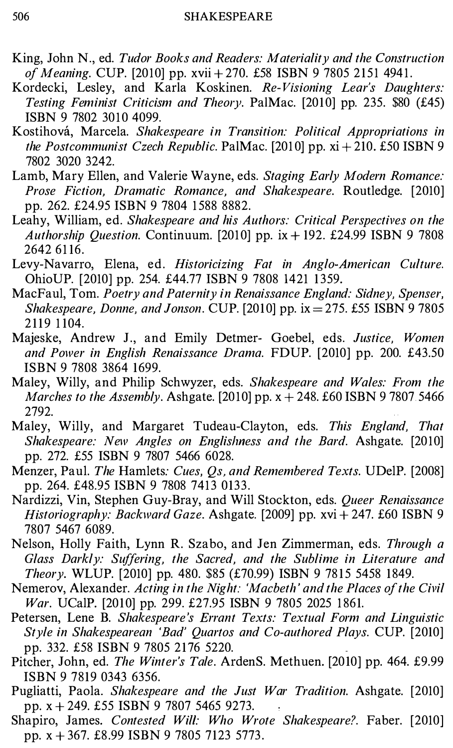- King, John N., ed. Tudor Books and Readers: Materiality and the Construction of Meaning. CUP. [2010] pp. xvii + 270. £58 ISBN 9 7805 2151 4941.
- Kordecki, Lesley, and Karla Koskinen. Re-Visioning Lear's Daughters: Testing Feminist Criticism and Theory. PalMac. [2010] pp. 235.  $$80$  (£45) ISBN 9 7802 3010 4099.
- Kostihová, Marcela. Shakespeare in Transition: Political Appropriations in the Postcommunist Czech Republic. PalMac. [2010] pp.  $xi + 210$ . £50 ISBN 9 7802 3020 3242.
- Lamb, Mary Ellen, and Valerie Wayne, eds. Staging Early Modern Romance: Prose Fiction, Dramatic Romance, and Shakespeare. Routledge. [2010] pp. 262. £24.95 ISBN 9 7804 1 588 8882.
- Leahy, William, ed. Shakespeare and his Authors: Critical Perspectives on the Authorship Question. Continuum. [2010] pp.  $ix + 192$ . £24.99 ISBN 9 7808 2642 61 16.
- Levy-Navarro, Elena, ed. Historicizing Fat in Anglo-American Culture. OhioUP. [2010] pp. 254. £44.77 ISBN 9 7808 1421 1359.
- MacFaul, Tom. Poetry and Paternity in Renaissance England: Sidney, Spenser, Shakespeare, Donne, and Jonson. CUP. [2010] pp.  $ix = 275$ . £55 ISBN 9 7805 2119 1 104.
- Majeske, Andrew J., and Emily Detmer- Goebel, eds. Justice, Women and Power in English Renaissance Drama. FDUP. [2010] pp. 200. £43.50 ISBN 9 7808 3864 1699.
- Maley, Willy, and Philip Schwyzer, eds. Shakespeare and Wales: From the Marches to the Assembly. Ashgate. [2010] pp.  $x + 248$ . £60 ISBN 97807 5466 2792.
- Maley, Willy, and Margaret Tudeau-Clayton, eds. This England, That Shakespeare: New Angles on Englislmess and the Bard. Ashgate. [2010] pp. 272. £55 ISBN 9 7807 5466 6028.
- Menzer, Paul. The Hamlets: Cues, Qs, and Remembered Texts. UDelP. [2008] pp. 264. £48.95 ISBN 9 7808 7413 0133.
- Nardizzi, Vin, Stephen Guy-Bray, and Will Stockton, eds. *Queer Renaissance* Historiography: Backward Gaze. Ashgate. [2009] pp.  $xvi + 247$ . £60 ISBN 9 7807 5467 6089.
- Nelson, Holly Faith, Lynn R. Szabo, and Jen Zimmerman, eds. Through a Glass Darkly: Suffering, the Sacred, and the Sublime in Literature and Theory. WLUP. [2010] pp. 480. \$85 (£70.99) ISBN 9 78 15 5458 1849.
- Nemerov, Alexander. Acting in the Night: 'Macbeth ' and the Places of the Civil War. UCalP. [2010] pp. 299. £27.95 ISBN 9 7805 2025 1861.
- Petersen, Lene B. Shakespeare's Errant Texts: Textual Form and Linguistic Style in Shakespearean 'Bad' Quartos and Co-authored Plays. CUP. [2010] pp. 332. £58 ISBN 9 7805 2176 5220.
- Pitcher, John, ed. The Winter's Tale. ArdenS. Methuen. [2010] pp. 464. £9.99 ISBN 9 7819 0343 6356.
- Pugliatti, Paola. Shakespeare and the Just War Tradition. Ashgate. [2010] pp. x + 249. £55 ISBN 9 7807 5465 9273.
- Shapiro, James. Contested Will: Who Wrote Shakespeare?. Faber. [2010] pp. x + 367. £8.99 ISBN 9 7805 7123 5773 .